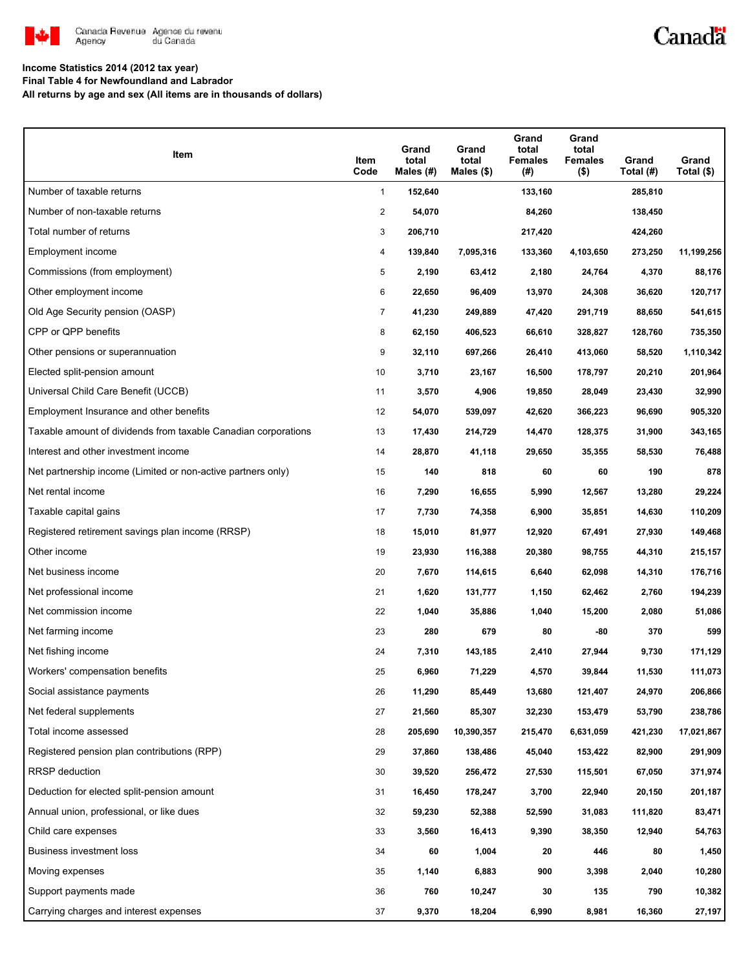

### Canadä

### **Income Statistics 2014 (2012 tax year)**

**Final Table 4 for Newfoundland and Labrador**

**All returns by age and sex (All items are in thousands of dollars)**

| Item                                                           | Item<br>Code   | Grand<br>total<br>Males (#) | Grand<br>total<br>Males $(\$)$ | Grand<br>total<br><b>Females</b><br>(#) | Grand<br>total<br><b>Females</b><br>$($ \$) | Grand<br>Total (#) | Grand<br>Total (\$) |
|----------------------------------------------------------------|----------------|-----------------------------|--------------------------------|-----------------------------------------|---------------------------------------------|--------------------|---------------------|
| Number of taxable returns                                      | $\mathbf{1}$   | 152,640                     |                                | 133,160                                 |                                             | 285,810            |                     |
| Number of non-taxable returns                                  | $\overline{2}$ | 54,070                      |                                | 84,260                                  |                                             | 138,450            |                     |
| Total number of returns                                        | 3              | 206,710                     |                                | 217,420                                 |                                             | 424,260            |                     |
| Employment income                                              | 4              | 139,840                     | 7,095,316                      | 133,360                                 | 4,103,650                                   | 273,250            | 11,199,256          |
| Commissions (from employment)                                  | 5              | 2,190                       | 63,412                         | 2,180                                   | 24,764                                      | 4,370              | 88,176              |
| Other employment income                                        | 6              | 22,650                      | 96,409                         | 13,970                                  | 24,308                                      | 36,620             | 120,717             |
| Old Age Security pension (OASP)                                | $\overline{7}$ | 41,230                      | 249,889                        | 47,420                                  | 291,719                                     | 88,650             | 541,615             |
| CPP or QPP benefits                                            | 8              | 62,150                      | 406,523                        | 66,610                                  | 328,827                                     | 128,760            | 735,350             |
| Other pensions or superannuation                               | 9              | 32,110                      | 697,266                        | 26,410                                  | 413,060                                     | 58,520             | 1,110,342           |
| Elected split-pension amount                                   | 10             | 3,710                       | 23,167                         | 16,500                                  | 178,797                                     | 20,210             | 201,964             |
| Universal Child Care Benefit (UCCB)                            | 11             | 3,570                       | 4,906                          | 19,850                                  | 28,049                                      | 23,430             | 32,990              |
| Employment Insurance and other benefits                        | 12             | 54,070                      | 539,097                        | 42,620                                  | 366,223                                     | 96,690             | 905,320             |
| Taxable amount of dividends from taxable Canadian corporations | 13             | 17,430                      | 214,729                        | 14,470                                  | 128,375                                     | 31,900             | 343,165             |
| Interest and other investment income                           | 14             | 28,870                      | 41,118                         | 29,650                                  | 35,355                                      | 58,530             | 76,488              |
| Net partnership income (Limited or non-active partners only)   | 15             | 140                         | 818                            | 60                                      | 60                                          | 190                | 878                 |
| Net rental income                                              | 16             | 7,290                       | 16,655                         | 5,990                                   | 12,567                                      | 13,280             | 29,224              |
| Taxable capital gains                                          | 17             | 7,730                       | 74,358                         | 6,900                                   | 35,851                                      | 14,630             | 110,209             |
| Registered retirement savings plan income (RRSP)               | 18             | 15,010                      | 81,977                         | 12,920                                  | 67,491                                      | 27,930             | 149,468             |
| Other income                                                   | 19             | 23,930                      | 116,388                        | 20,380                                  | 98,755                                      | 44,310             | 215,157             |
| Net business income                                            | 20             | 7,670                       | 114,615                        | 6,640                                   | 62,098                                      | 14,310             | 176,716             |
| Net professional income                                        | 21             | 1,620                       | 131,777                        | 1,150                                   | 62,462                                      | 2,760              | 194,239             |
| Net commission income                                          | 22             | 1,040                       | 35,886                         | 1,040                                   | 15,200                                      | 2,080              | 51,086              |
| Net farming income                                             | 23             | 280                         | 679                            | 80                                      | -80                                         | 370                | 599                 |
| Net fishing income                                             | 24             | 7,310                       | 143,185                        | 2,410                                   | 27,944                                      | 9,730              | 171,129             |
| Workers' compensation benefits                                 | 25             | 6,960                       | 71,229                         | 4,570                                   | 39,844                                      | 11,530             | 111,073             |
| Social assistance payments                                     | 26             | 11,290                      | 85,449                         | 13,680                                  | 121,407                                     | 24,970             | 206,866             |
| Net federal supplements                                        | 27             | 21,560                      | 85,307                         | 32,230                                  | 153,479                                     | 53,790             | 238,786             |
| Total income assessed                                          | 28             | 205,690                     | 10,390,357                     | 215,470                                 | 6,631,059                                   | 421,230            | 17,021,867          |
| Registered pension plan contributions (RPP)                    | 29             | 37,860                      | 138,486                        | 45,040                                  | 153,422                                     | 82,900             | 291,909             |
| RRSP deduction                                                 | 30             | 39,520                      | 256,472                        | 27,530                                  | 115,501                                     | 67,050             | 371,974             |
| Deduction for elected split-pension amount                     | 31             | 16,450                      | 178,247                        | 3,700                                   | 22,940                                      | 20,150             | 201,187             |
| Annual union, professional, or like dues                       | 32             | 59,230                      | 52,388                         | 52,590                                  | 31,083                                      | 111,820            | 83,471              |
| Child care expenses                                            | 33             | 3,560                       | 16,413                         | 9,390                                   | 38,350                                      | 12,940             | 54,763              |
| Business investment loss                                       | 34             | 60                          | 1,004                          | 20                                      | 446                                         | 80                 | 1,450               |
| Moving expenses                                                | 35             | 1,140                       | 6,883                          | 900                                     | 3,398                                       | 2,040              | 10,280              |
| Support payments made                                          | 36             | 760                         | 10,247                         | 30                                      | 135                                         | 790                | 10,382              |
| Carrying charges and interest expenses                         | 37             | 9,370                       | 18,204                         | 6,990                                   | 8,981                                       | 16,360             | 27,197              |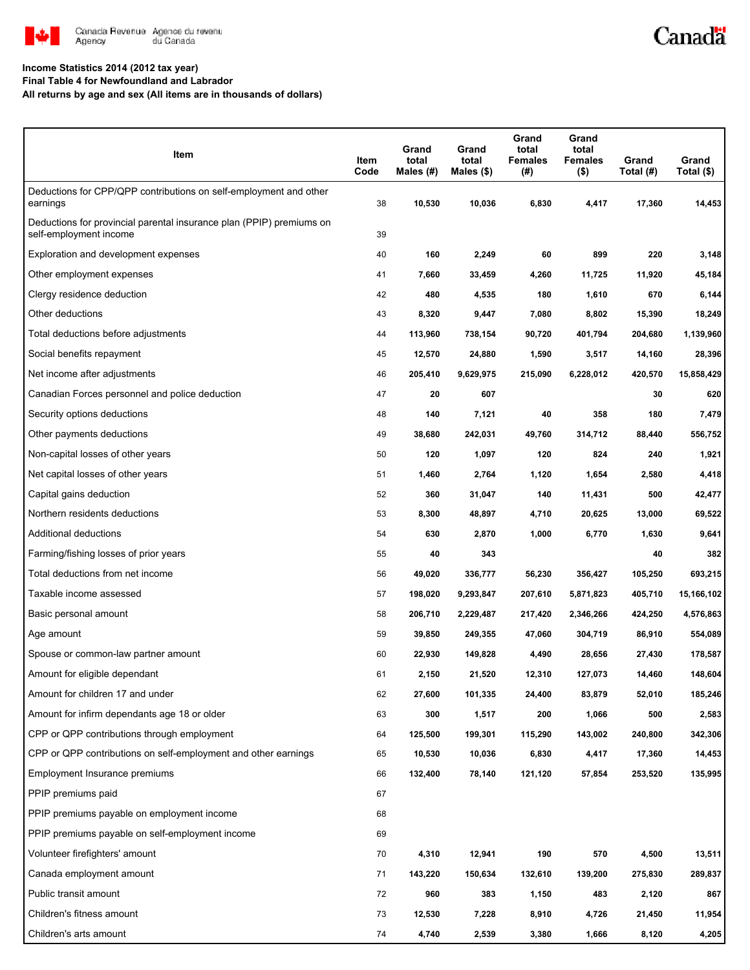

# Canadä

#### **Income Statistics 2014 (2012 tax year)**

**Final Table 4 for Newfoundland and Labrador**

**All returns by age and sex (All items are in thousands of dollars)**

| Item                                                                                           | Item<br>Code | Grand<br>total<br>Males (#) | Grand<br>total<br>Males (\$) | Grand<br>total<br>Females<br>(#) | Grand<br>total<br>Females<br>$($ \$) | Grand<br>Total (#) | Grand<br>Total (\$) |
|------------------------------------------------------------------------------------------------|--------------|-----------------------------|------------------------------|----------------------------------|--------------------------------------|--------------------|---------------------|
| Deductions for CPP/QPP contributions on self-employment and other<br>earnings                  | 38           | 10,530                      | 10,036                       | 6,830                            | 4,417                                | 17,360             | 14,453              |
| Deductions for provincial parental insurance plan (PPIP) premiums on<br>self-employment income | 39           |                             |                              |                                  |                                      |                    |                     |
| Exploration and development expenses                                                           | 40           | 160                         | 2,249                        | 60                               | 899                                  | 220                | 3,148               |
| Other employment expenses                                                                      | 41           | 7,660                       | 33,459                       | 4,260                            | 11,725                               | 11,920             | 45,184              |
| Clergy residence deduction                                                                     | 42           | 480                         | 4,535                        | 180                              | 1,610                                | 670                | 6,144               |
| Other deductions                                                                               | 43           | 8,320                       | 9,447                        | 7,080                            | 8,802                                | 15,390             | 18,249              |
| Total deductions before adjustments                                                            | 44           | 113,960                     | 738,154                      | 90,720                           | 401,794                              | 204,680            | 1,139,960           |
| Social benefits repayment                                                                      | 45           | 12,570                      | 24,880                       | 1,590                            | 3,517                                | 14,160             | 28,396              |
| Net income after adjustments                                                                   | 46           | 205,410                     | 9,629,975                    | 215,090                          | 6,228,012                            | 420,570            | 15,858,429          |
| Canadian Forces personnel and police deduction                                                 | 47           | 20                          | 607                          |                                  |                                      | 30                 | 620                 |
| Security options deductions                                                                    | 48           | 140                         | 7,121                        | 40                               | 358                                  | 180                | 7,479               |
| Other payments deductions                                                                      | 49           | 38,680                      | 242,031                      | 49,760                           | 314,712                              | 88,440             | 556,752             |
| Non-capital losses of other years                                                              | 50           | 120                         | 1,097                        | 120                              | 824                                  | 240                | 1,921               |
| Net capital losses of other years                                                              | 51           | 1,460                       | 2,764                        | 1,120                            | 1,654                                | 2,580              | 4,418               |
| Capital gains deduction                                                                        | 52           | 360                         | 31,047                       | 140                              | 11,431                               | 500                | 42,477              |
| Northern residents deductions                                                                  | 53           | 8,300                       | 48,897                       | 4,710                            | 20,625                               | 13,000             | 69,522              |
| Additional deductions                                                                          | 54           | 630                         | 2,870                        | 1,000                            | 6,770                                | 1,630              | 9,641               |
| Farming/fishing losses of prior years                                                          | 55           | 40                          | 343                          |                                  |                                      | 40                 | 382                 |
| Total deductions from net income                                                               | 56           | 49,020                      | 336,777                      | 56,230                           | 356,427                              | 105,250            | 693,215             |
| Taxable income assessed                                                                        | 57           | 198,020                     | 9,293,847                    | 207,610                          | 5,871,823                            | 405,710            | 15,166,102          |
| Basic personal amount                                                                          | 58           | 206,710                     | 2,229,487                    | 217,420                          | 2,346,266                            | 424,250            | 4,576,863           |
| Age amount                                                                                     | 59           | 39,850                      | 249,355                      | 47,060                           | 304,719                              | 86,910             | 554,089             |
| Spouse or common-law partner amount                                                            | 60           | 22,930                      | 149,828                      | 4,490                            | 28,656                               | 27,430             | 178,587             |
| Amount for eligible dependant                                                                  | 61           | 2,150                       | 21,520                       | 12,310                           | 127,073                              | 14,460             | 148,604             |
| Amount for children 17 and under                                                               | 62           | 27,600                      | 101,335                      | 24,400                           | 83,879                               | 52,010             | 185,246             |
| Amount for infirm dependants age 18 or older                                                   | 63           | 300                         | 1,517                        | 200                              | 1,066                                | 500                | 2,583               |
| CPP or QPP contributions through employment                                                    | 64           | 125,500                     | 199,301                      | 115,290                          | 143,002                              | 240,800            | 342,306             |
| CPP or QPP contributions on self-employment and other earnings                                 | 65           | 10,530                      | 10,036                       | 6,830                            | 4,417                                | 17,360             | 14,453              |
| Employment Insurance premiums                                                                  | 66           | 132,400                     | 78,140                       | 121,120                          | 57,854                               | 253,520            | 135,995             |
| PPIP premiums paid                                                                             | 67           |                             |                              |                                  |                                      |                    |                     |
| PPIP premiums payable on employment income                                                     | 68           |                             |                              |                                  |                                      |                    |                     |
| PPIP premiums payable on self-employment income                                                | 69           |                             |                              |                                  |                                      |                    |                     |
| Volunteer firefighters' amount                                                                 | 70           | 4,310                       | 12,941                       | 190                              | 570                                  | 4,500              | 13,511              |
| Canada employment amount                                                                       | 71           | 143,220                     | 150,634                      | 132,610                          | 139,200                              | 275,830            | 289,837             |
| Public transit amount                                                                          | 72           | 960                         | 383                          | 1,150                            | 483                                  | 2,120              | 867                 |
| Children's fitness amount                                                                      | 73           | 12,530                      | 7,228                        | 8,910                            | 4,726                                | 21,450             | 11,954              |
| Children's arts amount                                                                         | 74           | 4,740                       | 2,539                        | 3,380                            | 1,666                                | 8,120              | 4,205               |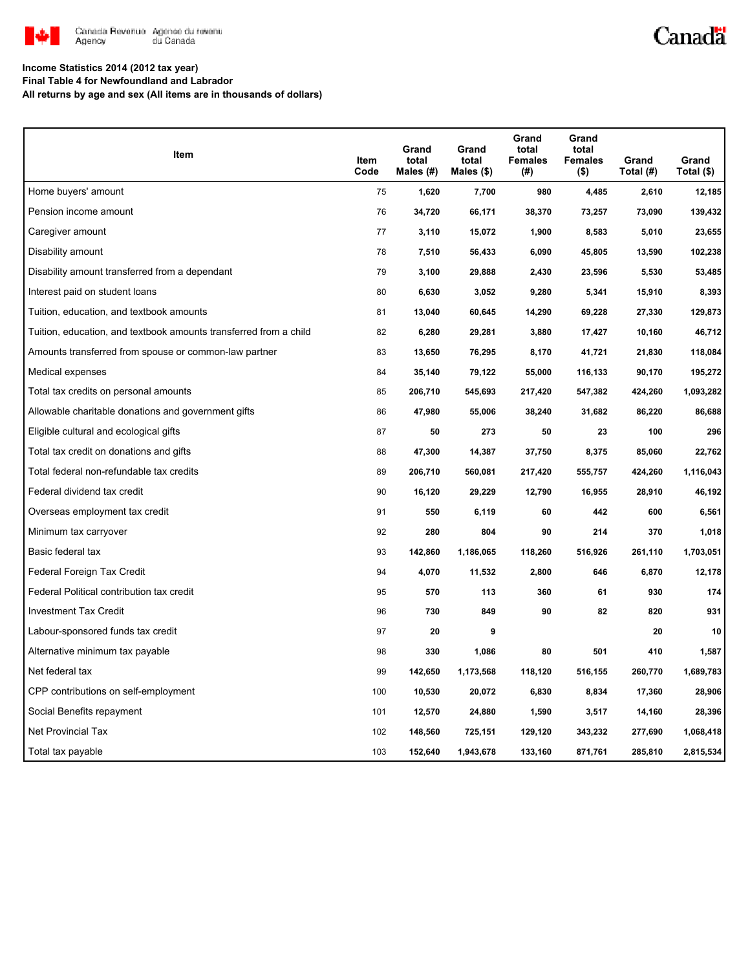

# Canadä

**Income Statistics 2014 (2012 tax year)**

**Final Table 4 for Newfoundland and Labrador**

**All returns by age and sex (All items are in thousands of dollars)**

| Item                                                              | Item<br>Code | Grand<br>total<br>Males (#) | Grand<br>total<br>Males $(\$)$ | Grand<br>total<br><b>Females</b><br>(#) | Grand<br>total<br><b>Females</b><br>$($ \$) | Grand<br>Total (#) | Grand<br>Total (\$) |
|-------------------------------------------------------------------|--------------|-----------------------------|--------------------------------|-----------------------------------------|---------------------------------------------|--------------------|---------------------|
| Home buyers' amount                                               | 75           | 1,620                       | 7,700                          | 980                                     | 4,485                                       | 2,610              | 12,185              |
| Pension income amount                                             | 76           | 34,720                      | 66,171                         | 38,370                                  | 73,257                                      | 73,090             | 139,432             |
| Caregiver amount                                                  | 77           | 3,110                       | 15,072                         | 1,900                                   | 8,583                                       | 5,010              | 23,655              |
| Disability amount                                                 | 78           | 7,510                       | 56,433                         | 6,090                                   | 45,805                                      | 13,590             | 102,238             |
| Disability amount transferred from a dependant                    | 79           | 3,100                       | 29,888                         | 2,430                                   | 23,596                                      | 5,530              | 53,485              |
| Interest paid on student loans                                    | 80           | 6,630                       | 3,052                          | 9,280                                   | 5,341                                       | 15,910             | 8,393               |
| Tuition, education, and textbook amounts                          | 81           | 13,040                      | 60,645                         | 14,290                                  | 69,228                                      | 27,330             | 129,873             |
| Tuition, education, and textbook amounts transferred from a child | 82           | 6,280                       | 29,281                         | 3,880                                   | 17,427                                      | 10,160             | 46,712              |
| Amounts transferred from spouse or common-law partner             | 83           | 13,650                      | 76,295                         | 8,170                                   | 41,721                                      | 21,830             | 118,084             |
| Medical expenses                                                  | 84           | 35,140                      | 79,122                         | 55,000                                  | 116,133                                     | 90,170             | 195,272             |
| Total tax credits on personal amounts                             | 85           | 206,710                     | 545,693                        | 217,420                                 | 547,382                                     | 424,260            | 1,093,282           |
| Allowable charitable donations and government gifts               | 86           | 47,980                      | 55,006                         | 38,240                                  | 31,682                                      | 86,220             | 86,688              |
| Eligible cultural and ecological gifts                            | 87           | 50                          | 273                            | 50                                      | 23                                          | 100                | 296                 |
| Total tax credit on donations and gifts                           | 88           | 47,300                      | 14,387                         | 37,750                                  | 8,375                                       | 85,060             | 22,762              |
| Total federal non-refundable tax credits                          | 89           | 206,710                     | 560,081                        | 217,420                                 | 555,757                                     | 424,260            | 1,116,043           |
| Federal dividend tax credit                                       | 90           | 16,120                      | 29,229                         | 12,790                                  | 16,955                                      | 28,910             | 46,192              |
| Overseas employment tax credit                                    | 91           | 550                         | 6,119                          | 60                                      | 442                                         | 600                | 6,561               |
| Minimum tax carryover                                             | 92           | 280                         | 804                            | 90                                      | 214                                         | 370                | 1,018               |
| Basic federal tax                                                 | 93           | 142,860                     | 1,186,065                      | 118,260                                 | 516,926                                     | 261,110            | 1,703,051           |
| Federal Foreign Tax Credit                                        | 94           | 4,070                       | 11,532                         | 2,800                                   | 646                                         | 6,870              | 12,178              |
| Federal Political contribution tax credit                         | 95           | 570                         | 113                            | 360                                     | 61                                          | 930                | 174                 |
| <b>Investment Tax Credit</b>                                      | 96           | 730                         | 849                            | 90                                      | 82                                          | 820                | 931                 |
| Labour-sponsored funds tax credit                                 | 97           | 20                          | 9                              |                                         |                                             | 20                 | 10                  |
| Alternative minimum tax payable                                   | 98           | 330                         | 1,086                          | 80                                      | 501                                         | 410                | 1,587               |
| Net federal tax                                                   | 99           | 142,650                     | 1,173,568                      | 118,120                                 | 516,155                                     | 260,770            | 1,689,783           |
| CPP contributions on self-employment                              | 100          | 10,530                      | 20,072                         | 6,830                                   | 8,834                                       | 17,360             | 28,906              |
| Social Benefits repayment                                         | 101          | 12,570                      | 24,880                         | 1,590                                   | 3,517                                       | 14,160             | 28,396              |
| Net Provincial Tax                                                | 102          | 148,560                     | 725,151                        | 129,120                                 | 343,232                                     | 277,690            | 1,068,418           |
| Total tax payable                                                 | 103          | 152,640                     | 1,943,678                      | 133,160                                 | 871,761                                     | 285,810            | 2,815,534           |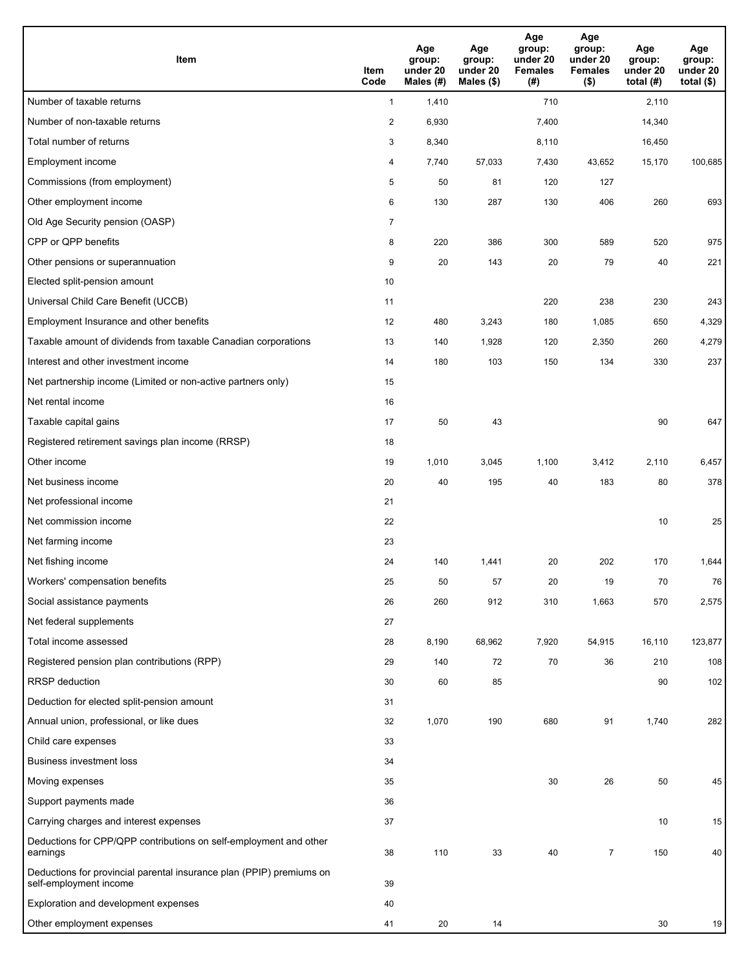| <b>Item</b>                                                                                    | Item<br>Code            | Age<br>group:<br>under 20<br>Males (#) | Age<br>group:<br>under 20<br>Males (\$) | Age<br>group:<br>under 20<br><b>Females</b><br>(# ) | Age<br>group:<br>under 20<br><b>Females</b><br>$($ \$) | Age<br>group:<br>under 20<br>total $(#)$ | Age<br>group:<br>under 20<br>total $($)$ |
|------------------------------------------------------------------------------------------------|-------------------------|----------------------------------------|-----------------------------------------|-----------------------------------------------------|--------------------------------------------------------|------------------------------------------|------------------------------------------|
| Number of taxable returns                                                                      | $\mathbf{1}$            | 1,410                                  |                                         | 710                                                 |                                                        | 2,110                                    |                                          |
| Number of non-taxable returns                                                                  | $\overline{\mathbf{c}}$ | 6,930                                  |                                         | 7,400                                               |                                                        | 14,340                                   |                                          |
| Total number of returns                                                                        | 3                       | 8,340                                  |                                         | 8,110                                               |                                                        | 16,450                                   |                                          |
| Employment income                                                                              | 4                       | 7,740                                  | 57,033                                  | 7,430                                               | 43,652                                                 | 15,170                                   | 100,685                                  |
| Commissions (from employment)                                                                  | 5                       | 50                                     | 81                                      | 120                                                 | 127                                                    |                                          |                                          |
| Other employment income                                                                        | 6                       | 130                                    | 287                                     | 130                                                 | 406                                                    | 260                                      | 693                                      |
| Old Age Security pension (OASP)                                                                | $\overline{7}$          |                                        |                                         |                                                     |                                                        |                                          |                                          |
| CPP or QPP benefits                                                                            | 8                       | 220                                    | 386                                     | 300                                                 | 589                                                    | 520                                      | 975                                      |
| Other pensions or superannuation                                                               | 9                       | 20                                     | 143                                     | 20                                                  | 79                                                     | 40                                       | 221                                      |
| Elected split-pension amount                                                                   | 10                      |                                        |                                         |                                                     |                                                        |                                          |                                          |
| Universal Child Care Benefit (UCCB)                                                            | 11                      |                                        |                                         | 220                                                 | 238                                                    | 230                                      | 243                                      |
| Employment Insurance and other benefits                                                        | 12                      | 480                                    | 3,243                                   | 180                                                 | 1,085                                                  | 650                                      | 4,329                                    |
| Taxable amount of dividends from taxable Canadian corporations                                 | 13                      | 140                                    | 1,928                                   | 120                                                 | 2,350                                                  | 260                                      | 4,279                                    |
| Interest and other investment income                                                           | 14                      | 180                                    | 103                                     | 150                                                 | 134                                                    | 330                                      | 237                                      |
| Net partnership income (Limited or non-active partners only)                                   | 15                      |                                        |                                         |                                                     |                                                        |                                          |                                          |
| Net rental income                                                                              | 16                      |                                        |                                         |                                                     |                                                        |                                          |                                          |
| Taxable capital gains                                                                          | 17                      | 50                                     | 43                                      |                                                     |                                                        | 90                                       | 647                                      |
| Registered retirement savings plan income (RRSP)                                               | 18                      |                                        |                                         |                                                     |                                                        |                                          |                                          |
| Other income                                                                                   | 19                      | 1,010                                  | 3,045                                   | 1,100                                               | 3,412                                                  | 2,110                                    | 6,457                                    |
| Net business income                                                                            | 20                      | 40                                     | 195                                     | 40                                                  | 183                                                    | 80                                       | 378                                      |
| Net professional income                                                                        | 21                      |                                        |                                         |                                                     |                                                        |                                          |                                          |
| Net commission income                                                                          | 22                      |                                        |                                         |                                                     |                                                        | 10                                       | 25                                       |
| Net farming income                                                                             | 23                      |                                        |                                         |                                                     |                                                        |                                          |                                          |
| Net fishing income                                                                             | 24                      | 140                                    | 1,441                                   | 20                                                  | 202                                                    | 170                                      | 1,644                                    |
| Workers' compensation benefits                                                                 | 25                      | 50                                     | 57                                      | 20                                                  | 19                                                     | 70                                       | 76                                       |
| Social assistance payments                                                                     | 26                      | 260                                    | 912                                     | 310                                                 | 1,663                                                  | 570                                      | 2,575                                    |
| Net federal supplements                                                                        | 27                      |                                        |                                         |                                                     |                                                        |                                          |                                          |
| Total income assessed                                                                          | 28                      | 8,190                                  | 68,962                                  | 7,920                                               | 54,915                                                 | 16,110                                   | 123,877                                  |
| Registered pension plan contributions (RPP)                                                    | 29                      | 140                                    | 72                                      | 70                                                  | 36                                                     | 210                                      | 108                                      |
| RRSP deduction                                                                                 | 30                      | 60                                     | 85                                      |                                                     |                                                        | 90                                       | 102                                      |
| Deduction for elected split-pension amount                                                     | 31                      |                                        |                                         |                                                     |                                                        |                                          |                                          |
| Annual union, professional, or like dues                                                       | 32                      | 1,070                                  | 190                                     | 680                                                 | 91                                                     | 1,740                                    | 282                                      |
| Child care expenses                                                                            | 33                      |                                        |                                         |                                                     |                                                        |                                          |                                          |
| <b>Business investment loss</b>                                                                | 34                      |                                        |                                         |                                                     |                                                        |                                          |                                          |
| Moving expenses                                                                                | 35                      |                                        |                                         | 30                                                  | 26                                                     | 50                                       | 45                                       |
| Support payments made                                                                          | 36                      |                                        |                                         |                                                     |                                                        |                                          |                                          |
| Carrying charges and interest expenses                                                         | 37                      |                                        |                                         |                                                     |                                                        | 10                                       | 15                                       |
| Deductions for CPP/QPP contributions on self-employment and other<br>earnings                  | 38                      | 110                                    | 33                                      | 40                                                  | $\overline{7}$                                         | 150                                      | 40                                       |
| Deductions for provincial parental insurance plan (PPIP) premiums on<br>self-employment income | 39                      |                                        |                                         |                                                     |                                                        |                                          |                                          |
| Exploration and development expenses                                                           | 40                      |                                        |                                         |                                                     |                                                        |                                          |                                          |
| Other employment expenses                                                                      | 41                      | 20                                     | 14                                      |                                                     |                                                        | 30                                       | 19                                       |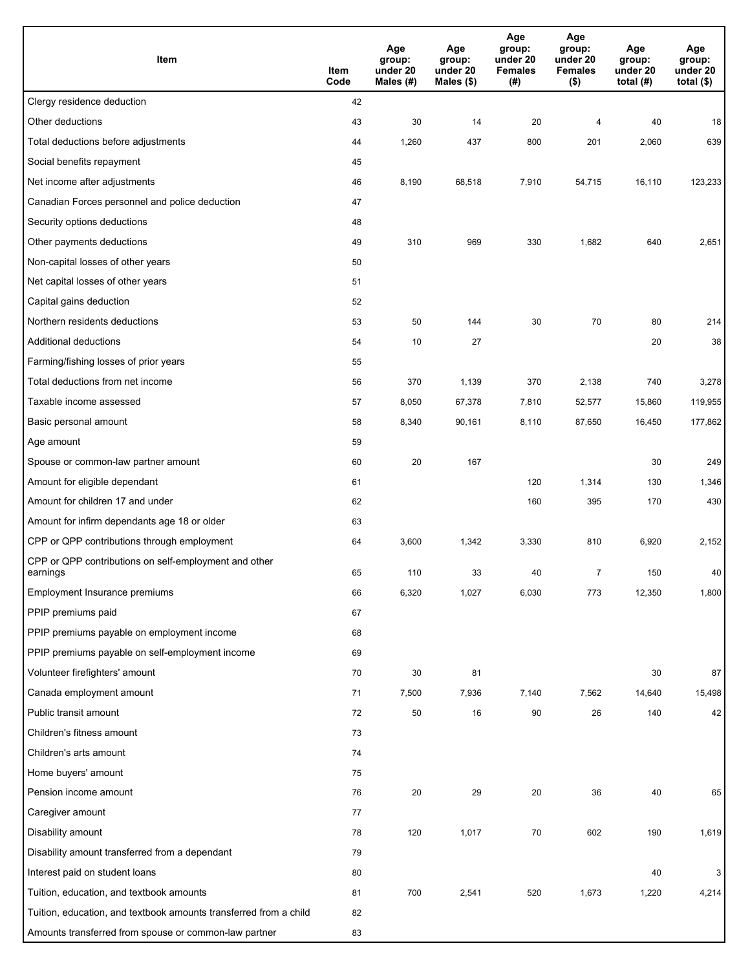| Item                                                              | Item<br>Code | Age<br>group:<br>under 20<br>Males (#) | Age<br>group:<br>under 20<br>Males (\$) | Age<br>group:<br>under 20<br><b>Females</b><br>(#) | Age<br>group:<br>under 20<br><b>Females</b><br>$($ \$) | Age<br>group:<br>under 20<br>total $(H)$ | Age<br>group:<br>under 20<br>total $($)$ |
|-------------------------------------------------------------------|--------------|----------------------------------------|-----------------------------------------|----------------------------------------------------|--------------------------------------------------------|------------------------------------------|------------------------------------------|
| Clergy residence deduction                                        | 42           |                                        |                                         |                                                    |                                                        |                                          |                                          |
| Other deductions                                                  | 43           | 30                                     | 14                                      | 20                                                 | $\overline{4}$                                         | 40                                       | 18                                       |
| Total deductions before adjustments                               | 44           | 1,260                                  | 437                                     | 800                                                | 201                                                    | 2,060                                    | 639                                      |
| Social benefits repayment                                         | 45           |                                        |                                         |                                                    |                                                        |                                          |                                          |
| Net income after adjustments                                      | 46           | 8,190                                  | 68,518                                  | 7,910                                              | 54,715                                                 | 16,110                                   | 123,233                                  |
| Canadian Forces personnel and police deduction                    | 47           |                                        |                                         |                                                    |                                                        |                                          |                                          |
| Security options deductions                                       | 48           |                                        |                                         |                                                    |                                                        |                                          |                                          |
| Other payments deductions                                         | 49           | 310                                    | 969                                     | 330                                                | 1,682                                                  | 640                                      | 2,651                                    |
| Non-capital losses of other years                                 | 50           |                                        |                                         |                                                    |                                                        |                                          |                                          |
| Net capital losses of other years                                 | 51           |                                        |                                         |                                                    |                                                        |                                          |                                          |
| Capital gains deduction                                           | 52           |                                        |                                         |                                                    |                                                        |                                          |                                          |
| Northern residents deductions                                     | 53           | 50                                     | 144                                     | 30                                                 | 70                                                     | 80                                       | 214                                      |
| Additional deductions                                             | 54           | 10                                     | 27                                      |                                                    |                                                        | 20                                       | 38                                       |
| Farming/fishing losses of prior years                             | 55           |                                        |                                         |                                                    |                                                        |                                          |                                          |
| Total deductions from net income                                  | 56           | 370                                    | 1,139                                   | 370                                                | 2,138                                                  | 740                                      | 3,278                                    |
| Taxable income assessed                                           | 57           | 8,050                                  | 67,378                                  | 7,810                                              | 52,577                                                 | 15,860                                   | 119,955                                  |
| Basic personal amount                                             | 58           | 8,340                                  | 90,161                                  | 8,110                                              | 87,650                                                 | 16,450                                   | 177,862                                  |
| Age amount                                                        | 59           |                                        |                                         |                                                    |                                                        |                                          |                                          |
| Spouse or common-law partner amount                               | 60           | 20                                     | 167                                     |                                                    |                                                        | 30                                       | 249                                      |
| Amount for eligible dependant                                     | 61           |                                        |                                         | 120                                                | 1,314                                                  | 130                                      | 1,346                                    |
| Amount for children 17 and under                                  | 62           |                                        |                                         | 160                                                | 395                                                    | 170                                      | 430                                      |
| Amount for infirm dependants age 18 or older                      | 63           |                                        |                                         |                                                    |                                                        |                                          |                                          |
| CPP or QPP contributions through employment                       | 64           | 3,600                                  | 1,342                                   | 3,330                                              | 810                                                    | 6,920                                    | 2,152                                    |
| CPP or QPP contributions on self-employment and other<br>earnings | 65           | 110                                    | 33                                      | 40                                                 | 7                                                      | 150                                      | 40                                       |
| Employment Insurance premiums                                     | 66           | 6,320                                  | 1,027                                   | 6,030                                              | 773                                                    | 12,350                                   | 1,800                                    |
| PPIP premiums paid                                                | 67           |                                        |                                         |                                                    |                                                        |                                          |                                          |
| PPIP premiums payable on employment income                        | 68           |                                        |                                         |                                                    |                                                        |                                          |                                          |
| PPIP premiums payable on self-employment income                   | 69           |                                        |                                         |                                                    |                                                        |                                          |                                          |
| Volunteer firefighters' amount                                    | 70           | 30                                     | 81                                      |                                                    |                                                        | 30                                       | 87                                       |
| Canada employment amount                                          | 71           | 7,500                                  | 7,936                                   | 7,140                                              | 7,562                                                  | 14,640                                   | 15,498                                   |
| Public transit amount                                             | 72           | 50                                     | 16                                      | 90                                                 | 26                                                     | 140                                      | 42                                       |
| Children's fitness amount                                         | 73           |                                        |                                         |                                                    |                                                        |                                          |                                          |
| Children's arts amount                                            | 74           |                                        |                                         |                                                    |                                                        |                                          |                                          |
| Home buyers' amount                                               | 75           |                                        |                                         |                                                    |                                                        |                                          |                                          |
| Pension income amount                                             | 76           | 20                                     | 29                                      | 20                                                 | 36                                                     | 40                                       | 65                                       |
| Caregiver amount                                                  | 77           |                                        |                                         |                                                    |                                                        |                                          |                                          |
| Disability amount                                                 | 78           | 120                                    | 1,017                                   | 70                                                 | 602                                                    | 190                                      | 1,619                                    |
| Disability amount transferred from a dependant                    | 79           |                                        |                                         |                                                    |                                                        |                                          |                                          |
| Interest paid on student loans                                    | 80           |                                        |                                         |                                                    |                                                        | 40                                       | 3                                        |
| Tuition, education, and textbook amounts                          | 81           | 700                                    | 2,541                                   | 520                                                | 1,673                                                  | 1,220                                    | 4,214                                    |
| Tuition, education, and textbook amounts transferred from a child | 82           |                                        |                                         |                                                    |                                                        |                                          |                                          |
| Amounts transferred from spouse or common-law partner             | 83           |                                        |                                         |                                                    |                                                        |                                          |                                          |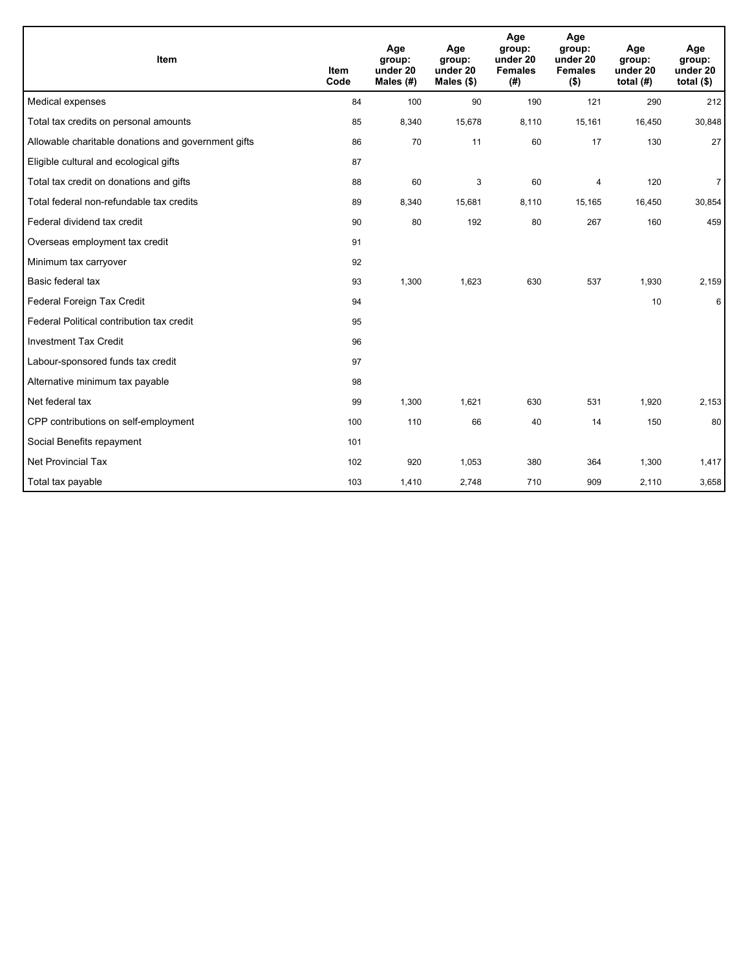| Item                                                | <b>Item</b><br>Code | Age<br>group:<br>under 20<br>Males $(H)$ | Age<br>group:<br>under 20<br>Males $(\$)$ | Age<br>group:<br>under 20<br><b>Females</b><br>(#) | Age<br>group:<br>under 20<br><b>Females</b><br>$($ \$) | Age<br>group:<br>under 20<br>total $(H)$ | Age<br>group:<br>under 20<br>total $(§)$ |
|-----------------------------------------------------|---------------------|------------------------------------------|-------------------------------------------|----------------------------------------------------|--------------------------------------------------------|------------------------------------------|------------------------------------------|
| Medical expenses                                    | 84                  | 100                                      | 90                                        | 190                                                | 121                                                    | 290                                      | 212                                      |
| Total tax credits on personal amounts               | 85                  | 8,340                                    | 15,678                                    | 8,110                                              | 15,161                                                 | 16,450                                   | 30,848                                   |
| Allowable charitable donations and government gifts | 86                  | 70                                       | 11                                        | 60                                                 | 17                                                     | 130                                      | 27                                       |
| Eligible cultural and ecological gifts              | 87                  |                                          |                                           |                                                    |                                                        |                                          |                                          |
| Total tax credit on donations and gifts             | 88                  | 60                                       | 3                                         | 60                                                 | $\overline{\mathbf{4}}$                                | 120                                      | $\overline{7}$                           |
| Total federal non-refundable tax credits            | 89                  | 8,340                                    | 15,681                                    | 8,110                                              | 15,165                                                 | 16,450                                   | 30,854                                   |
| Federal dividend tax credit                         | 90                  | 80                                       | 192                                       | 80                                                 | 267                                                    | 160                                      | 459                                      |
| Overseas employment tax credit                      | 91                  |                                          |                                           |                                                    |                                                        |                                          |                                          |
| Minimum tax carryover                               | 92                  |                                          |                                           |                                                    |                                                        |                                          |                                          |
| Basic federal tax                                   | 93                  | 1,300                                    | 1,623                                     | 630                                                | 537                                                    | 1,930                                    | 2,159                                    |
| Federal Foreign Tax Credit                          | 94                  |                                          |                                           |                                                    |                                                        | 10                                       | 6                                        |
| Federal Political contribution tax credit           | 95                  |                                          |                                           |                                                    |                                                        |                                          |                                          |
| <b>Investment Tax Credit</b>                        | 96                  |                                          |                                           |                                                    |                                                        |                                          |                                          |
| Labour-sponsored funds tax credit                   | 97                  |                                          |                                           |                                                    |                                                        |                                          |                                          |
| Alternative minimum tax payable                     | 98                  |                                          |                                           |                                                    |                                                        |                                          |                                          |
| Net federal tax                                     | 99                  | 1,300                                    | 1.621                                     | 630                                                | 531                                                    | 1,920                                    | 2,153                                    |
| CPP contributions on self-employment                | 100                 | 110                                      | 66                                        | 40                                                 | 14                                                     | 150                                      | 80                                       |
| Social Benefits repayment                           | 101                 |                                          |                                           |                                                    |                                                        |                                          |                                          |
| <b>Net Provincial Tax</b>                           | 102                 | 920                                      | 1,053                                     | 380                                                | 364                                                    | 1,300                                    | 1,417                                    |
| Total tax payable                                   | 103                 | 1,410                                    | 2,748                                     | 710                                                | 909                                                    | 2,110                                    | 3,658                                    |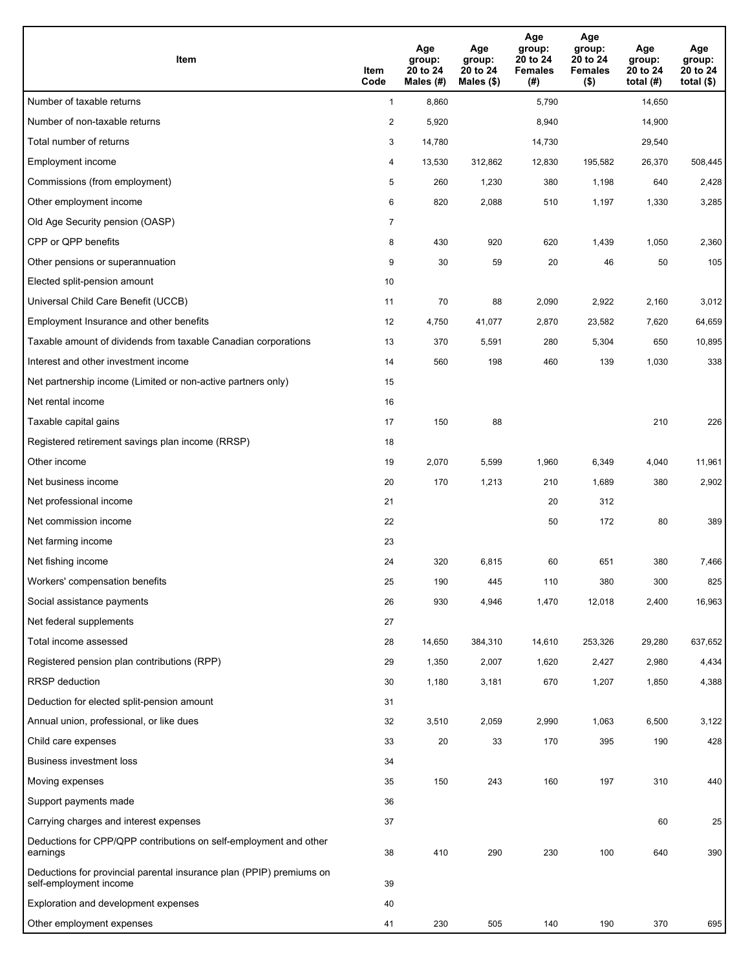| <b>Item</b>                                                                                    | Item<br>Code            | Age<br>group:<br>20 to 24<br>Males (#) | Age<br>group:<br>20 to 24<br>Males (\$) | Age<br>group:<br>20 to 24<br><b>Females</b><br>(#) | Age<br>group:<br>20 to 24<br><b>Females</b><br>$($ \$) | Age<br>group:<br>20 to 24<br>total $(#)$ | Age<br>group:<br>20 to 24<br>total $($)$ |
|------------------------------------------------------------------------------------------------|-------------------------|----------------------------------------|-----------------------------------------|----------------------------------------------------|--------------------------------------------------------|------------------------------------------|------------------------------------------|
| Number of taxable returns                                                                      | $\mathbf{1}$            | 8,860                                  |                                         | 5,790                                              |                                                        | 14,650                                   |                                          |
| Number of non-taxable returns                                                                  | $\overline{\mathbf{c}}$ | 5,920                                  |                                         | 8,940                                              |                                                        | 14,900                                   |                                          |
| Total number of returns                                                                        | 3                       | 14,780                                 |                                         | 14,730                                             |                                                        | 29,540                                   |                                          |
| Employment income                                                                              | 4                       | 13,530                                 | 312.862                                 | 12,830                                             | 195,582                                                | 26,370                                   | 508,445                                  |
| Commissions (from employment)                                                                  | 5                       | 260                                    | 1,230                                   | 380                                                | 1,198                                                  | 640                                      | 2,428                                    |
| Other employment income                                                                        | 6                       | 820                                    | 2,088                                   | 510                                                | 1,197                                                  | 1,330                                    | 3,285                                    |
| Old Age Security pension (OASP)                                                                | $\overline{7}$          |                                        |                                         |                                                    |                                                        |                                          |                                          |
| CPP or QPP benefits                                                                            | 8                       | 430                                    | 920                                     | 620                                                | 1,439                                                  | 1,050                                    | 2,360                                    |
| Other pensions or superannuation                                                               | 9                       | 30                                     | 59                                      | 20                                                 | 46                                                     | 50                                       | 105                                      |
| Elected split-pension amount                                                                   | 10                      |                                        |                                         |                                                    |                                                        |                                          |                                          |
| Universal Child Care Benefit (UCCB)                                                            | 11                      | 70                                     | 88                                      | 2,090                                              | 2,922                                                  | 2,160                                    | 3,012                                    |
| Employment Insurance and other benefits                                                        | 12                      | 4,750                                  | 41,077                                  | 2,870                                              | 23,582                                                 | 7,620                                    | 64,659                                   |
| Taxable amount of dividends from taxable Canadian corporations                                 | 13                      | 370                                    | 5,591                                   | 280                                                | 5,304                                                  | 650                                      | 10,895                                   |
| Interest and other investment income                                                           | 14                      | 560                                    | 198                                     | 460                                                | 139                                                    | 1,030                                    | 338                                      |
| Net partnership income (Limited or non-active partners only)                                   | 15                      |                                        |                                         |                                                    |                                                        |                                          |                                          |
| Net rental income                                                                              | 16                      |                                        |                                         |                                                    |                                                        |                                          |                                          |
| Taxable capital gains                                                                          | 17                      | 150                                    | 88                                      |                                                    |                                                        | 210                                      | 226                                      |
| Registered retirement savings plan income (RRSP)                                               | 18                      |                                        |                                         |                                                    |                                                        |                                          |                                          |
| Other income                                                                                   | 19                      | 2,070                                  | 5,599                                   | 1,960                                              | 6,349                                                  | 4,040                                    | 11,961                                   |
| Net business income                                                                            | 20                      | 170                                    | 1,213                                   | 210                                                | 1,689                                                  | 380                                      | 2,902                                    |
| Net professional income                                                                        | 21                      |                                        |                                         | 20                                                 | 312                                                    |                                          |                                          |
| Net commission income                                                                          | 22                      |                                        |                                         | 50                                                 | 172                                                    | 80                                       | 389                                      |
| Net farming income                                                                             | 23                      |                                        |                                         |                                                    |                                                        |                                          |                                          |
| Net fishing income                                                                             | 24                      | 320                                    | 6,815                                   | 60                                                 | 651                                                    | 380                                      | 7,466                                    |
| Workers' compensation benefits                                                                 | 25                      | 190                                    | 445                                     | 110                                                | 380                                                    | 300                                      | 825                                      |
| Social assistance payments                                                                     | 26                      | 930                                    | 4,946                                   | 1,470                                              | 12,018                                                 | 2,400                                    | 16,963                                   |
| Net federal supplements                                                                        | 27                      |                                        |                                         |                                                    |                                                        |                                          |                                          |
| Total income assessed                                                                          | 28                      | 14,650                                 | 384,310                                 | 14,610                                             | 253,326                                                | 29,280                                   | 637,652                                  |
| Registered pension plan contributions (RPP)                                                    | 29                      | 1,350                                  | 2,007                                   | 1,620                                              | 2,427                                                  | 2,980                                    | 4,434                                    |
| RRSP deduction                                                                                 | 30                      | 1,180                                  | 3,181                                   | 670                                                | 1,207                                                  | 1,850                                    | 4,388                                    |
| Deduction for elected split-pension amount                                                     | 31                      |                                        |                                         |                                                    |                                                        |                                          |                                          |
| Annual union, professional, or like dues                                                       | 32                      | 3,510                                  | 2,059                                   | 2,990                                              | 1,063                                                  | 6,500                                    | 3,122                                    |
| Child care expenses                                                                            | 33                      | 20                                     | 33                                      | 170                                                | 395                                                    | 190                                      | 428                                      |
| <b>Business investment loss</b>                                                                | 34                      |                                        |                                         |                                                    |                                                        |                                          |                                          |
| Moving expenses                                                                                | 35                      | 150                                    | 243                                     | 160                                                | 197                                                    | 310                                      | 440                                      |
| Support payments made                                                                          | 36                      |                                        |                                         |                                                    |                                                        |                                          |                                          |
| Carrying charges and interest expenses                                                         | 37                      |                                        |                                         |                                                    |                                                        | 60                                       | 25                                       |
| Deductions for CPP/QPP contributions on self-employment and other<br>earnings                  | 38                      | 410                                    | 290                                     | 230                                                | 100                                                    | 640                                      | 390                                      |
| Deductions for provincial parental insurance plan (PPIP) premiums on<br>self-employment income | 39                      |                                        |                                         |                                                    |                                                        |                                          |                                          |
| Exploration and development expenses                                                           | 40                      |                                        |                                         |                                                    |                                                        |                                          |                                          |
| Other employment expenses                                                                      | 41                      | 230                                    | 505                                     | 140                                                | 190                                                    | 370                                      | 695                                      |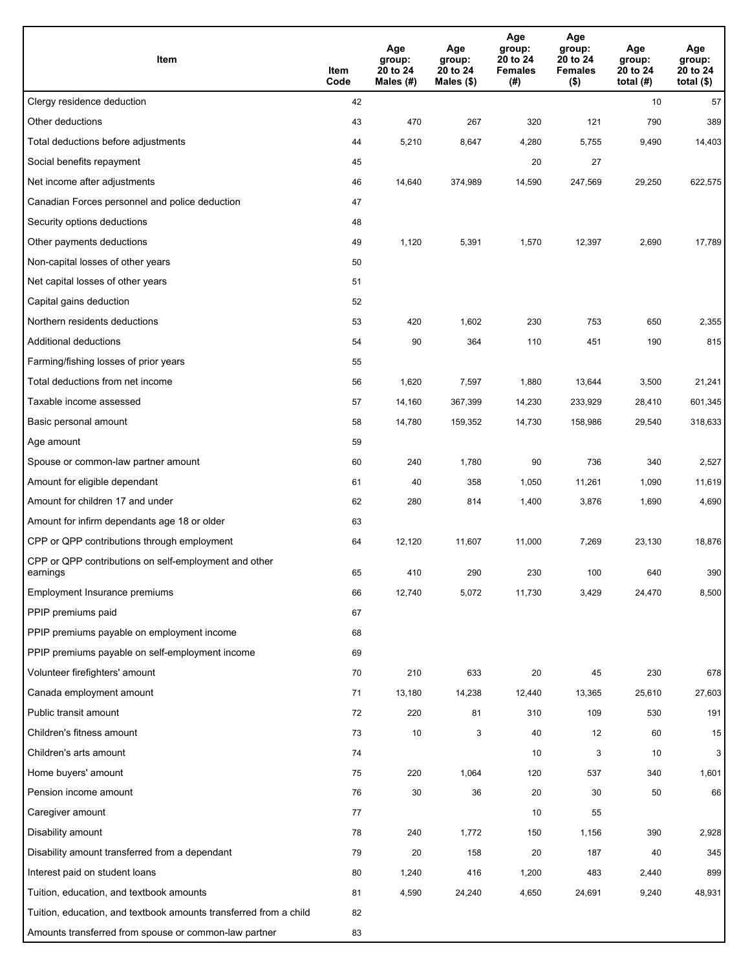| Item                                                              | Item<br>Code | Age<br>group:<br>20 to 24<br>Males (#) | Age<br>group:<br>20 to 24<br>Males $(\$)$ | Age<br>group:<br>20 to 24<br><b>Females</b><br>(#) | Age<br>group:<br>20 to 24<br><b>Females</b><br>$($ \$) | Age<br>group:<br>20 to 24<br>total $(H)$ | Age<br>group:<br>20 to 24<br>total $($)$ |
|-------------------------------------------------------------------|--------------|----------------------------------------|-------------------------------------------|----------------------------------------------------|--------------------------------------------------------|------------------------------------------|------------------------------------------|
| Clergy residence deduction                                        | 42           |                                        |                                           |                                                    |                                                        | 10                                       | 57                                       |
| Other deductions                                                  | 43           | 470                                    | 267                                       | 320                                                | 121                                                    | 790                                      | 389                                      |
| Total deductions before adjustments                               | 44           | 5,210                                  | 8,647                                     | 4,280                                              | 5,755                                                  | 9,490                                    | 14,403                                   |
| Social benefits repayment                                         | 45           |                                        |                                           | 20                                                 | 27                                                     |                                          |                                          |
| Net income after adjustments                                      | 46           | 14,640                                 | 374,989                                   | 14,590                                             | 247,569                                                | 29,250                                   | 622,575                                  |
| Canadian Forces personnel and police deduction                    | 47           |                                        |                                           |                                                    |                                                        |                                          |                                          |
| Security options deductions                                       | 48           |                                        |                                           |                                                    |                                                        |                                          |                                          |
| Other payments deductions                                         | 49           | 1,120                                  | 5,391                                     | 1,570                                              | 12,397                                                 | 2,690                                    | 17,789                                   |
| Non-capital losses of other years                                 | 50           |                                        |                                           |                                                    |                                                        |                                          |                                          |
| Net capital losses of other years                                 | 51           |                                        |                                           |                                                    |                                                        |                                          |                                          |
| Capital gains deduction                                           | 52           |                                        |                                           |                                                    |                                                        |                                          |                                          |
| Northern residents deductions                                     | 53           | 420                                    | 1,602                                     | 230                                                | 753                                                    | 650                                      | 2,355                                    |
| Additional deductions                                             | 54           | 90                                     | 364                                       | 110                                                | 451                                                    | 190                                      | 815                                      |
| Farming/fishing losses of prior years                             | 55           |                                        |                                           |                                                    |                                                        |                                          |                                          |
| Total deductions from net income                                  | 56           | 1,620                                  | 7,597                                     | 1,880                                              | 13,644                                                 | 3,500                                    | 21,241                                   |
| Taxable income assessed                                           | 57           | 14,160                                 | 367,399                                   | 14,230                                             | 233,929                                                | 28,410                                   | 601,345                                  |
| Basic personal amount                                             | 58           | 14,780                                 | 159,352                                   | 14,730                                             | 158,986                                                | 29,540                                   | 318,633                                  |
| Age amount                                                        | 59           |                                        |                                           |                                                    |                                                        |                                          |                                          |
| Spouse or common-law partner amount                               | 60           | 240                                    | 1,780                                     | 90                                                 | 736                                                    | 340                                      | 2,527                                    |
| Amount for eligible dependant                                     | 61           | 40                                     | 358                                       | 1,050                                              | 11,261                                                 | 1,090                                    | 11,619                                   |
| Amount for children 17 and under                                  | 62           | 280                                    | 814                                       | 1,400                                              | 3,876                                                  | 1,690                                    | 4,690                                    |
| Amount for infirm dependants age 18 or older                      | 63           |                                        |                                           |                                                    |                                                        |                                          |                                          |
| CPP or QPP contributions through employment                       | 64           | 12,120                                 | 11,607                                    | 11,000                                             | 7,269                                                  | 23,130                                   | 18,876                                   |
| CPP or QPP contributions on self-employment and other<br>earnings | 65           | 410                                    | 290                                       | 230                                                | 100                                                    | 640                                      | 390                                      |
| Employment Insurance premiums                                     | 66           | 12,740                                 | 5,072                                     | 11,730                                             | 3,429                                                  | 24,470                                   | 8,500                                    |
| PPIP premiums paid                                                | 67           |                                        |                                           |                                                    |                                                        |                                          |                                          |
| PPIP premiums payable on employment income                        | 68           |                                        |                                           |                                                    |                                                        |                                          |                                          |
| PPIP premiums payable on self-employment income                   | 69           |                                        |                                           |                                                    |                                                        |                                          |                                          |
| Volunteer firefighters' amount                                    | 70           | 210                                    | 633                                       | 20                                                 | 45                                                     | 230                                      | 678                                      |
| Canada employment amount                                          | 71           | 13,180                                 | 14,238                                    | 12,440                                             | 13,365                                                 | 25,610                                   | 27,603                                   |
| Public transit amount                                             | 72           | 220                                    | 81                                        | 310                                                | 109                                                    | 530                                      | 191                                      |
| Children's fitness amount                                         | 73           | 10                                     | 3                                         | 40                                                 | 12                                                     | 60                                       | 15                                       |
| Children's arts amount                                            | 74           |                                        |                                           | 10                                                 | 3                                                      | 10                                       | 3 <sup>1</sup>                           |
| Home buyers' amount                                               | 75           | 220                                    | 1,064                                     | 120                                                | 537                                                    | 340                                      | 1,601                                    |
| Pension income amount                                             | 76           | 30                                     | 36                                        | 20                                                 | 30                                                     | 50                                       | 66                                       |
| Caregiver amount                                                  | 77           |                                        |                                           | 10                                                 | 55                                                     |                                          |                                          |
| Disability amount                                                 | 78           | 240                                    | 1,772                                     | 150                                                | 1,156                                                  | 390                                      | 2,928                                    |
| Disability amount transferred from a dependant                    | 79           | 20                                     | 158                                       | 20                                                 | 187                                                    | 40                                       | 345                                      |
| Interest paid on student loans                                    | 80           | 1,240                                  | 416                                       | 1,200                                              | 483                                                    | 2,440                                    | 899                                      |
| Tuition, education, and textbook amounts                          | 81           | 4,590                                  | 24,240                                    | 4,650                                              | 24,691                                                 | 9,240                                    | 48,931                                   |
| Tuition, education, and textbook amounts transferred from a child | 82           |                                        |                                           |                                                    |                                                        |                                          |                                          |
| Amounts transferred from spouse or common-law partner             | 83           |                                        |                                           |                                                    |                                                        |                                          |                                          |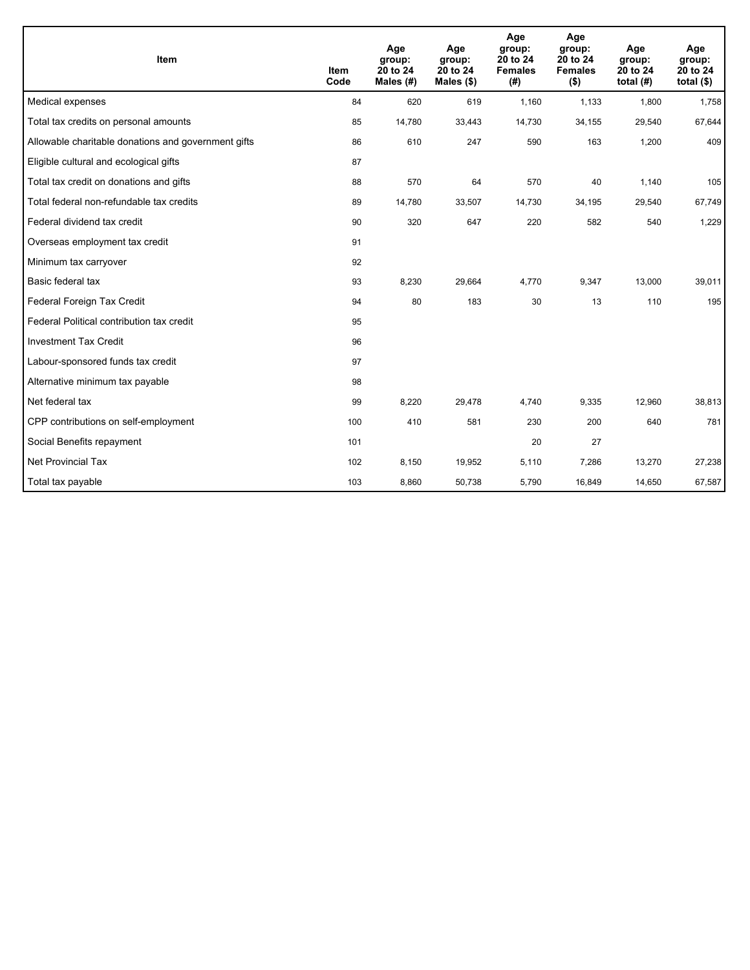| Item                                                | <b>Item</b><br>Code | Age<br>group:<br>20 to 24<br>Males $(H)$ | Age<br>group:<br>20 to 24<br>Males $(\$)$ | Age<br>group:<br>20 to 24<br><b>Females</b><br>(# ) | Age<br>group:<br>20 to 24<br><b>Females</b><br>$($ \$) | Age<br>group:<br>20 to 24<br>total $(H)$ | Age<br>group:<br>20 to 24<br>total $($)$ |
|-----------------------------------------------------|---------------------|------------------------------------------|-------------------------------------------|-----------------------------------------------------|--------------------------------------------------------|------------------------------------------|------------------------------------------|
| Medical expenses                                    | 84                  | 620                                      | 619                                       | 1,160                                               | 1,133                                                  | 1,800                                    | 1,758                                    |
| Total tax credits on personal amounts               | 85                  | 14,780                                   | 33,443                                    | 14,730                                              | 34,155                                                 | 29,540                                   | 67,644                                   |
| Allowable charitable donations and government gifts | 86                  | 610                                      | 247                                       | 590                                                 | 163                                                    | 1,200                                    | 409                                      |
| Eligible cultural and ecological gifts              | 87                  |                                          |                                           |                                                     |                                                        |                                          |                                          |
| Total tax credit on donations and gifts             | 88                  | 570                                      | 64                                        | 570                                                 | 40                                                     | 1,140                                    | 105                                      |
| Total federal non-refundable tax credits            | 89                  | 14,780                                   | 33,507                                    | 14,730                                              | 34,195                                                 | 29,540                                   | 67,749                                   |
| Federal dividend tax credit                         | 90                  | 320                                      | 647                                       | 220                                                 | 582                                                    | 540                                      | 1,229                                    |
| Overseas employment tax credit                      | 91                  |                                          |                                           |                                                     |                                                        |                                          |                                          |
| Minimum tax carryover                               | 92                  |                                          |                                           |                                                     |                                                        |                                          |                                          |
| Basic federal tax                                   | 93                  | 8,230                                    | 29,664                                    | 4,770                                               | 9,347                                                  | 13,000                                   | 39,011                                   |
| Federal Foreign Tax Credit                          | 94                  | 80                                       | 183                                       | 30                                                  | 13                                                     | 110                                      | 195                                      |
| Federal Political contribution tax credit           | 95                  |                                          |                                           |                                                     |                                                        |                                          |                                          |
| <b>Investment Tax Credit</b>                        | 96                  |                                          |                                           |                                                     |                                                        |                                          |                                          |
| Labour-sponsored funds tax credit                   | 97                  |                                          |                                           |                                                     |                                                        |                                          |                                          |
| Alternative minimum tax payable                     | 98                  |                                          |                                           |                                                     |                                                        |                                          |                                          |
| Net federal tax                                     | 99                  | 8,220                                    | 29,478                                    | 4.740                                               | 9,335                                                  | 12,960                                   | 38,813                                   |
| CPP contributions on self-employment                | 100                 | 410                                      | 581                                       | 230                                                 | 200                                                    | 640                                      | 781                                      |
| Social Benefits repayment                           | 101                 |                                          |                                           | 20                                                  | 27                                                     |                                          |                                          |
| Net Provincial Tax                                  | 102                 | 8,150                                    | 19,952                                    | 5,110                                               | 7,286                                                  | 13,270                                   | 27,238                                   |
| Total tax payable                                   | 103                 | 8,860                                    | 50,738                                    | 5,790                                               | 16,849                                                 | 14,650                                   | 67,587                                   |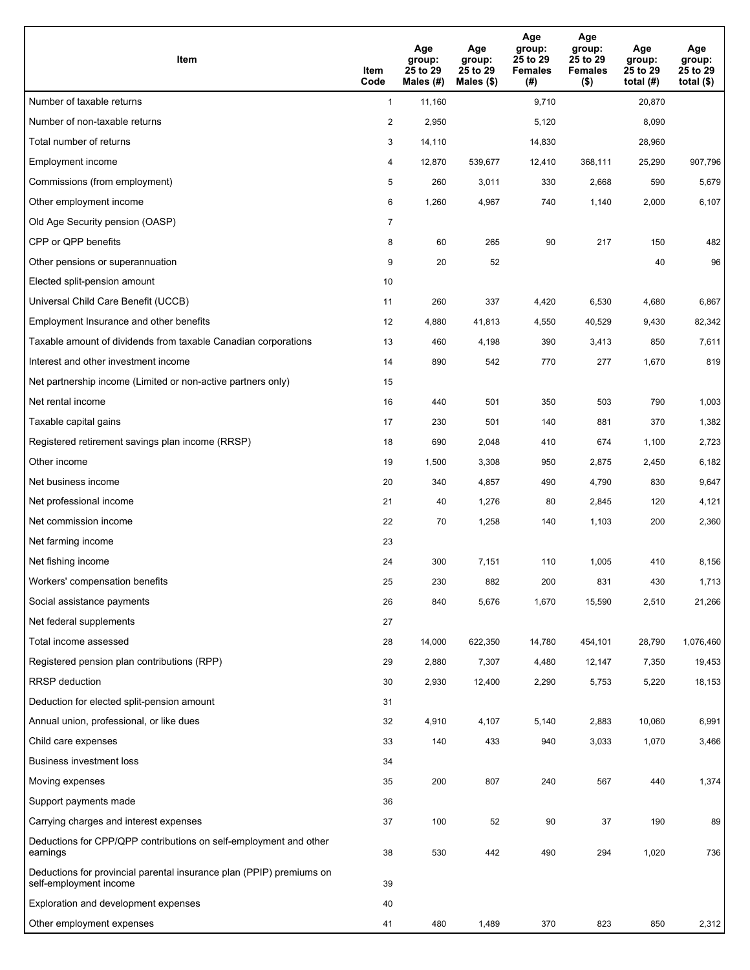| Item                                                                                           | Item<br>Code   | Age<br>group:<br>25 to 29<br>Males (#) | Age<br>group:<br>25 to 29<br>Males $(\$)$ | Age<br>group:<br>25 to 29<br><b>Females</b><br>(#) | Age<br>group:<br>25 to 29<br><b>Females</b><br>$($ \$) | Age<br>group:<br>25 to 29<br>total $(H)$ | Age<br>group:<br>25 to 29<br>total $($)$ |
|------------------------------------------------------------------------------------------------|----------------|----------------------------------------|-------------------------------------------|----------------------------------------------------|--------------------------------------------------------|------------------------------------------|------------------------------------------|
| Number of taxable returns                                                                      | $\mathbf{1}$   | 11,160                                 |                                           | 9,710                                              |                                                        | 20,870                                   |                                          |
| Number of non-taxable returns                                                                  | 2              | 2,950                                  |                                           | 5,120                                              |                                                        | 8,090                                    |                                          |
| Total number of returns                                                                        | 3              | 14,110                                 |                                           | 14,830                                             |                                                        | 28,960                                   |                                          |
| Employment income                                                                              | 4              | 12,870                                 | 539,677                                   | 12,410                                             | 368,111                                                | 25,290                                   | 907,796                                  |
| Commissions (from employment)                                                                  | 5              | 260                                    | 3,011                                     | 330                                                | 2,668                                                  | 590                                      | 5,679                                    |
| Other employment income                                                                        | 6              | 1,260                                  | 4,967                                     | 740                                                | 1,140                                                  | 2,000                                    | 6,107                                    |
| Old Age Security pension (OASP)                                                                | $\overline{7}$ |                                        |                                           |                                                    |                                                        |                                          |                                          |
| CPP or QPP benefits                                                                            | 8              | 60                                     | 265                                       | 90                                                 | 217                                                    | 150                                      | 482                                      |
| Other pensions or superannuation                                                               | 9              | 20                                     | 52                                        |                                                    |                                                        | 40                                       | 96                                       |
| Elected split-pension amount                                                                   | 10             |                                        |                                           |                                                    |                                                        |                                          |                                          |
| Universal Child Care Benefit (UCCB)                                                            | 11             | 260                                    | 337                                       | 4,420                                              | 6,530                                                  | 4,680                                    | 6,867                                    |
| Employment Insurance and other benefits                                                        | 12             | 4,880                                  | 41,813                                    | 4,550                                              | 40,529                                                 | 9,430                                    | 82,342                                   |
| Taxable amount of dividends from taxable Canadian corporations                                 | 13             | 460                                    | 4,198                                     | 390                                                | 3,413                                                  | 850                                      | 7,611                                    |
| Interest and other investment income                                                           | 14             | 890                                    | 542                                       | 770                                                | 277                                                    | 1,670                                    | 819                                      |
| Net partnership income (Limited or non-active partners only)                                   | 15             |                                        |                                           |                                                    |                                                        |                                          |                                          |
| Net rental income                                                                              | 16             | 440                                    | 501                                       | 350                                                | 503                                                    | 790                                      | 1,003                                    |
| Taxable capital gains                                                                          | 17             | 230                                    | 501                                       | 140                                                | 881                                                    | 370                                      | 1,382                                    |
| Registered retirement savings plan income (RRSP)                                               | 18             | 690                                    | 2,048                                     | 410                                                | 674                                                    | 1,100                                    | 2,723                                    |
| Other income                                                                                   | 19             | 1,500                                  | 3,308                                     | 950                                                | 2,875                                                  | 2,450                                    | 6,182                                    |
| Net business income                                                                            | 20             | 340                                    | 4,857                                     | 490                                                | 4,790                                                  | 830                                      | 9,647                                    |
| Net professional income                                                                        | 21             | 40                                     | 1,276                                     | 80                                                 | 2,845                                                  | 120                                      | 4,121                                    |
| Net commission income                                                                          | 22             | 70                                     | 1,258                                     | 140                                                | 1,103                                                  | 200                                      | 2,360                                    |
| Net farming income                                                                             | 23             |                                        |                                           |                                                    |                                                        |                                          |                                          |
| Net fishing income                                                                             | 24             | 300                                    | 7,151                                     | 110                                                | 1,005                                                  | 410                                      | 8,156                                    |
| Workers' compensation benefits                                                                 | 25             | 230                                    | 882                                       | 200                                                | 831                                                    | 430                                      | 1,713                                    |
| Social assistance payments                                                                     | 26             | 840                                    | 5,676                                     | 1,670                                              | 15,590                                                 | 2,510                                    | 21,266                                   |
| Net federal supplements                                                                        | 27             |                                        |                                           |                                                    |                                                        |                                          |                                          |
| Total income assessed                                                                          | 28             | 14,000                                 | 622,350                                   | 14,780                                             | 454,101                                                | 28,790                                   | 1,076,460                                |
| Registered pension plan contributions (RPP)                                                    | 29             | 2,880                                  | 7,307                                     | 4,480                                              | 12,147                                                 | 7,350                                    | 19,453                                   |
| RRSP deduction                                                                                 | 30             | 2,930                                  | 12,400                                    | 2,290                                              | 5,753                                                  | 5,220                                    | 18,153                                   |
| Deduction for elected split-pension amount                                                     | 31             |                                        |                                           |                                                    |                                                        |                                          |                                          |
| Annual union, professional, or like dues                                                       | 32             | 4,910                                  | 4,107                                     | 5,140                                              | 2,883                                                  | 10,060                                   | 6,991                                    |
| Child care expenses                                                                            | 33             | 140                                    | 433                                       | 940                                                | 3,033                                                  | 1,070                                    | 3,466                                    |
| Business investment loss                                                                       | 34             |                                        |                                           |                                                    |                                                        |                                          |                                          |
| Moving expenses                                                                                | 35             | 200                                    | 807                                       | 240                                                | 567                                                    | 440                                      | 1,374                                    |
| Support payments made                                                                          | 36             |                                        |                                           |                                                    |                                                        |                                          |                                          |
| Carrying charges and interest expenses                                                         | 37             | 100                                    | 52                                        | 90                                                 | 37                                                     | 190                                      | 89                                       |
| Deductions for CPP/QPP contributions on self-employment and other<br>earnings                  | 38             | 530                                    | 442                                       | 490                                                | 294                                                    | 1,020                                    | 736                                      |
| Deductions for provincial parental insurance plan (PPIP) premiums on<br>self-employment income | 39             |                                        |                                           |                                                    |                                                        |                                          |                                          |
| Exploration and development expenses                                                           | 40             |                                        |                                           |                                                    |                                                        |                                          |                                          |
| Other employment expenses                                                                      | 41             | 480                                    | 1,489                                     | 370                                                | 823                                                    | 850                                      | 2,312                                    |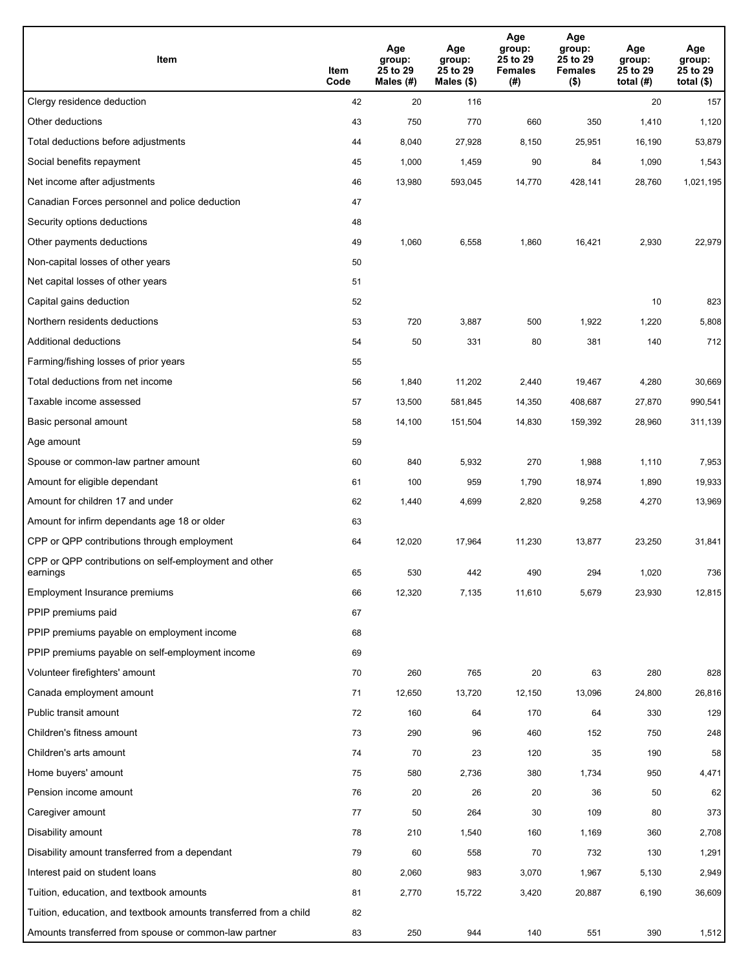| Item                                                              | Item<br>Code | Age<br>group:<br>25 to 29<br>Males $(H)$ | Age<br>group:<br>25 to 29<br>Males $($)$ | Age<br>group:<br>25 to 29<br><b>Females</b><br>(# ) | Age<br>group:<br>25 to 29<br><b>Females</b><br>$($ \$) | Age<br>group:<br>25 to 29<br>total $(#)$ | Age<br>group:<br>25 to 29<br>total $($)$ |
|-------------------------------------------------------------------|--------------|------------------------------------------|------------------------------------------|-----------------------------------------------------|--------------------------------------------------------|------------------------------------------|------------------------------------------|
| Clergy residence deduction                                        | 42           | 20                                       | 116                                      |                                                     |                                                        | 20                                       | 157                                      |
| Other deductions                                                  | 43           | 750                                      | 770                                      | 660                                                 | 350                                                    | 1,410                                    | 1,120                                    |
| Total deductions before adjustments                               | 44           | 8,040                                    | 27,928                                   | 8,150                                               | 25,951                                                 | 16,190                                   | 53,879                                   |
| Social benefits repayment                                         | 45           | 1,000                                    | 1,459                                    | 90                                                  | 84                                                     | 1,090                                    | 1,543                                    |
| Net income after adjustments                                      | 46           | 13,980                                   | 593,045                                  | 14,770                                              | 428,141                                                | 28,760                                   | 1,021,195                                |
| Canadian Forces personnel and police deduction                    | 47           |                                          |                                          |                                                     |                                                        |                                          |                                          |
| Security options deductions                                       | 48           |                                          |                                          |                                                     |                                                        |                                          |                                          |
| Other payments deductions                                         | 49           | 1,060                                    | 6,558                                    | 1,860                                               | 16,421                                                 | 2,930                                    | 22,979                                   |
| Non-capital losses of other years                                 | 50           |                                          |                                          |                                                     |                                                        |                                          |                                          |
| Net capital losses of other years                                 | 51           |                                          |                                          |                                                     |                                                        |                                          |                                          |
| Capital gains deduction                                           | 52           |                                          |                                          |                                                     |                                                        | 10                                       | 823                                      |
| Northern residents deductions                                     | 53           | 720                                      | 3,887                                    | 500                                                 | 1,922                                                  | 1,220                                    | 5,808                                    |
| Additional deductions                                             | 54           | 50                                       | 331                                      | 80                                                  | 381                                                    | 140                                      | 712                                      |
| Farming/fishing losses of prior years                             | 55           |                                          |                                          |                                                     |                                                        |                                          |                                          |
| Total deductions from net income                                  | 56           | 1,840                                    | 11,202                                   | 2,440                                               | 19,467                                                 | 4,280                                    | 30,669                                   |
| Taxable income assessed                                           | 57           | 13,500                                   | 581,845                                  | 14,350                                              | 408,687                                                | 27,870                                   | 990,541                                  |
| Basic personal amount                                             | 58           | 14,100                                   | 151,504                                  | 14,830                                              | 159,392                                                | 28,960                                   | 311,139                                  |
| Age amount                                                        | 59           |                                          |                                          |                                                     |                                                        |                                          |                                          |
| Spouse or common-law partner amount                               | 60           | 840                                      | 5,932                                    | 270                                                 | 1,988                                                  | 1,110                                    | 7,953                                    |
| Amount for eligible dependant                                     | 61           | 100                                      | 959                                      | 1,790                                               | 18,974                                                 | 1,890                                    | 19,933                                   |
| Amount for children 17 and under                                  | 62           | 1,440                                    | 4,699                                    | 2,820                                               | 9,258                                                  | 4,270                                    | 13,969                                   |
| Amount for infirm dependants age 18 or older                      | 63           |                                          |                                          |                                                     |                                                        |                                          |                                          |
| CPP or QPP contributions through employment                       | 64           | 12,020                                   | 17,964                                   | 11,230                                              | 13,877                                                 | 23,250                                   | 31,841                                   |
| CPP or QPP contributions on self-employment and other<br>earnings | 65           | 530                                      | 442                                      | 490                                                 | 294                                                    | 1,020                                    | 736                                      |
| Employment Insurance premiums                                     | 66           | 12,320                                   | 7,135                                    | 11,610                                              | 5,679                                                  | 23,930                                   | 12,815                                   |
| PPIP premiums paid                                                | 67           |                                          |                                          |                                                     |                                                        |                                          |                                          |
| PPIP premiums payable on employment income                        | 68           |                                          |                                          |                                                     |                                                        |                                          |                                          |
| PPIP premiums payable on self-employment income                   | 69           |                                          |                                          |                                                     |                                                        |                                          |                                          |
| Volunteer firefighters' amount                                    | $70\,$       | 260                                      | 765                                      | 20                                                  | 63                                                     | 280                                      | 828                                      |
| Canada employment amount                                          | 71           | 12,650                                   | 13,720                                   | 12,150                                              | 13,096                                                 | 24,800                                   | 26,816                                   |
| Public transit amount                                             | 72           | 160                                      | 64                                       | 170                                                 | 64                                                     | 330                                      | 129                                      |
| Children's fitness amount                                         | 73           | 290                                      | 96                                       | 460                                                 | 152                                                    | 750                                      | 248                                      |
| Children's arts amount                                            | 74           | 70                                       | 23                                       | 120                                                 | 35                                                     | 190                                      | 58                                       |
| Home buyers' amount                                               | 75           | 580                                      | 2,736                                    | 380                                                 | 1,734                                                  | 950                                      | 4,471                                    |
| Pension income amount                                             | 76           | 20                                       | 26                                       | 20                                                  | 36                                                     | 50                                       | 62                                       |
| Caregiver amount                                                  | 77           | 50                                       | 264                                      | 30                                                  | 109                                                    | 80                                       | 373                                      |
| Disability amount                                                 | 78           | 210                                      | 1,540                                    | 160                                                 | 1,169                                                  | 360                                      | 2,708                                    |
| Disability amount transferred from a dependant                    | 79           | 60                                       | 558                                      | 70                                                  | 732                                                    | 130                                      | 1,291                                    |
| Interest paid on student loans                                    | 80           | 2,060                                    | 983                                      | 3,070                                               | 1,967                                                  | 5,130                                    | 2,949                                    |
| Tuition, education, and textbook amounts                          | 81           | 2,770                                    | 15,722                                   | 3,420                                               | 20,887                                                 | 6,190                                    | 36,609                                   |
| Tuition, education, and textbook amounts transferred from a child | 82           |                                          |                                          |                                                     |                                                        |                                          |                                          |
| Amounts transferred from spouse or common-law partner             | 83           | 250                                      | 944                                      | 140                                                 | 551                                                    | 390                                      | 1,512                                    |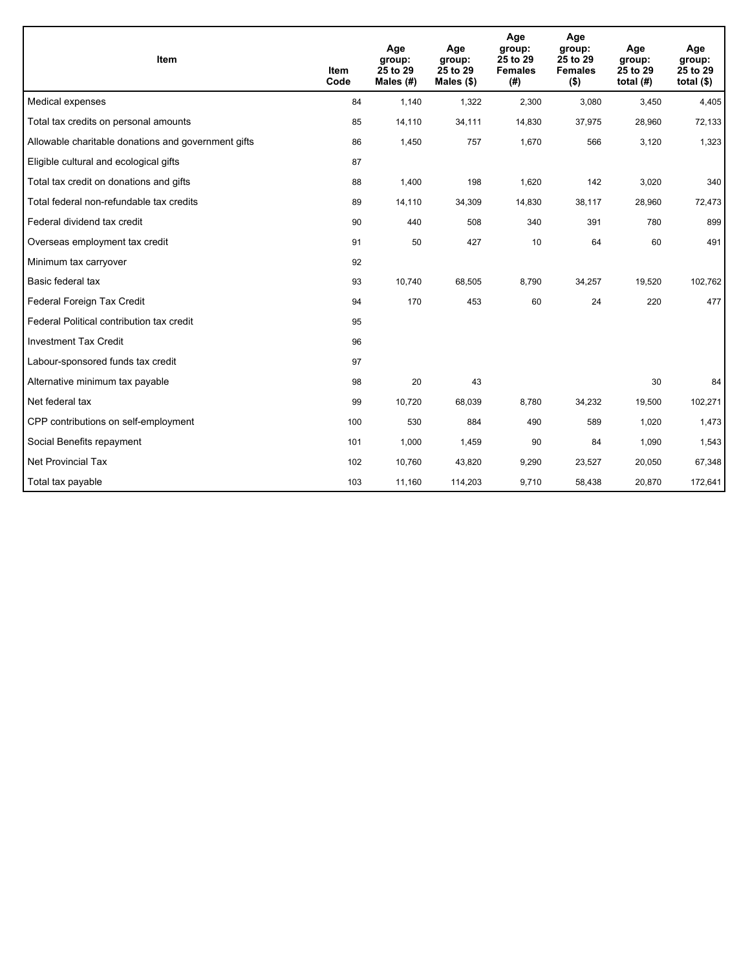| <b>Item</b>                                         | <b>Item</b><br>Code | Age<br>group:<br>25 to 29<br>Males (#) | Age<br>group:<br>25 to 29<br>Males (\$) | Age<br>group:<br>25 to 29<br><b>Females</b><br>(# ) | Age<br>group:<br>25 to 29<br><b>Females</b><br>$($ \$) | Age<br>group:<br>25 to 29<br>total $(H)$ | Age<br>group:<br>25 to 29<br>total $($ math) |
|-----------------------------------------------------|---------------------|----------------------------------------|-----------------------------------------|-----------------------------------------------------|--------------------------------------------------------|------------------------------------------|----------------------------------------------|
| Medical expenses                                    | 84                  | 1,140                                  | 1,322                                   | 2,300                                               | 3,080                                                  | 3,450                                    | 4,405                                        |
| Total tax credits on personal amounts               | 85                  | 14,110                                 | 34,111                                  | 14,830                                              | 37,975                                                 | 28,960                                   | 72,133                                       |
| Allowable charitable donations and government gifts | 86                  | 1,450                                  | 757                                     | 1,670                                               | 566                                                    | 3,120                                    | 1,323                                        |
| Eligible cultural and ecological gifts              | 87                  |                                        |                                         |                                                     |                                                        |                                          |                                              |
| Total tax credit on donations and gifts             | 88                  | 1,400                                  | 198                                     | 1,620                                               | 142                                                    | 3,020                                    | 340                                          |
| Total federal non-refundable tax credits            | 89                  | 14,110                                 | 34,309                                  | 14,830                                              | 38,117                                                 | 28,960                                   | 72,473                                       |
| Federal dividend tax credit                         | 90                  | 440                                    | 508                                     | 340                                                 | 391                                                    | 780                                      | 899                                          |
| Overseas employment tax credit                      | 91                  | 50                                     | 427                                     | 10                                                  | 64                                                     | 60                                       | 491                                          |
| Minimum tax carryover                               | 92                  |                                        |                                         |                                                     |                                                        |                                          |                                              |
| Basic federal tax                                   | 93                  | 10,740                                 | 68,505                                  | 8,790                                               | 34,257                                                 | 19,520                                   | 102,762                                      |
| Federal Foreign Tax Credit                          | 94                  | 170                                    | 453                                     | 60                                                  | 24                                                     | 220                                      | 477                                          |
| Federal Political contribution tax credit           | 95                  |                                        |                                         |                                                     |                                                        |                                          |                                              |
| <b>Investment Tax Credit</b>                        | 96                  |                                        |                                         |                                                     |                                                        |                                          |                                              |
| Labour-sponsored funds tax credit                   | 97                  |                                        |                                         |                                                     |                                                        |                                          |                                              |
| Alternative minimum tax payable                     | 98                  | 20                                     | 43                                      |                                                     |                                                        | 30                                       | 84                                           |
| Net federal tax                                     | 99                  | 10,720                                 | 68,039                                  | 8,780                                               | 34,232                                                 | 19,500                                   | 102,271                                      |
| CPP contributions on self-employment                | 100                 | 530                                    | 884                                     | 490                                                 | 589                                                    | 1,020                                    | 1,473                                        |
| Social Benefits repayment                           | 101                 | 1,000                                  | 1,459                                   | 90                                                  | 84                                                     | 1,090                                    | 1,543                                        |
| Net Provincial Tax                                  | 102                 | 10,760                                 | 43,820                                  | 9,290                                               | 23,527                                                 | 20,050                                   | 67,348                                       |
| Total tax payable                                   | 103                 | 11,160                                 | 114,203                                 | 9,710                                               | 58,438                                                 | 20,870                                   | 172,641                                      |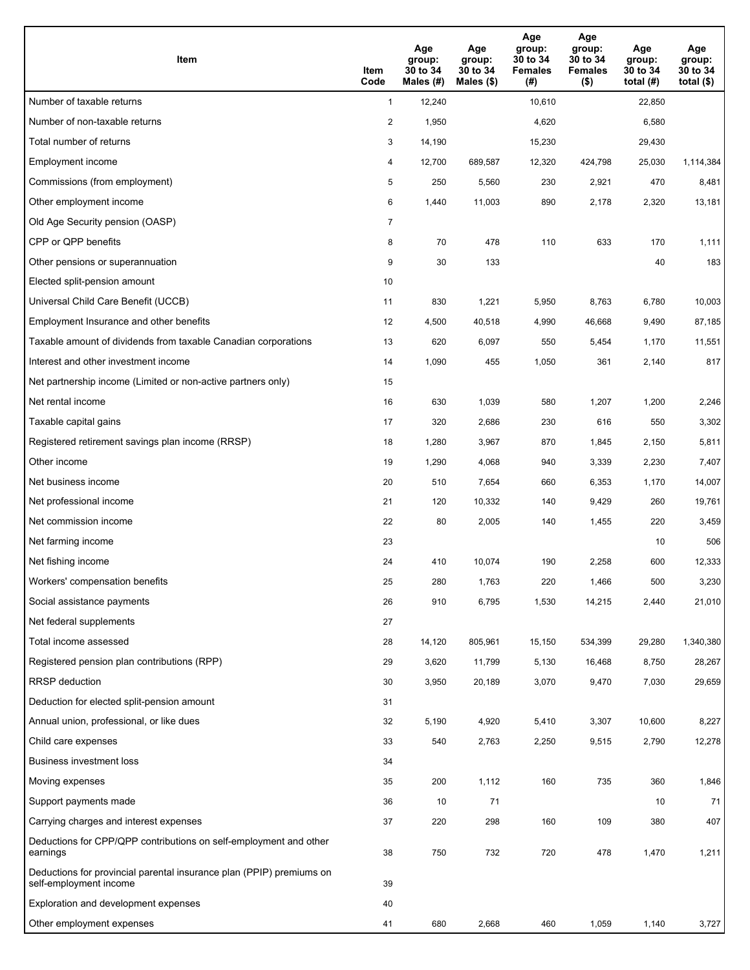| Item                                                                                           | Item<br>Code   | Age<br>group:<br>30 to 34<br>Males $(H)$ | Age<br>group:<br>30 to 34<br>Males (\$) | Age<br>group:<br>30 to 34<br><b>Females</b><br>(#) | Age<br>group:<br>30 to 34<br><b>Females</b><br>$($ \$) | Age<br>group:<br>30 to 34<br>total $(#)$ | Age<br>group:<br>30 to 34<br>total $($ |
|------------------------------------------------------------------------------------------------|----------------|------------------------------------------|-----------------------------------------|----------------------------------------------------|--------------------------------------------------------|------------------------------------------|----------------------------------------|
| Number of taxable returns                                                                      | $\mathbf{1}$   | 12,240                                   |                                         | 10,610                                             |                                                        | 22,850                                   |                                        |
| Number of non-taxable returns                                                                  | 2              | 1,950                                    |                                         | 4,620                                              |                                                        | 6,580                                    |                                        |
| Total number of returns                                                                        | 3              | 14,190                                   |                                         | 15,230                                             |                                                        | 29,430                                   |                                        |
| Employment income                                                                              | 4              | 12,700                                   | 689,587                                 | 12,320                                             | 424,798                                                | 25,030                                   | 1,114,384                              |
| Commissions (from employment)                                                                  | 5              | 250                                      | 5,560                                   | 230                                                | 2,921                                                  | 470                                      | 8,481                                  |
| Other employment income                                                                        | 6              | 1,440                                    | 11,003                                  | 890                                                | 2,178                                                  | 2,320                                    | 13,181                                 |
| Old Age Security pension (OASP)                                                                | $\overline{7}$ |                                          |                                         |                                                    |                                                        |                                          |                                        |
| CPP or QPP benefits                                                                            | 8              | 70                                       | 478                                     | 110                                                | 633                                                    | 170                                      | 1,111                                  |
| Other pensions or superannuation                                                               | 9              | 30                                       | 133                                     |                                                    |                                                        | 40                                       | 183                                    |
| Elected split-pension amount                                                                   | 10             |                                          |                                         |                                                    |                                                        |                                          |                                        |
| Universal Child Care Benefit (UCCB)                                                            | 11             | 830                                      | 1,221                                   | 5,950                                              | 8,763                                                  | 6,780                                    | 10,003                                 |
| Employment Insurance and other benefits                                                        | 12             | 4,500                                    | 40,518                                  | 4,990                                              | 46,668                                                 | 9,490                                    | 87,185                                 |
| Taxable amount of dividends from taxable Canadian corporations                                 | 13             | 620                                      | 6,097                                   | 550                                                | 5,454                                                  | 1,170                                    | 11,551                                 |
| Interest and other investment income                                                           | 14             | 1,090                                    | 455                                     | 1,050                                              | 361                                                    | 2,140                                    | 817                                    |
| Net partnership income (Limited or non-active partners only)                                   | 15             |                                          |                                         |                                                    |                                                        |                                          |                                        |
| Net rental income                                                                              | 16             | 630                                      | 1,039                                   | 580                                                | 1,207                                                  | 1,200                                    | 2,246                                  |
| Taxable capital gains                                                                          | 17             | 320                                      | 2,686                                   | 230                                                | 616                                                    | 550                                      | 3,302                                  |
| Registered retirement savings plan income (RRSP)                                               | 18             | 1,280                                    | 3,967                                   | 870                                                | 1,845                                                  | 2,150                                    | 5,811                                  |
| Other income                                                                                   | 19             | 1,290                                    | 4,068                                   | 940                                                | 3,339                                                  | 2,230                                    | 7,407                                  |
| Net business income                                                                            | 20             | 510                                      | 7,654                                   | 660                                                | 6,353                                                  | 1,170                                    | 14,007                                 |
| Net professional income                                                                        | 21             | 120                                      | 10,332                                  | 140                                                | 9,429                                                  | 260                                      | 19,761                                 |
| Net commission income                                                                          | 22             | 80                                       | 2,005                                   | 140                                                | 1,455                                                  | 220                                      | 3,459                                  |
| Net farming income                                                                             | 23             |                                          |                                         |                                                    |                                                        | 10                                       | 506                                    |
| Net fishing income                                                                             | 24             | 410                                      | 10,074                                  | 190                                                | 2,258                                                  | 600                                      | 12,333                                 |
| Workers' compensation benefits                                                                 | 25             | 280                                      | 1,763                                   | 220                                                | 1,466                                                  | 500                                      | 3,230                                  |
| Social assistance payments                                                                     | 26             | 910                                      | 6,795                                   | 1,530                                              | 14,215                                                 | 2,440                                    | 21,010                                 |
| Net federal supplements                                                                        | 27             |                                          |                                         |                                                    |                                                        |                                          |                                        |
| Total income assessed                                                                          | 28             | 14,120                                   | 805,961                                 | 15,150                                             | 534,399                                                | 29,280                                   | 1,340,380                              |
| Registered pension plan contributions (RPP)                                                    | 29             | 3,620                                    | 11,799                                  | 5,130                                              | 16,468                                                 | 8,750                                    | 28,267                                 |
| RRSP deduction                                                                                 | 30             | 3,950                                    | 20,189                                  | 3,070                                              | 9,470                                                  | 7,030                                    | 29,659                                 |
| Deduction for elected split-pension amount                                                     | 31             |                                          |                                         |                                                    |                                                        |                                          |                                        |
| Annual union, professional, or like dues                                                       | 32             | 5,190                                    | 4,920                                   | 5,410                                              | 3,307                                                  | 10,600                                   | 8,227                                  |
| Child care expenses                                                                            | 33             | 540                                      | 2,763                                   | 2,250                                              | 9,515                                                  | 2,790                                    | 12,278                                 |
| Business investment loss                                                                       | 34             |                                          |                                         |                                                    |                                                        |                                          |                                        |
| Moving expenses                                                                                | 35             | 200                                      | 1,112                                   | 160                                                | 735                                                    | 360                                      | 1,846                                  |
| Support payments made                                                                          | 36             | 10                                       | 71                                      |                                                    |                                                        | 10                                       | 71                                     |
| Carrying charges and interest expenses                                                         | 37             | 220                                      | 298                                     | 160                                                | 109                                                    | 380                                      | 407                                    |
| Deductions for CPP/QPP contributions on self-employment and other<br>earnings                  | 38             | 750                                      | 732                                     | 720                                                | 478                                                    | 1,470                                    | 1,211                                  |
| Deductions for provincial parental insurance plan (PPIP) premiums on<br>self-employment income | 39             |                                          |                                         |                                                    |                                                        |                                          |                                        |
| Exploration and development expenses                                                           | 40             |                                          |                                         |                                                    |                                                        |                                          |                                        |
| Other employment expenses                                                                      | 41             | 680                                      | 2,668                                   | 460                                                | 1,059                                                  | 1,140                                    | 3,727                                  |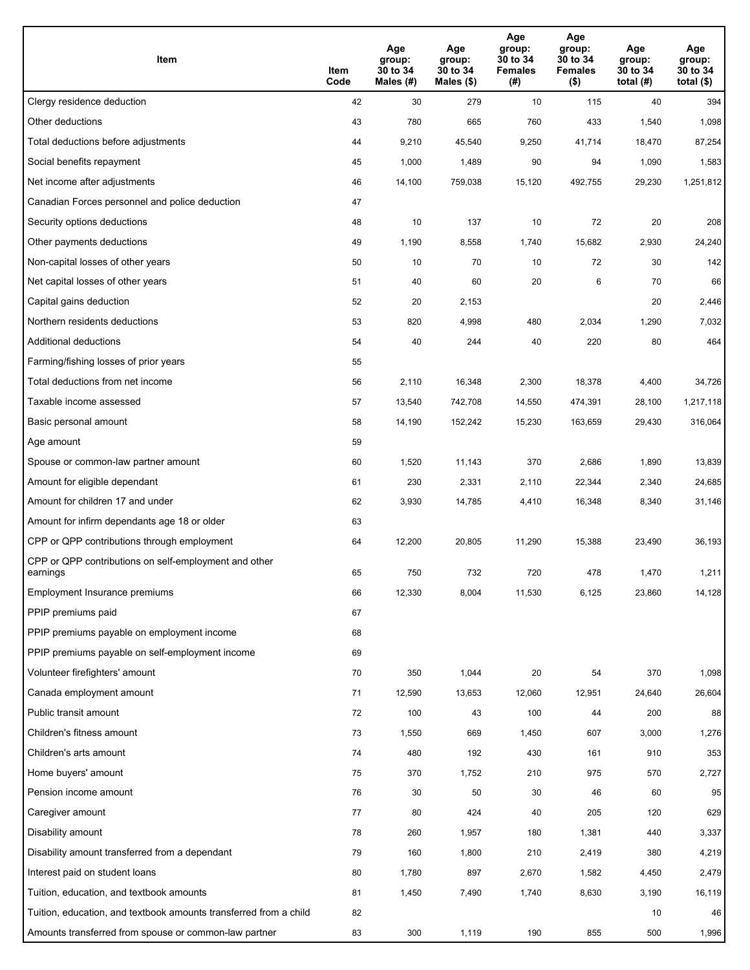| Item                                                              | Item<br>Code | Age<br>group:<br>30 to 34<br>Males (#) | Age<br>group:<br>30 to 34<br>Males (\$) | Age<br>group:<br>30 to 34<br><b>Females</b><br>(#) | Age<br>group:<br>30 to 34<br><b>Females</b><br>$($ \$) | Age<br>group:<br>30 to 34<br>total $(H)$ | Age<br>group:<br>30 to 34<br>total $($)$ |
|-------------------------------------------------------------------|--------------|----------------------------------------|-----------------------------------------|----------------------------------------------------|--------------------------------------------------------|------------------------------------------|------------------------------------------|
| Clergy residence deduction                                        | 42           | 30                                     | 279                                     | 10                                                 | 115                                                    | 40                                       | 394                                      |
| Other deductions                                                  | 43           | 780                                    | 665                                     | 760                                                | 433                                                    | 1,540                                    | 1,098                                    |
| Total deductions before adjustments                               | 44           | 9,210                                  | 45,540                                  | 9,250                                              | 41,714                                                 | 18,470                                   | 87,254                                   |
| Social benefits repayment                                         | 45           | 1,000                                  | 1,489                                   | 90                                                 | 94                                                     | 1,090                                    | 1,583                                    |
| Net income after adjustments                                      | 46           | 14,100                                 | 759,038                                 | 15,120                                             | 492,755                                                | 29,230                                   | 1,251,812                                |
| Canadian Forces personnel and police deduction                    | 47           |                                        |                                         |                                                    |                                                        |                                          |                                          |
| Security options deductions                                       | 48           | 10                                     | 137                                     | 10                                                 | 72                                                     | 20                                       | 208                                      |
| Other payments deductions                                         | 49           | 1,190                                  | 8,558                                   | 1,740                                              | 15,682                                                 | 2,930                                    | 24,240                                   |
| Non-capital losses of other years                                 | 50           | 10                                     | 70                                      | 10                                                 | 72                                                     | 30                                       | 142                                      |
| Net capital losses of other years                                 | 51           | 40                                     | 60                                      | 20                                                 | 6                                                      | 70                                       | 66                                       |
| Capital gains deduction                                           | 52           | 20                                     | 2,153                                   |                                                    |                                                        | 20                                       | 2,446                                    |
| Northern residents deductions                                     | 53           | 820                                    | 4,998                                   | 480                                                | 2,034                                                  | 1,290                                    | 7,032                                    |
| Additional deductions                                             | 54           | 40                                     | 244                                     | 40                                                 | 220                                                    | 80                                       | 464                                      |
| Farming/fishing losses of prior years                             | 55           |                                        |                                         |                                                    |                                                        |                                          |                                          |
| Total deductions from net income                                  | 56           | 2,110                                  | 16,348                                  | 2,300                                              | 18,378                                                 | 4,400                                    | 34,726                                   |
| Taxable income assessed                                           | 57           | 13,540                                 | 742,708                                 | 14,550                                             | 474,391                                                | 28,100                                   | 1,217,118                                |
| Basic personal amount                                             | 58           | 14,190                                 | 152,242                                 | 15,230                                             | 163,659                                                | 29,430                                   | 316,064                                  |
| Age amount                                                        | 59           |                                        |                                         |                                                    |                                                        |                                          |                                          |
| Spouse or common-law partner amount                               | 60           | 1,520                                  | 11,143                                  | 370                                                | 2,686                                                  | 1,890                                    | 13,839                                   |
| Amount for eligible dependant                                     | 61           | 230                                    | 2,331                                   | 2,110                                              | 22,344                                                 | 2,340                                    | 24,685                                   |
| Amount for children 17 and under                                  | 62           | 3,930                                  | 14,785                                  | 4,410                                              | 16,348                                                 | 8,340                                    | 31,146                                   |
| Amount for infirm dependants age 18 or older                      | 63           |                                        |                                         |                                                    |                                                        |                                          |                                          |
| CPP or QPP contributions through employment                       | 64           | 12,200                                 | 20,805                                  | 11,290                                             | 15,388                                                 | 23,490                                   | 36,193                                   |
| CPP or QPP contributions on self-employment and other<br>earnings | 65           | 750                                    | 732                                     | 720                                                | 478                                                    | 1,470                                    | 1,211                                    |
| Employment Insurance premiums                                     | 66           | 12,330                                 | 8,004                                   | 11,530                                             | 6,125                                                  | 23,860                                   | 14,128                                   |
| PPIP premiums paid                                                | 67           |                                        |                                         |                                                    |                                                        |                                          |                                          |
| PPIP premiums payable on employment income                        | 68           |                                        |                                         |                                                    |                                                        |                                          |                                          |
| PPIP premiums payable on self-employment income                   | 69           |                                        |                                         |                                                    |                                                        |                                          |                                          |
| Volunteer firefighters' amount                                    | 70           | 350                                    | 1,044                                   | 20                                                 | 54                                                     | 370                                      | 1,098                                    |
| Canada employment amount                                          | 71           | 12,590                                 | 13,653                                  | 12,060                                             | 12,951                                                 | 24,640                                   | 26,604                                   |
| Public transit amount                                             | 72           | 100                                    | 43                                      | 100                                                | 44                                                     | 200                                      | 88                                       |
| Children's fitness amount                                         | 73           | 1,550                                  | 669                                     | 1,450                                              | 607                                                    | 3,000                                    | 1,276                                    |
| Children's arts amount                                            | 74           | 480                                    | 192                                     | 430                                                | 161                                                    | 910                                      | 353                                      |
| Home buyers' amount                                               | 75           | 370                                    | 1,752                                   | 210                                                | 975                                                    | 570                                      | 2,727                                    |
| Pension income amount                                             | 76           | 30                                     | 50                                      | 30                                                 | 46                                                     | 60                                       | 95                                       |
| Caregiver amount                                                  | 77           | 80                                     | 424                                     | 40                                                 | 205                                                    | 120                                      | 629                                      |
| Disability amount                                                 | 78           | 260                                    | 1,957                                   | 180                                                | 1,381                                                  | 440                                      | 3,337                                    |
| Disability amount transferred from a dependant                    | 79           | 160                                    | 1,800                                   | 210                                                | 2,419                                                  | 380                                      | 4,219                                    |
| Interest paid on student loans                                    | 80           | 1,780                                  | 897                                     | 2,670                                              | 1,582                                                  | 4,450                                    | 2,479                                    |
| Tuition, education, and textbook amounts                          | 81           | 1,450                                  | 7,490                                   | 1,740                                              | 8,630                                                  | 3,190                                    | 16,119                                   |
| Tuition, education, and textbook amounts transferred from a child | 82           |                                        |                                         |                                                    |                                                        | 10                                       | 46                                       |
| Amounts transferred from spouse or common-law partner             | 83           | 300                                    | 1,119                                   | 190                                                | 855                                                    | 500                                      | 1,996                                    |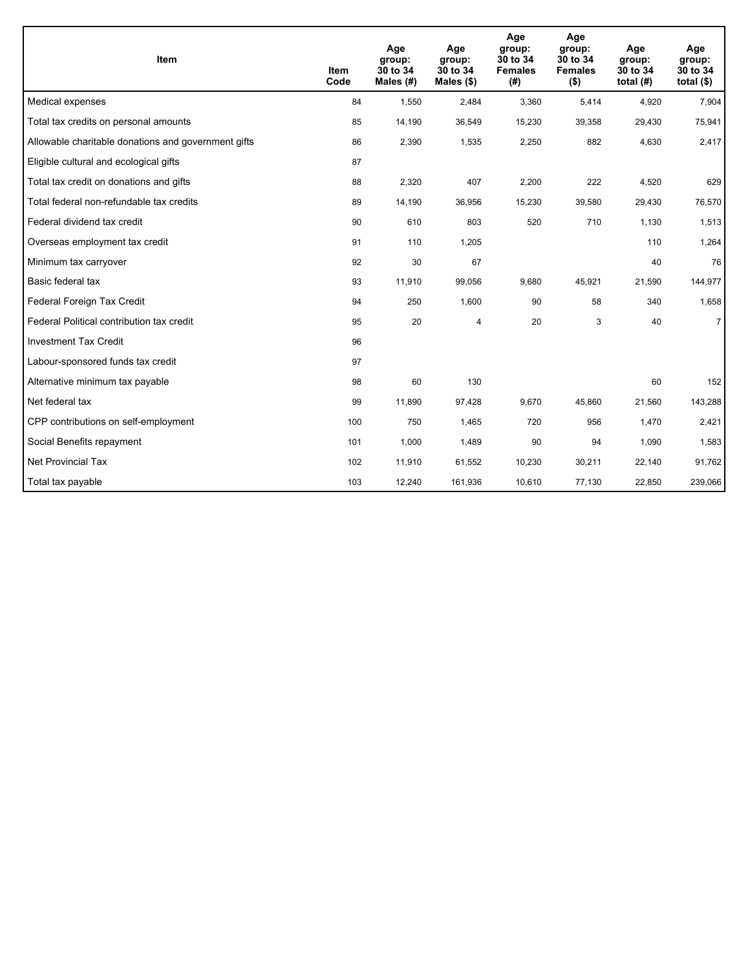| Item                                                | <b>Item</b><br>Code | Age<br>group:<br>30 to 34<br>Males (#) | Age<br>group:<br>30 to 34<br>Males $(\$)$ | Age<br>group:<br>30 to 34<br><b>Females</b><br>(#) | Age<br>group:<br>30 to 34<br><b>Females</b><br>$($ \$) | Age<br>group:<br>30 to 34<br>total $(H)$ | Age<br>group:<br>30 to 34<br>total $($)$ |
|-----------------------------------------------------|---------------------|----------------------------------------|-------------------------------------------|----------------------------------------------------|--------------------------------------------------------|------------------------------------------|------------------------------------------|
| Medical expenses                                    | 84                  | 1,550                                  | 2,484                                     | 3,360                                              | 5,414                                                  | 4,920                                    | 7,904                                    |
| Total tax credits on personal amounts               | 85                  | 14,190                                 | 36,549                                    | 15,230                                             | 39,358                                                 | 29,430                                   | 75,941                                   |
| Allowable charitable donations and government gifts | 86                  | 2,390                                  | 1,535                                     | 2,250                                              | 882                                                    | 4,630                                    | 2,417                                    |
| Eligible cultural and ecological gifts              | 87                  |                                        |                                           |                                                    |                                                        |                                          |                                          |
| Total tax credit on donations and gifts             | 88                  | 2,320                                  | 407                                       | 2,200                                              | 222                                                    | 4,520                                    | 629                                      |
| Total federal non-refundable tax credits            | 89                  | 14,190                                 | 36,956                                    | 15,230                                             | 39,580                                                 | 29,430                                   | 76,570                                   |
| Federal dividend tax credit                         | 90                  | 610                                    | 803                                       | 520                                                | 710                                                    | 1,130                                    | 1,513                                    |
| Overseas employment tax credit                      | 91                  | 110                                    | 1,205                                     |                                                    |                                                        | 110                                      | 1,264                                    |
| Minimum tax carryover                               | 92                  | 30                                     | 67                                        |                                                    |                                                        | 40                                       | 76                                       |
| Basic federal tax                                   | 93                  | 11,910                                 | 99,056                                    | 9,680                                              | 45,921                                                 | 21,590                                   | 144,977                                  |
| Federal Foreign Tax Credit                          | 94                  | 250                                    | 1,600                                     | 90                                                 | 58                                                     | 340                                      | 1,658                                    |
| Federal Political contribution tax credit           | 95                  | 20                                     | 4                                         | 20                                                 | 3                                                      | 40                                       | $\overline{7}$                           |
| <b>Investment Tax Credit</b>                        | 96                  |                                        |                                           |                                                    |                                                        |                                          |                                          |
| Labour-sponsored funds tax credit                   | 97                  |                                        |                                           |                                                    |                                                        |                                          |                                          |
| Alternative minimum tax payable                     | 98                  | 60                                     | 130                                       |                                                    |                                                        | 60                                       | 152                                      |
| Net federal tax                                     | 99                  | 11,890                                 | 97,428                                    | 9,670                                              | 45,860                                                 | 21,560                                   | 143,288                                  |
| CPP contributions on self-employment                | 100                 | 750                                    | 1,465                                     | 720                                                | 956                                                    | 1,470                                    | 2,421                                    |
| Social Benefits repayment                           | 101                 | 1,000                                  | 1,489                                     | 90                                                 | 94                                                     | 1,090                                    | 1,583                                    |
| Net Provincial Tax                                  | 102                 | 11,910                                 | 61,552                                    | 10,230                                             | 30,211                                                 | 22,140                                   | 91,762                                   |
| Total tax payable                                   | 103                 | 12,240                                 | 161,936                                   | 10,610                                             | 77,130                                                 | 22,850                                   | 239,066                                  |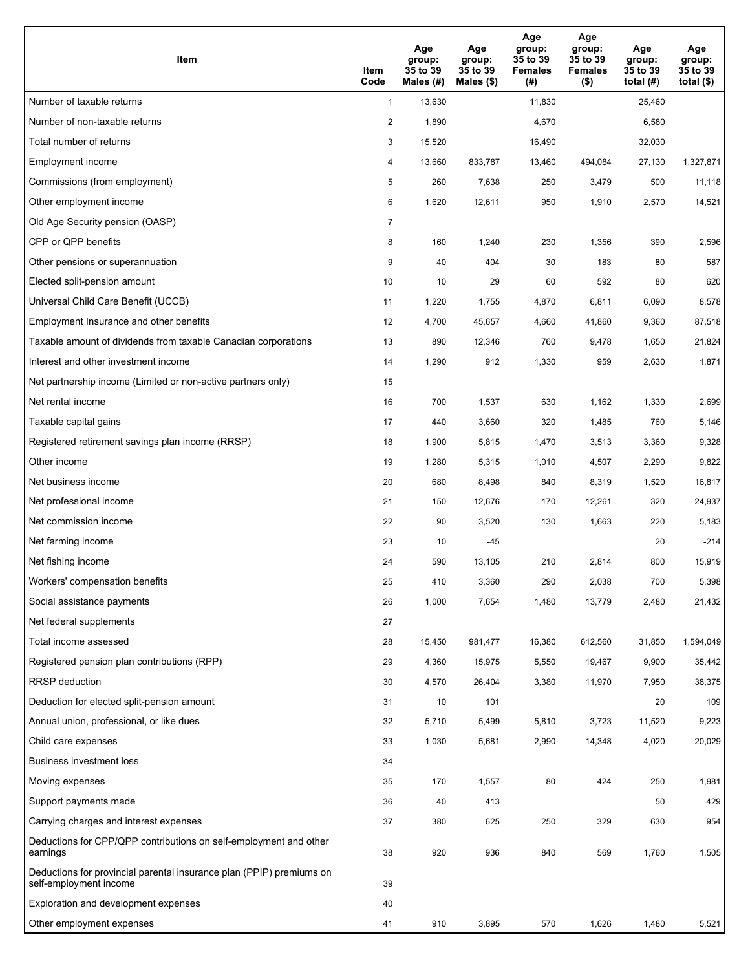| Item                                                                                           | Item<br>Code   | Age<br>group:<br>35 to 39<br>Males $(H)$ | Age<br>group:<br>35 to 39<br>Males (\$) | Age<br>group:<br>35 to 39<br><b>Females</b><br>(# ) | Age<br>group:<br>35 to 39<br><b>Females</b><br>$($ \$) | Age<br>group:<br>35 to 39<br>total $(#)$ | Age<br>group:<br>35 to 39<br>total $($ |
|------------------------------------------------------------------------------------------------|----------------|------------------------------------------|-----------------------------------------|-----------------------------------------------------|--------------------------------------------------------|------------------------------------------|----------------------------------------|
| Number of taxable returns                                                                      | $\mathbf{1}$   | 13,630                                   |                                         | 11,830                                              |                                                        | 25,460                                   |                                        |
| Number of non-taxable returns                                                                  | 2              | 1,890                                    |                                         | 4,670                                               |                                                        | 6,580                                    |                                        |
| Total number of returns                                                                        | 3              | 15,520                                   |                                         | 16,490                                              |                                                        | 32,030                                   |                                        |
| Employment income                                                                              | 4              | 13,660                                   | 833,787                                 | 13,460                                              | 494,084                                                | 27,130                                   | 1,327,871                              |
| Commissions (from employment)                                                                  | 5              | 260                                      | 7,638                                   | 250                                                 | 3,479                                                  | 500                                      | 11,118                                 |
| Other employment income                                                                        | 6              | 1,620                                    | 12,611                                  | 950                                                 | 1,910                                                  | 2,570                                    | 14,521                                 |
| Old Age Security pension (OASP)                                                                | $\overline{7}$ |                                          |                                         |                                                     |                                                        |                                          |                                        |
| CPP or QPP benefits                                                                            | 8              | 160                                      | 1,240                                   | 230                                                 | 1,356                                                  | 390                                      | 2,596                                  |
| Other pensions or superannuation                                                               | 9              | 40                                       | 404                                     | 30                                                  | 183                                                    | 80                                       | 587                                    |
| Elected split-pension amount                                                                   | 10             | 10                                       | 29                                      | 60                                                  | 592                                                    | 80                                       | 620                                    |
| Universal Child Care Benefit (UCCB)                                                            | 11             | 1,220                                    | 1,755                                   | 4,870                                               | 6,811                                                  | 6,090                                    | 8,578                                  |
| Employment Insurance and other benefits                                                        | 12             | 4,700                                    | 45,657                                  | 4,660                                               | 41,860                                                 | 9,360                                    | 87,518                                 |
| Taxable amount of dividends from taxable Canadian corporations                                 | 13             | 890                                      | 12,346                                  | 760                                                 | 9,478                                                  | 1,650                                    | 21,824                                 |
| Interest and other investment income                                                           | 14             | 1,290                                    | 912                                     | 1,330                                               | 959                                                    | 2,630                                    | 1,871                                  |
| Net partnership income (Limited or non-active partners only)                                   | 15             |                                          |                                         |                                                     |                                                        |                                          |                                        |
| Net rental income                                                                              | 16             | 700                                      | 1,537                                   | 630                                                 | 1,162                                                  | 1,330                                    | 2,699                                  |
| Taxable capital gains                                                                          | 17             | 440                                      | 3,660                                   | 320                                                 | 1,485                                                  | 760                                      | 5,146                                  |
| Registered retirement savings plan income (RRSP)                                               | 18             | 1,900                                    | 5,815                                   | 1,470                                               | 3,513                                                  | 3,360                                    | 9,328                                  |
| Other income                                                                                   | 19             | 1,280                                    | 5,315                                   | 1,010                                               | 4,507                                                  | 2,290                                    | 9,822                                  |
| Net business income                                                                            | 20             | 680                                      | 8,498                                   | 840                                                 | 8,319                                                  | 1,520                                    | 16,817                                 |
| Net professional income                                                                        | 21             | 150                                      | 12,676                                  | 170                                                 | 12,261                                                 | 320                                      | 24,937                                 |
| Net commission income                                                                          | 22             | 90                                       | 3,520                                   | 130                                                 | 1,663                                                  | 220                                      | 5,183                                  |
| Net farming income                                                                             | 23             | 10                                       | $-45$                                   |                                                     |                                                        | 20                                       | $-214$                                 |
| Net fishing income                                                                             | 24             | 590                                      | 13,105                                  | 210                                                 | 2,814                                                  | 800                                      | 15,919                                 |
| Workers' compensation benefits                                                                 | 25             | 410                                      | 3,360                                   | 290                                                 | 2,038                                                  | 700                                      | 5,398                                  |
| Social assistance payments                                                                     | 26             | 1,000                                    | 7,654                                   | 1,480                                               | 13,779                                                 | 2,480                                    | 21,432                                 |
| Net federal supplements                                                                        | 27             |                                          |                                         |                                                     |                                                        |                                          |                                        |
| Total income assessed                                                                          | 28             | 15,450                                   | 981,477                                 | 16,380                                              | 612,560                                                | 31,850                                   | 1,594,049                              |
| Registered pension plan contributions (RPP)                                                    | 29             | 4,360                                    | 15,975                                  | 5,550                                               | 19,467                                                 | 9,900                                    | 35,442                                 |
| <b>RRSP</b> deduction                                                                          | 30             | 4,570                                    | 26,404                                  | 3,380                                               | 11,970                                                 | 7,950                                    | 38,375                                 |
| Deduction for elected split-pension amount                                                     | 31             | 10                                       | 101                                     |                                                     |                                                        | 20                                       | 109                                    |
| Annual union, professional, or like dues                                                       | 32             | 5,710                                    | 5,499                                   | 5,810                                               | 3,723                                                  | 11,520                                   | 9,223                                  |
| Child care expenses                                                                            | 33             | 1,030                                    | 5,681                                   | 2,990                                               | 14,348                                                 | 4,020                                    | 20,029                                 |
| Business investment loss                                                                       | 34             |                                          |                                         |                                                     |                                                        |                                          |                                        |
| Moving expenses                                                                                | 35             | 170                                      | 1,557                                   | 80                                                  | 424                                                    | 250                                      | 1,981                                  |
| Support payments made                                                                          | 36             | 40                                       | 413                                     |                                                     |                                                        | 50                                       | 429                                    |
| Carrying charges and interest expenses                                                         | 37             | 380                                      | 625                                     | 250                                                 | 329                                                    | 630                                      | 954                                    |
| Deductions for CPP/QPP contributions on self-employment and other<br>earnings                  | 38             | 920                                      | 936                                     | 840                                                 | 569                                                    | 1,760                                    | 1,505                                  |
| Deductions for provincial parental insurance plan (PPIP) premiums on<br>self-employment income | 39             |                                          |                                         |                                                     |                                                        |                                          |                                        |
| Exploration and development expenses                                                           | 40             |                                          |                                         |                                                     |                                                        |                                          |                                        |
| Other employment expenses                                                                      | 41             | 910                                      | 3,895                                   | 570                                                 | 1,626                                                  | 1,480                                    | 5,521                                  |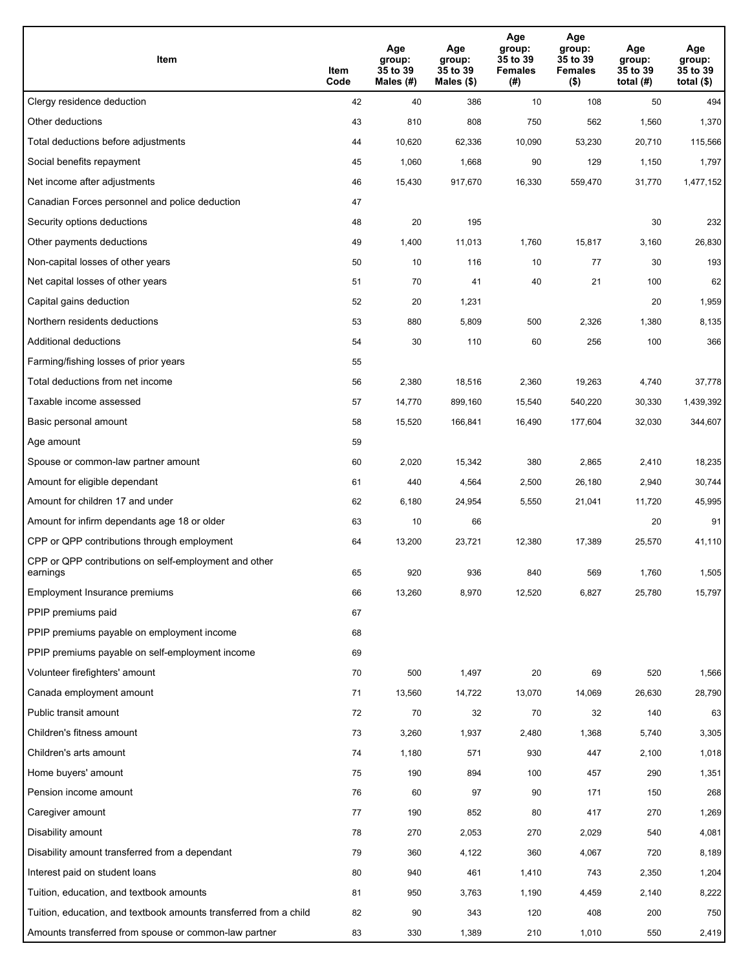| Item                                                              | Item<br>Code | Age<br>group:<br>35 to 39<br>Males (#) | Age<br>group:<br>35 to 39<br>Males (\$) | Age<br>group:<br>35 to 39<br><b>Females</b><br>(# ) | Age<br>group:<br>35 to 39<br><b>Females</b><br>$($ \$) | Age<br>group:<br>35 to 39<br>total $(H)$ | Age<br>group:<br>35 to 39<br>total $($)$ |
|-------------------------------------------------------------------|--------------|----------------------------------------|-----------------------------------------|-----------------------------------------------------|--------------------------------------------------------|------------------------------------------|------------------------------------------|
| Clergy residence deduction                                        | 42           | 40                                     | 386                                     | 10                                                  | 108                                                    | 50                                       | 494                                      |
| Other deductions                                                  | 43           | 810                                    | 808                                     | 750                                                 | 562                                                    | 1,560                                    | 1,370                                    |
| Total deductions before adjustments                               | 44           | 10,620                                 | 62,336                                  | 10,090                                              | 53,230                                                 | 20,710                                   | 115,566                                  |
| Social benefits repayment                                         | 45           | 1,060                                  | 1,668                                   | 90                                                  | 129                                                    | 1,150                                    | 1,797                                    |
| Net income after adjustments                                      | 46           | 15,430                                 | 917,670                                 | 16,330                                              | 559,470                                                | 31,770                                   | 1,477,152                                |
| Canadian Forces personnel and police deduction                    | 47           |                                        |                                         |                                                     |                                                        |                                          |                                          |
| Security options deductions                                       | 48           | 20                                     | 195                                     |                                                     |                                                        | 30                                       | 232                                      |
| Other payments deductions                                         | 49           | 1,400                                  | 11,013                                  | 1,760                                               | 15,817                                                 | 3,160                                    | 26,830                                   |
| Non-capital losses of other years                                 | 50           | 10                                     | 116                                     | 10                                                  | 77                                                     | 30                                       | 193                                      |
| Net capital losses of other years                                 | 51           | 70                                     | 41                                      | 40                                                  | 21                                                     | 100                                      | 62                                       |
| Capital gains deduction                                           | 52           | 20                                     | 1,231                                   |                                                     |                                                        | 20                                       | 1,959                                    |
| Northern residents deductions                                     | 53           | 880                                    | 5,809                                   | 500                                                 | 2,326                                                  | 1,380                                    | 8,135                                    |
| Additional deductions                                             | 54           | 30                                     | 110                                     | 60                                                  | 256                                                    | 100                                      | 366                                      |
| Farming/fishing losses of prior years                             | 55           |                                        |                                         |                                                     |                                                        |                                          |                                          |
| Total deductions from net income                                  | 56           | 2,380                                  | 18,516                                  | 2,360                                               | 19,263                                                 | 4,740                                    | 37,778                                   |
| Taxable income assessed                                           | 57           | 14,770                                 | 899,160                                 | 15,540                                              | 540,220                                                | 30,330                                   | 1,439,392                                |
| Basic personal amount                                             | 58           | 15,520                                 | 166,841                                 | 16,490                                              | 177,604                                                | 32,030                                   | 344,607                                  |
| Age amount                                                        | 59           |                                        |                                         |                                                     |                                                        |                                          |                                          |
| Spouse or common-law partner amount                               | 60           | 2,020                                  | 15,342                                  | 380                                                 | 2,865                                                  | 2,410                                    | 18,235                                   |
| Amount for eligible dependant                                     | 61           | 440                                    | 4,564                                   | 2,500                                               | 26,180                                                 | 2,940                                    | 30,744                                   |
| Amount for children 17 and under                                  | 62           | 6,180                                  | 24,954                                  | 5,550                                               | 21,041                                                 | 11,720                                   | 45,995                                   |
| Amount for infirm dependants age 18 or older                      | 63           | 10                                     | 66                                      |                                                     |                                                        | 20                                       | 91                                       |
| CPP or QPP contributions through employment                       | 64           | 13,200                                 | 23,721                                  | 12,380                                              | 17,389                                                 | 25,570                                   | 41,110                                   |
| CPP or QPP contributions on self-employment and other<br>earnings | 65           | 920                                    | 936                                     | 840                                                 | 569                                                    | 1,760                                    | 1,505                                    |
| Employment Insurance premiums                                     | 66           | 13,260                                 | 8,970                                   | 12,520                                              | 6,827                                                  | 25,780                                   | 15,797                                   |
| PPIP premiums paid                                                | 67           |                                        |                                         |                                                     |                                                        |                                          |                                          |
| PPIP premiums payable on employment income                        | 68           |                                        |                                         |                                                     |                                                        |                                          |                                          |
| PPIP premiums payable on self-employment income                   | 69           |                                        |                                         |                                                     |                                                        |                                          |                                          |
| Volunteer firefighters' amount                                    | 70           | 500                                    | 1,497                                   | 20                                                  | 69                                                     | 520                                      | 1,566                                    |
| Canada employment amount                                          | 71           | 13,560                                 | 14,722                                  | 13,070                                              | 14,069                                                 | 26,630                                   | 28,790                                   |
| Public transit amount                                             | 72           | 70                                     | 32                                      | 70                                                  | 32                                                     | 140                                      | 63                                       |
| Children's fitness amount                                         | 73           | 3,260                                  | 1,937                                   | 2,480                                               | 1,368                                                  | 5,740                                    | 3,305                                    |
| Children's arts amount                                            | 74           | 1,180                                  | 571                                     | 930                                                 | 447                                                    | 2,100                                    | 1,018                                    |
| Home buyers' amount                                               | 75           | 190                                    | 894                                     | 100                                                 | 457                                                    | 290                                      | 1,351                                    |
| Pension income amount                                             | 76           | 60                                     | 97                                      | 90                                                  | 171                                                    | 150                                      | 268                                      |
| Caregiver amount                                                  | 77           | 190                                    | 852                                     | 80                                                  | 417                                                    | 270                                      | 1,269                                    |
| Disability amount                                                 | 78           | 270                                    | 2,053                                   | 270                                                 | 2,029                                                  | 540                                      | 4,081                                    |
| Disability amount transferred from a dependant                    | 79           | 360                                    | 4,122                                   | 360                                                 | 4,067                                                  | 720                                      | 8,189                                    |
| Interest paid on student loans                                    | 80           | 940                                    | 461                                     | 1,410                                               | 743                                                    | 2,350                                    | 1,204                                    |
| Tuition, education, and textbook amounts                          | 81           | 950                                    | 3,763                                   | 1,190                                               | 4,459                                                  | 2,140                                    | 8,222                                    |
| Tuition, education, and textbook amounts transferred from a child | 82           | 90                                     | 343                                     | 120                                                 | 408                                                    | 200                                      | 750                                      |
| Amounts transferred from spouse or common-law partner             | 83           | 330                                    | 1,389                                   | 210                                                 | 1,010                                                  | 550                                      | 2,419                                    |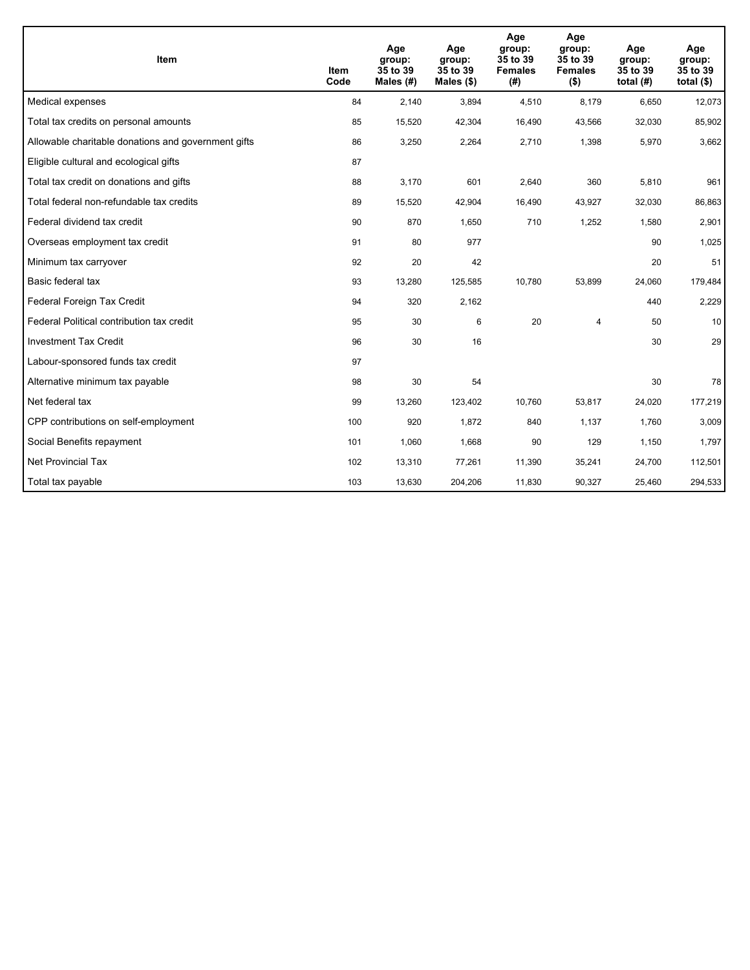| <b>Item</b>                                         | Item<br>Code | Age<br>group:<br>35 to 39<br>Males $(H)$ | Age<br>group:<br>35 to 39<br>Males $(\$)$ | Age<br>group:<br>35 to 39<br><b>Females</b><br>(#) | Age<br>group:<br>35 to 39<br><b>Females</b><br>$($ \$) | Age<br>group:<br>35 to 39<br>total $(H)$ | Age<br>group:<br>35 to 39<br>total $($)$ |
|-----------------------------------------------------|--------------|------------------------------------------|-------------------------------------------|----------------------------------------------------|--------------------------------------------------------|------------------------------------------|------------------------------------------|
| Medical expenses                                    | 84           | 2,140                                    | 3,894                                     | 4,510                                              | 8,179                                                  | 6,650                                    | 12,073                                   |
| Total tax credits on personal amounts               | 85           | 15,520                                   | 42,304                                    | 16,490                                             | 43,566                                                 | 32,030                                   | 85,902                                   |
| Allowable charitable donations and government gifts | 86           | 3,250                                    | 2,264                                     | 2,710                                              | 1,398                                                  | 5,970                                    | 3,662                                    |
| Eligible cultural and ecological gifts              | 87           |                                          |                                           |                                                    |                                                        |                                          |                                          |
| Total tax credit on donations and gifts             | 88           | 3,170                                    | 601                                       | 2,640                                              | 360                                                    | 5,810                                    | 961                                      |
| Total federal non-refundable tax credits            | 89           | 15,520                                   | 42,904                                    | 16,490                                             | 43,927                                                 | 32,030                                   | 86,863                                   |
| Federal dividend tax credit                         | 90           | 870                                      | 1,650                                     | 710                                                | 1,252                                                  | 1,580                                    | 2,901                                    |
| Overseas employment tax credit                      | 91           | 80                                       | 977                                       |                                                    |                                                        | 90                                       | 1,025                                    |
| Minimum tax carryover                               | 92           | 20                                       | 42                                        |                                                    |                                                        | 20                                       | 51                                       |
| Basic federal tax                                   | 93           | 13,280                                   | 125,585                                   | 10.780                                             | 53,899                                                 | 24,060                                   | 179,484                                  |
| Federal Foreign Tax Credit                          | 94           | 320                                      | 2,162                                     |                                                    |                                                        | 440                                      | 2,229                                    |
| Federal Political contribution tax credit           | 95           | 30                                       | 6                                         | 20                                                 | $\overline{4}$                                         | 50                                       | 10                                       |
| <b>Investment Tax Credit</b>                        | 96           | 30                                       | 16                                        |                                                    |                                                        | 30                                       | 29                                       |
| Labour-sponsored funds tax credit                   | 97           |                                          |                                           |                                                    |                                                        |                                          |                                          |
| Alternative minimum tax payable                     | 98           | 30                                       | 54                                        |                                                    |                                                        | 30                                       | 78                                       |
| Net federal tax                                     | 99           | 13,260                                   | 123,402                                   | 10,760                                             | 53,817                                                 | 24,020                                   | 177,219                                  |
| CPP contributions on self-employment                | 100          | 920                                      | 1,872                                     | 840                                                | 1,137                                                  | 1,760                                    | 3,009                                    |
| Social Benefits repayment                           | 101          | 1,060                                    | 1,668                                     | 90                                                 | 129                                                    | 1,150                                    | 1,797                                    |
| <b>Net Provincial Tax</b>                           | 102          | 13,310                                   | 77,261                                    | 11,390                                             | 35,241                                                 | 24,700                                   | 112,501                                  |
| Total tax payable                                   | 103          | 13,630                                   | 204,206                                   | 11,830                                             | 90,327                                                 | 25,460                                   | 294,533                                  |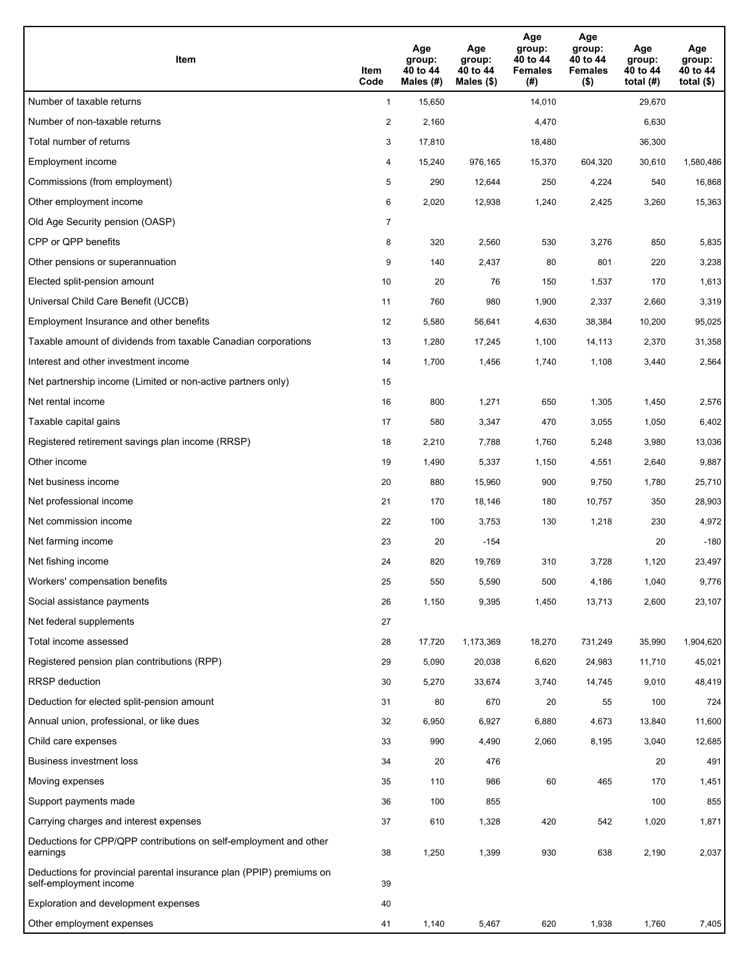| Item                                                                                           | Item<br>Code   | Age<br>group:<br>40 to 44<br>Males (#) | Age<br>group:<br>40 to 44<br>Males $(\$)$ | Age<br>group:<br>40 to 44<br><b>Females</b><br>(#) | Age<br>group:<br>40 to 44<br><b>Females</b><br>$($ \$) | Age<br>group:<br>40 to 44<br>total $(#)$ | Age<br>group:<br>40 to 44<br>total $($ |
|------------------------------------------------------------------------------------------------|----------------|----------------------------------------|-------------------------------------------|----------------------------------------------------|--------------------------------------------------------|------------------------------------------|----------------------------------------|
| Number of taxable returns                                                                      | $\mathbf{1}$   | 15,650                                 |                                           | 14,010                                             |                                                        | 29,670                                   |                                        |
| Number of non-taxable returns                                                                  | $\overline{a}$ | 2,160                                  |                                           | 4,470                                              |                                                        | 6,630                                    |                                        |
| Total number of returns                                                                        | 3              | 17,810                                 |                                           | 18,480                                             |                                                        | 36,300                                   |                                        |
| Employment income                                                                              | 4              | 15,240                                 | 976,165                                   | 15,370                                             | 604,320                                                | 30,610                                   | 1,580,486                              |
| Commissions (from employment)                                                                  | 5              | 290                                    | 12,644                                    | 250                                                | 4,224                                                  | 540                                      | 16,868                                 |
| Other employment income                                                                        | 6              | 2,020                                  | 12,938                                    | 1,240                                              | 2,425                                                  | 3,260                                    | 15,363                                 |
| Old Age Security pension (OASP)                                                                | 7              |                                        |                                           |                                                    |                                                        |                                          |                                        |
| CPP or QPP benefits                                                                            | 8              | 320                                    | 2,560                                     | 530                                                | 3,276                                                  | 850                                      | 5,835                                  |
| Other pensions or superannuation                                                               | 9              | 140                                    | 2,437                                     | 80                                                 | 801                                                    | 220                                      | 3,238                                  |
| Elected split-pension amount                                                                   | 10             | 20                                     | 76                                        | 150                                                | 1,537                                                  | 170                                      | 1,613                                  |
| Universal Child Care Benefit (UCCB)                                                            | 11             | 760                                    | 980                                       | 1,900                                              | 2,337                                                  | 2,660                                    | 3,319                                  |
| Employment Insurance and other benefits                                                        | 12             | 5,580                                  | 56,641                                    | 4,630                                              | 38,384                                                 | 10,200                                   | 95,025                                 |
| Taxable amount of dividends from taxable Canadian corporations                                 | 13             | 1,280                                  | 17,245                                    | 1,100                                              | 14,113                                                 | 2,370                                    | 31,358                                 |
| Interest and other investment income                                                           | 14             | 1,700                                  | 1,456                                     | 1,740                                              | 1,108                                                  | 3,440                                    | 2,564                                  |
| Net partnership income (Limited or non-active partners only)                                   | 15             |                                        |                                           |                                                    |                                                        |                                          |                                        |
| Net rental income                                                                              | 16             | 800                                    | 1,271                                     | 650                                                | 1,305                                                  | 1,450                                    | 2,576                                  |
| Taxable capital gains                                                                          | 17             | 580                                    | 3,347                                     | 470                                                | 3,055                                                  | 1,050                                    | 6,402                                  |
| Registered retirement savings plan income (RRSP)                                               | 18             | 2,210                                  | 7,788                                     | 1,760                                              | 5,248                                                  | 3,980                                    | 13,036                                 |
| Other income                                                                                   | 19             | 1,490                                  | 5,337                                     | 1,150                                              | 4,551                                                  | 2,640                                    | 9,887                                  |
| Net business income                                                                            | 20             | 880                                    | 15,960                                    | 900                                                | 9,750                                                  | 1,780                                    | 25,710                                 |
| Net professional income                                                                        | 21             | 170                                    | 18,146                                    | 180                                                | 10,757                                                 | 350                                      | 28,903                                 |
| Net commission income                                                                          | 22             | 100                                    | 3,753                                     | 130                                                | 1,218                                                  | 230                                      | 4,972                                  |
| Net farming income                                                                             | 23             | 20                                     | $-154$                                    |                                                    |                                                        | 20                                       | $-180$                                 |
| Net fishing income                                                                             | 24             | 820                                    | 19,769                                    | 310                                                | 3,728                                                  | 1,120                                    | 23,497                                 |
| Workers' compensation benefits                                                                 | 25             | 550                                    | 5,590                                     | 500                                                | 4,186                                                  | 1,040                                    | 9,776                                  |
| Social assistance payments                                                                     | 26             | 1,150                                  | 9,395                                     | 1,450                                              | 13,713                                                 | 2,600                                    | 23,107                                 |
| Net federal supplements                                                                        | 27             |                                        |                                           |                                                    |                                                        |                                          |                                        |
| Total income assessed                                                                          | 28             | 17,720                                 | 1,173,369                                 | 18,270                                             | 731,249                                                | 35,990                                   | 1,904,620                              |
| Registered pension plan contributions (RPP)                                                    | 29             | 5,090                                  | 20,038                                    | 6,620                                              | 24,983                                                 | 11,710                                   | 45,021                                 |
| <b>RRSP</b> deduction                                                                          | 30             | 5,270                                  | 33,674                                    | 3,740                                              | 14,745                                                 | 9,010                                    | 48,419                                 |
| Deduction for elected split-pension amount                                                     | 31             | 80                                     | 670                                       | 20                                                 | 55                                                     | 100                                      | 724                                    |
| Annual union, professional, or like dues                                                       | 32             | 6,950                                  | 6,927                                     | 6,880                                              | 4,673                                                  | 13,840                                   | 11,600                                 |
| Child care expenses                                                                            | 33             | 990                                    | 4,490                                     | 2,060                                              | 8,195                                                  | 3,040                                    | 12,685                                 |
| Business investment loss                                                                       | 34             | 20                                     | 476                                       |                                                    |                                                        | 20                                       | 491                                    |
| Moving expenses                                                                                | 35             | 110                                    | 986                                       | 60                                                 | 465                                                    | 170                                      | 1,451                                  |
| Support payments made                                                                          | 36             | 100                                    | 855                                       |                                                    |                                                        | 100                                      | 855                                    |
| Carrying charges and interest expenses                                                         | 37             | 610                                    | 1,328                                     | 420                                                | 542                                                    | 1,020                                    | 1,871                                  |
| Deductions for CPP/QPP contributions on self-employment and other<br>earnings                  | 38             | 1,250                                  | 1,399                                     | 930                                                | 638                                                    | 2,190                                    | 2,037                                  |
| Deductions for provincial parental insurance plan (PPIP) premiums on<br>self-employment income | 39             |                                        |                                           |                                                    |                                                        |                                          |                                        |
| Exploration and development expenses                                                           | 40             |                                        |                                           |                                                    |                                                        |                                          |                                        |
| Other employment expenses                                                                      | 41             | 1,140                                  | 5,467                                     | 620                                                | 1,938                                                  | 1,760                                    | 7,405                                  |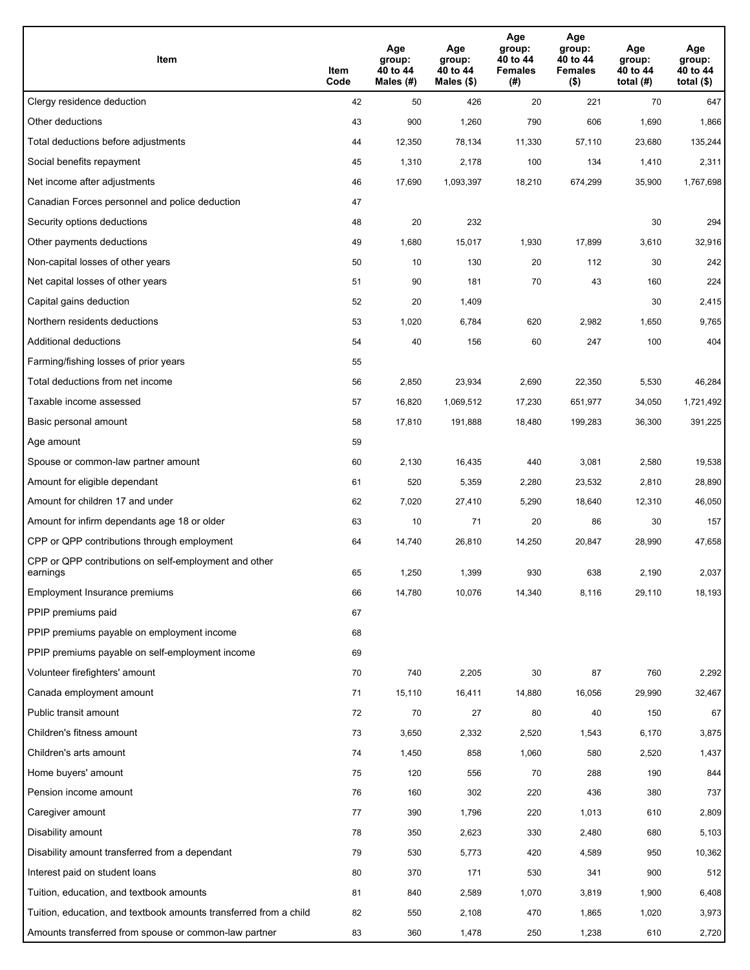| Item                                                              | Item<br>Code | Age<br>group:<br>40 to 44<br>Males (#) | Age<br>group:<br>40 to 44<br>Males (\$) | Age<br>group:<br>40 to 44<br><b>Females</b><br>(# ) | Age<br>group:<br>40 to 44<br><b>Females</b><br>$($ \$) | Age<br>group:<br>40 to 44<br>total $(H)$ | Age<br>group:<br>40 to 44<br>total $($)$ |
|-------------------------------------------------------------------|--------------|----------------------------------------|-----------------------------------------|-----------------------------------------------------|--------------------------------------------------------|------------------------------------------|------------------------------------------|
| Clergy residence deduction                                        | 42           | 50                                     | 426                                     | 20                                                  | 221                                                    | 70                                       | 647                                      |
| Other deductions                                                  | 43           | 900                                    | 1,260                                   | 790                                                 | 606                                                    | 1,690                                    | 1,866                                    |
| Total deductions before adjustments                               | 44           | 12,350                                 | 78,134                                  | 11,330                                              | 57,110                                                 | 23,680                                   | 135,244                                  |
| Social benefits repayment                                         | 45           | 1,310                                  | 2,178                                   | 100                                                 | 134                                                    | 1,410                                    | 2,311                                    |
| Net income after adjustments                                      | 46           | 17,690                                 | 1,093,397                               | 18,210                                              | 674,299                                                | 35,900                                   | 1,767,698                                |
| Canadian Forces personnel and police deduction                    | 47           |                                        |                                         |                                                     |                                                        |                                          |                                          |
| Security options deductions                                       | 48           | 20                                     | 232                                     |                                                     |                                                        | 30                                       | 294                                      |
| Other payments deductions                                         | 49           | 1,680                                  | 15,017                                  | 1,930                                               | 17,899                                                 | 3,610                                    | 32,916                                   |
| Non-capital losses of other years                                 | 50           | 10                                     | 130                                     | 20                                                  | 112                                                    | 30                                       | 242                                      |
| Net capital losses of other years                                 | 51           | 90                                     | 181                                     | 70                                                  | 43                                                     | 160                                      | 224                                      |
| Capital gains deduction                                           | 52           | 20                                     | 1,409                                   |                                                     |                                                        | 30                                       | 2,415                                    |
| Northern residents deductions                                     | 53           | 1,020                                  | 6,784                                   | 620                                                 | 2,982                                                  | 1,650                                    | 9,765                                    |
| Additional deductions                                             | 54           | 40                                     | 156                                     | 60                                                  | 247                                                    | 100                                      | 404                                      |
| Farming/fishing losses of prior years                             | 55           |                                        |                                         |                                                     |                                                        |                                          |                                          |
| Total deductions from net income                                  | 56           | 2,850                                  | 23,934                                  | 2,690                                               | 22,350                                                 | 5,530                                    | 46,284                                   |
| Taxable income assessed                                           | 57           | 16,820                                 | 1,069,512                               | 17,230                                              | 651,977                                                | 34,050                                   | 1,721,492                                |
| Basic personal amount                                             | 58           | 17,810                                 | 191,888                                 | 18,480                                              | 199,283                                                | 36,300                                   | 391,225                                  |
| Age amount                                                        | 59           |                                        |                                         |                                                     |                                                        |                                          |                                          |
| Spouse or common-law partner amount                               | 60           | 2,130                                  | 16,435                                  | 440                                                 | 3,081                                                  | 2,580                                    | 19,538                                   |
| Amount for eligible dependant                                     | 61           | 520                                    | 5,359                                   | 2,280                                               | 23,532                                                 | 2,810                                    | 28,890                                   |
| Amount for children 17 and under                                  | 62           | 7,020                                  | 27,410                                  | 5,290                                               | 18,640                                                 | 12,310                                   | 46,050                                   |
| Amount for infirm dependants age 18 or older                      | 63           | 10                                     | 71                                      | 20                                                  | 86                                                     | 30                                       | 157                                      |
| CPP or QPP contributions through employment                       | 64           | 14,740                                 | 26,810                                  | 14,250                                              | 20,847                                                 | 28,990                                   | 47,658                                   |
| CPP or QPP contributions on self-employment and other<br>earnings | 65           | 1,250                                  | 1,399                                   | 930                                                 | 638                                                    | 2,190                                    | 2,037                                    |
| Employment Insurance premiums                                     | 66           | 14,780                                 | 10,076                                  | 14,340                                              | 8,116                                                  | 29,110                                   | 18,193                                   |
| PPIP premiums paid                                                | 67           |                                        |                                         |                                                     |                                                        |                                          |                                          |
| PPIP premiums payable on employment income                        | 68           |                                        |                                         |                                                     |                                                        |                                          |                                          |
| PPIP premiums payable on self-employment income                   | 69           |                                        |                                         |                                                     |                                                        |                                          |                                          |
| Volunteer firefighters' amount                                    | 70           | 740                                    | 2,205                                   | 30                                                  | 87                                                     | 760                                      | 2,292                                    |
| Canada employment amount                                          | 71           | 15,110                                 | 16,411                                  | 14,880                                              | 16,056                                                 | 29,990                                   | 32,467                                   |
| Public transit amount                                             | 72           | 70                                     | 27                                      | 80                                                  | 40                                                     | 150                                      | 67                                       |
| Children's fitness amount                                         | 73           | 3,650                                  | 2,332                                   | 2,520                                               | 1,543                                                  | 6,170                                    | 3,875                                    |
| Children's arts amount                                            | 74           | 1,450                                  | 858                                     | 1,060                                               | 580                                                    | 2,520                                    | 1,437                                    |
| Home buyers' amount                                               | 75           | 120                                    | 556                                     | 70                                                  | 288                                                    | 190                                      | 844                                      |
| Pension income amount                                             | 76           | 160                                    | 302                                     | 220                                                 | 436                                                    | 380                                      | 737                                      |
| Caregiver amount                                                  | $77\,$       | 390                                    | 1,796                                   | 220                                                 | 1,013                                                  | 610                                      | 2,809                                    |
| Disability amount                                                 | 78           | 350                                    | 2,623                                   | 330                                                 | 2,480                                                  | 680                                      | 5,103                                    |
| Disability amount transferred from a dependant                    | 79           | 530                                    | 5,773                                   | 420                                                 | 4,589                                                  | 950                                      | 10,362                                   |
| Interest paid on student loans                                    | 80           | 370                                    | 171                                     | 530                                                 | 341                                                    | 900                                      | 512                                      |
| Tuition, education, and textbook amounts                          | 81           | 840                                    | 2,589                                   | 1,070                                               | 3,819                                                  | 1,900                                    | 6,408                                    |
| Tuition, education, and textbook amounts transferred from a child | 82           | 550                                    | 2,108                                   | 470                                                 | 1,865                                                  | 1,020                                    | 3,973                                    |
| Amounts transferred from spouse or common-law partner             | 83           | 360                                    | 1,478                                   | 250                                                 | 1,238                                                  | 610                                      | 2,720                                    |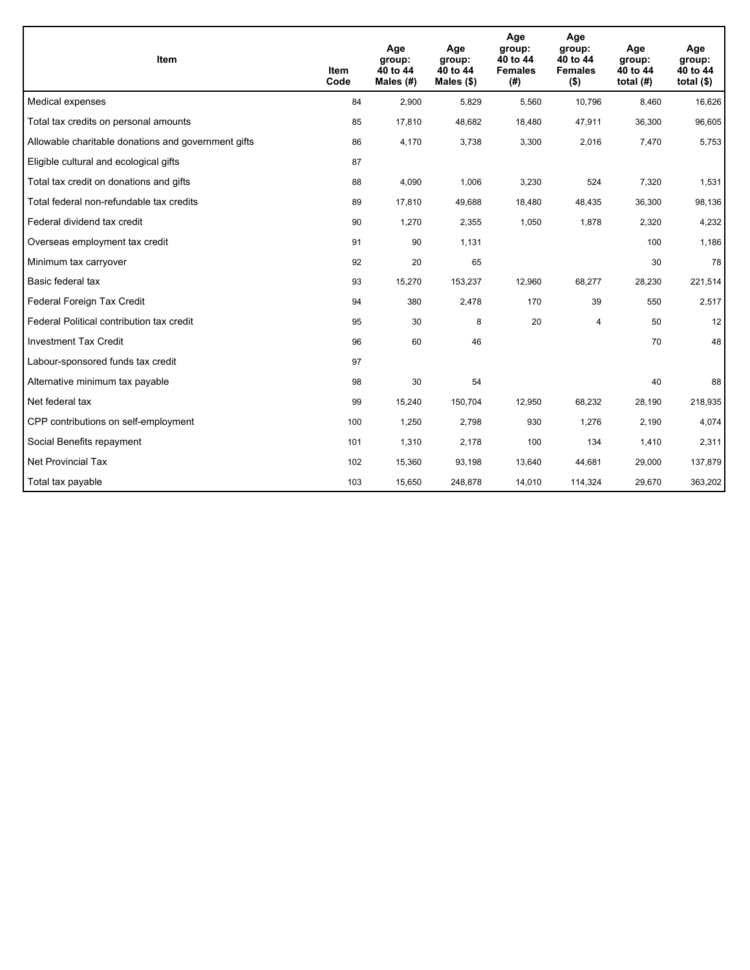| <b>Item</b>                                         | Item<br>Code | Age<br>group:<br>40 to 44<br>Males (#) | Age<br>group:<br>40 to 44<br>Males $(\$)$ | Age<br>group:<br>40 to 44<br><b>Females</b><br>(#) | Age<br>group:<br>40 to 44<br><b>Females</b><br>$($ \$) | Age<br>group:<br>40 to 44<br>total $(H)$ | Age<br>group:<br>40 to 44<br>total $($)$ |
|-----------------------------------------------------|--------------|----------------------------------------|-------------------------------------------|----------------------------------------------------|--------------------------------------------------------|------------------------------------------|------------------------------------------|
| Medical expenses                                    | 84           | 2,900                                  | 5.829                                     | 5,560                                              | 10,796                                                 | 8,460                                    | 16,626                                   |
| Total tax credits on personal amounts               | 85           | 17,810                                 | 48,682                                    | 18,480                                             | 47,911                                                 | 36,300                                   | 96,605                                   |
| Allowable charitable donations and government gifts | 86           | 4,170                                  | 3,738                                     | 3,300                                              | 2,016                                                  | 7,470                                    | 5,753                                    |
| Eligible cultural and ecological gifts              | 87           |                                        |                                           |                                                    |                                                        |                                          |                                          |
| Total tax credit on donations and gifts             | 88           | 4,090                                  | 1,006                                     | 3,230                                              | 524                                                    | 7,320                                    | 1,531                                    |
| Total federal non-refundable tax credits            | 89           | 17,810                                 | 49,688                                    | 18,480                                             | 48,435                                                 | 36,300                                   | 98,136                                   |
| Federal dividend tax credit                         | 90           | 1,270                                  | 2,355                                     | 1,050                                              | 1,878                                                  | 2,320                                    | 4,232                                    |
| Overseas employment tax credit                      | 91           | 90                                     | 1,131                                     |                                                    |                                                        | 100                                      | 1,186                                    |
| Minimum tax carryover                               | 92           | 20                                     | 65                                        |                                                    |                                                        | 30                                       | 78                                       |
| Basic federal tax                                   | 93           | 15,270                                 | 153,237                                   | 12,960                                             | 68,277                                                 | 28,230                                   | 221,514                                  |
| Federal Foreign Tax Credit                          | 94           | 380                                    | 2,478                                     | 170                                                | 39                                                     | 550                                      | 2,517                                    |
| Federal Political contribution tax credit           | 95           | 30                                     | 8                                         | 20                                                 | $\overline{4}$                                         | 50                                       | 12                                       |
| <b>Investment Tax Credit</b>                        | 96           | 60                                     | 46                                        |                                                    |                                                        | 70                                       | 48                                       |
| Labour-sponsored funds tax credit                   | 97           |                                        |                                           |                                                    |                                                        |                                          |                                          |
| Alternative minimum tax payable                     | 98           | 30                                     | 54                                        |                                                    |                                                        | 40                                       | 88                                       |
| Net federal tax                                     | 99           | 15,240                                 | 150,704                                   | 12,950                                             | 68,232                                                 | 28,190                                   | 218,935                                  |
| CPP contributions on self-employment                | 100          | 1,250                                  | 2,798                                     | 930                                                | 1,276                                                  | 2,190                                    | 4,074                                    |
| Social Benefits repayment                           | 101          | 1,310                                  | 2,178                                     | 100                                                | 134                                                    | 1,410                                    | 2,311                                    |
| <b>Net Provincial Tax</b>                           | 102          | 15,360                                 | 93,198                                    | 13,640                                             | 44,681                                                 | 29,000                                   | 137,879                                  |
| Total tax payable                                   | 103          | 15,650                                 | 248,878                                   | 14,010                                             | 114,324                                                | 29,670                                   | 363,202                                  |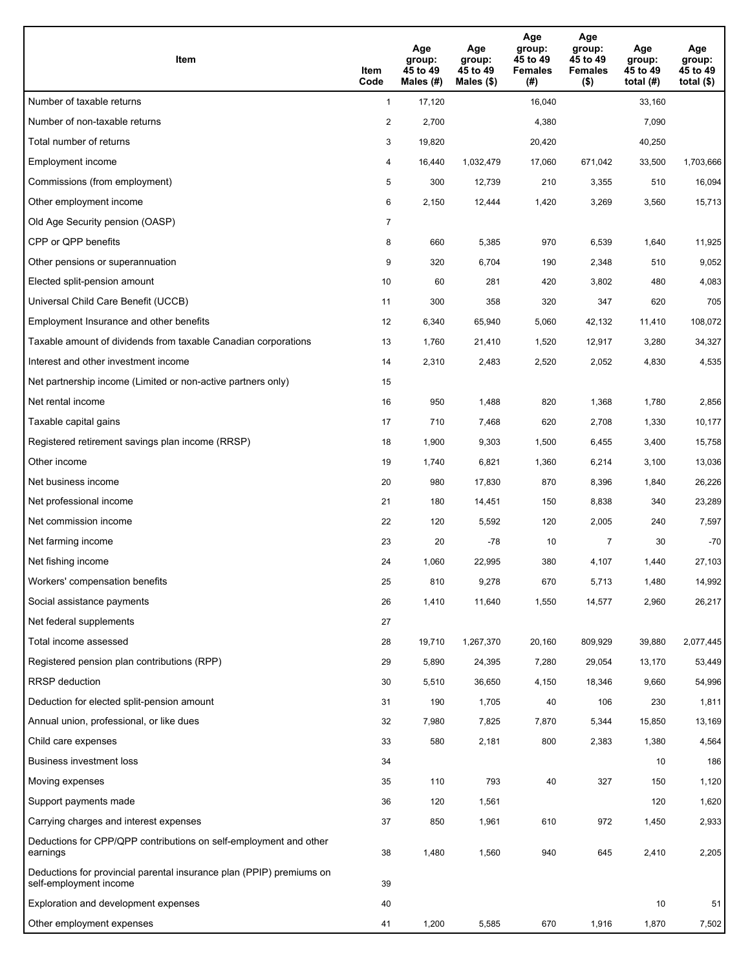| Item                                                                                           | Item<br>Code   | Age<br>group:<br>45 to 49<br>Males (#) | Age<br>group:<br>45 to 49<br>Males $(\$)$ | Age<br>group:<br>45 to 49<br><b>Females</b><br>(#) | Age<br>group:<br>45 to 49<br><b>Females</b><br>$($ \$) | Age<br>group:<br>45 to 49<br>total $(#)$ | Age<br>group:<br>45 to 49<br>total $($ |
|------------------------------------------------------------------------------------------------|----------------|----------------------------------------|-------------------------------------------|----------------------------------------------------|--------------------------------------------------------|------------------------------------------|----------------------------------------|
| Number of taxable returns                                                                      | $\mathbf{1}$   | 17,120                                 |                                           | 16,040                                             |                                                        | 33,160                                   |                                        |
| Number of non-taxable returns                                                                  | $\overline{c}$ | 2,700                                  |                                           | 4,380                                              |                                                        | 7,090                                    |                                        |
| Total number of returns                                                                        | 3              | 19,820                                 |                                           | 20,420                                             |                                                        | 40,250                                   |                                        |
| Employment income                                                                              | 4              | 16,440                                 | 1,032,479                                 | 17,060                                             | 671,042                                                | 33,500                                   | 1,703,666                              |
| Commissions (from employment)                                                                  | 5              | 300                                    | 12,739                                    | 210                                                | 3,355                                                  | 510                                      | 16,094                                 |
| Other employment income                                                                        | 6              | 2,150                                  | 12,444                                    | 1,420                                              | 3,269                                                  | 3,560                                    | 15,713                                 |
| Old Age Security pension (OASP)                                                                | 7              |                                        |                                           |                                                    |                                                        |                                          |                                        |
| CPP or QPP benefits                                                                            | 8              | 660                                    | 5,385                                     | 970                                                | 6,539                                                  | 1,640                                    | 11,925                                 |
| Other pensions or superannuation                                                               | 9              | 320                                    | 6,704                                     | 190                                                | 2,348                                                  | 510                                      | 9,052                                  |
| Elected split-pension amount                                                                   | 10             | 60                                     | 281                                       | 420                                                | 3,802                                                  | 480                                      | 4,083                                  |
| Universal Child Care Benefit (UCCB)                                                            | 11             | 300                                    | 358                                       | 320                                                | 347                                                    | 620                                      | 705                                    |
| Employment Insurance and other benefits                                                        | 12             | 6,340                                  | 65,940                                    | 5,060                                              | 42,132                                                 | 11,410                                   | 108,072                                |
| Taxable amount of dividends from taxable Canadian corporations                                 | 13             | 1,760                                  | 21,410                                    | 1,520                                              | 12,917                                                 | 3,280                                    | 34,327                                 |
| Interest and other investment income                                                           | 14             | 2,310                                  | 2,483                                     | 2,520                                              | 2,052                                                  | 4,830                                    | 4,535                                  |
| Net partnership income (Limited or non-active partners only)                                   | 15             |                                        |                                           |                                                    |                                                        |                                          |                                        |
| Net rental income                                                                              | 16             | 950                                    | 1,488                                     | 820                                                | 1,368                                                  | 1,780                                    | 2,856                                  |
| Taxable capital gains                                                                          | 17             | 710                                    | 7,468                                     | 620                                                | 2,708                                                  | 1,330                                    | 10,177                                 |
| Registered retirement savings plan income (RRSP)                                               | 18             | 1,900                                  | 9,303                                     | 1,500                                              | 6,455                                                  | 3,400                                    | 15,758                                 |
| Other income                                                                                   | 19             | 1,740                                  | 6,821                                     | 1,360                                              | 6,214                                                  | 3,100                                    | 13,036                                 |
| Net business income                                                                            | 20             | 980                                    | 17,830                                    | 870                                                | 8,396                                                  | 1,840                                    | 26,226                                 |
| Net professional income                                                                        | 21             | 180                                    | 14,451                                    | 150                                                | 8,838                                                  | 340                                      | 23,289                                 |
| Net commission income                                                                          | 22             | 120                                    | 5,592                                     | 120                                                | 2,005                                                  | 240                                      | 7,597                                  |
| Net farming income                                                                             | 23             | 20                                     | $-78$                                     | 10                                                 | $\overline{7}$                                         | 30                                       | $-70$                                  |
| Net fishing income                                                                             | 24             | 1,060                                  | 22,995                                    | 380                                                | 4,107                                                  | 1,440                                    | 27,103                                 |
| Workers' compensation benefits                                                                 | 25             | 810                                    | 9,278                                     | 670                                                | 5,713                                                  | 1,480                                    | 14,992                                 |
| Social assistance payments                                                                     | 26             | 1,410                                  | 11,640                                    | 1,550                                              | 14,577                                                 | 2,960                                    | 26,217                                 |
| Net federal supplements                                                                        | 27             |                                        |                                           |                                                    |                                                        |                                          |                                        |
| Total income assessed                                                                          | 28             | 19,710                                 | 1,267,370                                 | 20,160                                             | 809,929                                                | 39,880                                   | 2,077,445                              |
| Registered pension plan contributions (RPP)                                                    | 29             | 5,890                                  | 24,395                                    | 7,280                                              | 29,054                                                 | 13,170                                   | 53,449                                 |
| <b>RRSP</b> deduction                                                                          | 30             | 5,510                                  | 36,650                                    | 4,150                                              | 18,346                                                 | 9,660                                    | 54,996                                 |
| Deduction for elected split-pension amount                                                     | 31             | 190                                    | 1,705                                     | 40                                                 | 106                                                    | 230                                      | 1,811                                  |
| Annual union, professional, or like dues                                                       | 32             | 7,980                                  | 7,825                                     | 7,870                                              | 5,344                                                  | 15,850                                   | 13,169                                 |
| Child care expenses                                                                            | 33             | 580                                    | 2,181                                     | 800                                                | 2,383                                                  | 1,380                                    | 4,564                                  |
| Business investment loss                                                                       | 34             |                                        |                                           |                                                    |                                                        | 10                                       | 186                                    |
| Moving expenses                                                                                | 35             | 110                                    | 793                                       | 40                                                 | 327                                                    | 150                                      | 1,120                                  |
| Support payments made                                                                          | 36             | 120                                    | 1,561                                     |                                                    |                                                        | 120                                      | 1,620                                  |
| Carrying charges and interest expenses                                                         | 37             | 850                                    | 1,961                                     | 610                                                | 972                                                    | 1,450                                    | 2,933                                  |
| Deductions for CPP/QPP contributions on self-employment and other<br>earnings                  | 38             | 1,480                                  | 1,560                                     | 940                                                | 645                                                    | 2,410                                    | 2,205                                  |
| Deductions for provincial parental insurance plan (PPIP) premiums on<br>self-employment income | 39             |                                        |                                           |                                                    |                                                        |                                          |                                        |
| Exploration and development expenses                                                           | 40             |                                        |                                           |                                                    |                                                        | 10                                       | 51                                     |
| Other employment expenses                                                                      | 41             | 1,200                                  | 5,585                                     | 670                                                | 1,916                                                  | 1,870                                    | 7,502                                  |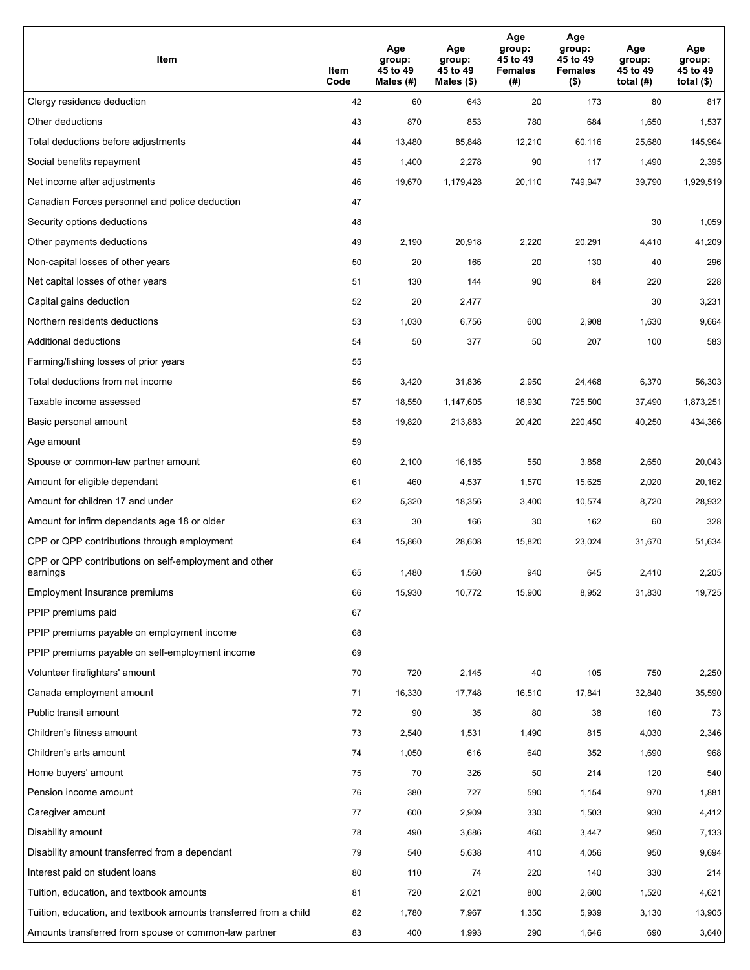| Item                                                              | Item<br>Code | Age<br>group:<br>45 to 49<br>Males (#) | Age<br>group:<br>45 to 49<br>Males (\$) | Age<br>group:<br>45 to 49<br><b>Females</b><br>(# ) | Age<br>group:<br>45 to 49<br><b>Females</b><br>$($ \$) | Age<br>group:<br>45 to 49<br>total $(H)$ | Age<br>group:<br>45 to 49<br>total $($)$ |
|-------------------------------------------------------------------|--------------|----------------------------------------|-----------------------------------------|-----------------------------------------------------|--------------------------------------------------------|------------------------------------------|------------------------------------------|
| Clergy residence deduction                                        | 42           | 60                                     | 643                                     | 20                                                  | 173                                                    | 80                                       | 817                                      |
| Other deductions                                                  | 43           | 870                                    | 853                                     | 780                                                 | 684                                                    | 1,650                                    | 1,537                                    |
| Total deductions before adjustments                               | 44           | 13,480                                 | 85,848                                  | 12,210                                              | 60,116                                                 | 25,680                                   | 145,964                                  |
| Social benefits repayment                                         | 45           | 1,400                                  | 2,278                                   | 90                                                  | 117                                                    | 1,490                                    | 2,395                                    |
| Net income after adjustments                                      | 46           | 19,670                                 | 1,179,428                               | 20,110                                              | 749,947                                                | 39,790                                   | 1,929,519                                |
| Canadian Forces personnel and police deduction                    | 47           |                                        |                                         |                                                     |                                                        |                                          |                                          |
| Security options deductions                                       | 48           |                                        |                                         |                                                     |                                                        | 30                                       | 1,059                                    |
| Other payments deductions                                         | 49           | 2,190                                  | 20,918                                  | 2,220                                               | 20,291                                                 | 4,410                                    | 41,209                                   |
| Non-capital losses of other years                                 | 50           | 20                                     | 165                                     | 20                                                  | 130                                                    | 40                                       | 296                                      |
| Net capital losses of other years                                 | 51           | 130                                    | 144                                     | 90                                                  | 84                                                     | 220                                      | 228                                      |
| Capital gains deduction                                           | 52           | 20                                     | 2,477                                   |                                                     |                                                        | 30                                       | 3,231                                    |
| Northern residents deductions                                     | 53           | 1,030                                  | 6,756                                   | 600                                                 | 2,908                                                  | 1,630                                    | 9,664                                    |
| Additional deductions                                             | 54           | 50                                     | 377                                     | 50                                                  | 207                                                    | 100                                      | 583                                      |
| Farming/fishing losses of prior years                             | 55           |                                        |                                         |                                                     |                                                        |                                          |                                          |
| Total deductions from net income                                  | 56           | 3,420                                  | 31,836                                  | 2,950                                               | 24,468                                                 | 6,370                                    | 56,303                                   |
| Taxable income assessed                                           | 57           | 18,550                                 | 1,147,605                               | 18,930                                              | 725,500                                                | 37,490                                   | 1,873,251                                |
| Basic personal amount                                             | 58           | 19,820                                 | 213,883                                 | 20,420                                              | 220,450                                                | 40,250                                   | 434,366                                  |
| Age amount                                                        | 59           |                                        |                                         |                                                     |                                                        |                                          |                                          |
| Spouse or common-law partner amount                               | 60           | 2,100                                  | 16,185                                  | 550                                                 | 3,858                                                  | 2,650                                    | 20,043                                   |
| Amount for eligible dependant                                     | 61           | 460                                    | 4,537                                   | 1,570                                               | 15,625                                                 | 2,020                                    | 20,162                                   |
| Amount for children 17 and under                                  | 62           | 5,320                                  | 18,356                                  | 3,400                                               | 10,574                                                 | 8,720                                    | 28,932                                   |
| Amount for infirm dependants age 18 or older                      | 63           | 30                                     | 166                                     | 30                                                  | 162                                                    | 60                                       | 328                                      |
| CPP or QPP contributions through employment                       | 64           | 15,860                                 | 28,608                                  | 15,820                                              | 23,024                                                 | 31,670                                   | 51,634                                   |
| CPP or QPP contributions on self-employment and other<br>earnings | 65           | 1,480                                  | 1,560                                   | 940                                                 | 645                                                    | 2,410                                    | 2,205                                    |
| Employment Insurance premiums                                     | 66           | 15,930                                 | 10,772                                  | 15,900                                              | 8,952                                                  | 31,830                                   | 19,725                                   |
| PPIP premiums paid                                                | 67           |                                        |                                         |                                                     |                                                        |                                          |                                          |
| PPIP premiums payable on employment income                        | 68           |                                        |                                         |                                                     |                                                        |                                          |                                          |
| PPIP premiums payable on self-employment income                   | 69           |                                        |                                         |                                                     |                                                        |                                          |                                          |
| Volunteer firefighters' amount                                    | 70           | 720                                    | 2,145                                   | 40                                                  | 105                                                    | 750                                      | 2,250                                    |
| Canada employment amount                                          | 71           | 16,330                                 | 17,748                                  | 16,510                                              | 17,841                                                 | 32,840                                   | 35,590                                   |
| Public transit amount                                             | 72           | 90                                     | 35                                      | 80                                                  | 38                                                     | 160                                      | 73                                       |
| Children's fitness amount                                         | 73           | 2,540                                  | 1,531                                   | 1,490                                               | 815                                                    | 4,030                                    | 2,346                                    |
| Children's arts amount                                            | 74           | 1,050                                  | 616                                     | 640                                                 | 352                                                    | 1,690                                    | 968                                      |
| Home buyers' amount                                               | 75           | 70                                     | 326                                     | 50                                                  | 214                                                    | 120                                      | 540                                      |
| Pension income amount                                             | 76           | 380                                    | 727                                     | 590                                                 | 1,154                                                  | 970                                      | 1,881                                    |
| Caregiver amount                                                  | 77           | 600                                    | 2,909                                   | 330                                                 | 1,503                                                  | 930                                      | 4,412                                    |
| Disability amount                                                 | 78           | 490                                    | 3,686                                   | 460                                                 | 3,447                                                  | 950                                      | 7,133                                    |
| Disability amount transferred from a dependant                    | 79           | 540                                    | 5,638                                   | 410                                                 | 4,056                                                  | 950                                      | 9,694                                    |
| Interest paid on student loans                                    | 80           | 110                                    | 74                                      | 220                                                 | 140                                                    | 330                                      | 214                                      |
| Tuition, education, and textbook amounts                          | 81           | 720                                    | 2,021                                   | 800                                                 | 2,600                                                  | 1,520                                    | 4,621                                    |
| Tuition, education, and textbook amounts transferred from a child | 82           | 1,780                                  | 7,967                                   | 1,350                                               | 5,939                                                  | 3,130                                    | 13,905                                   |
| Amounts transferred from spouse or common-law partner             | 83           | 400                                    | 1,993                                   | 290                                                 | 1,646                                                  | 690                                      | 3,640                                    |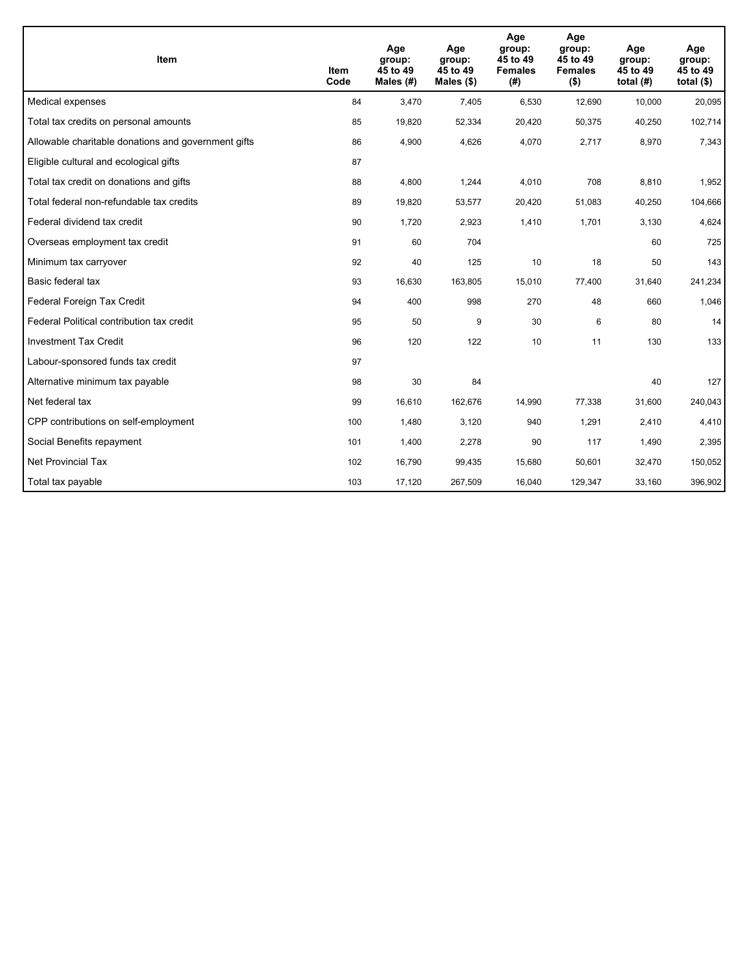| <b>Item</b>                                         | Item<br>Code | Age<br>group:<br>45 to 49<br>Males (#) | Age<br>group:<br>45 to 49<br>Males $(\$)$ | Age<br>group:<br>45 to 49<br><b>Females</b><br>(#) | Age<br>group:<br>45 to 49<br><b>Females</b><br>$($ \$) | Age<br>group:<br>45 to 49<br>total $(H)$ | Age<br>group:<br>45 to 49<br>total $($)$ |
|-----------------------------------------------------|--------------|----------------------------------------|-------------------------------------------|----------------------------------------------------|--------------------------------------------------------|------------------------------------------|------------------------------------------|
| Medical expenses                                    | 84           | 3,470                                  | 7,405                                     | 6,530                                              | 12,690                                                 | 10,000                                   | 20,095                                   |
| Total tax credits on personal amounts               | 85           | 19,820                                 | 52,334                                    | 20,420                                             | 50,375                                                 | 40,250                                   | 102,714                                  |
| Allowable charitable donations and government gifts | 86           | 4,900                                  | 4,626                                     | 4,070                                              | 2,717                                                  | 8,970                                    | 7,343                                    |
| Eligible cultural and ecological gifts              | 87           |                                        |                                           |                                                    |                                                        |                                          |                                          |
| Total tax credit on donations and gifts             | 88           | 4,800                                  | 1,244                                     | 4,010                                              | 708                                                    | 8,810                                    | 1,952                                    |
| Total federal non-refundable tax credits            | 89           | 19,820                                 | 53,577                                    | 20,420                                             | 51,083                                                 | 40,250                                   | 104,666                                  |
| Federal dividend tax credit                         | 90           | 1,720                                  | 2,923                                     | 1,410                                              | 1,701                                                  | 3,130                                    | 4,624                                    |
| Overseas employment tax credit                      | 91           | 60                                     | 704                                       |                                                    |                                                        | 60                                       | 725                                      |
| Minimum tax carryover                               | 92           | 40                                     | 125                                       | 10                                                 | 18                                                     | 50                                       | 143                                      |
| Basic federal tax                                   | 93           | 16,630                                 | 163,805                                   | 15,010                                             | 77,400                                                 | 31,640                                   | 241,234                                  |
| Federal Foreign Tax Credit                          | 94           | 400                                    | 998                                       | 270                                                | 48                                                     | 660                                      | 1,046                                    |
| Federal Political contribution tax credit           | 95           | 50                                     | 9                                         | 30                                                 | 6                                                      | 80                                       | 14                                       |
| <b>Investment Tax Credit</b>                        | 96           | 120                                    | 122                                       | 10                                                 | 11                                                     | 130                                      | 133                                      |
| Labour-sponsored funds tax credit                   | 97           |                                        |                                           |                                                    |                                                        |                                          |                                          |
| Alternative minimum tax payable                     | 98           | 30                                     | 84                                        |                                                    |                                                        | 40                                       | 127                                      |
| Net federal tax                                     | 99           | 16,610                                 | 162,676                                   | 14,990                                             | 77,338                                                 | 31,600                                   | 240,043                                  |
| CPP contributions on self-employment                | 100          | 1,480                                  | 3,120                                     | 940                                                | 1,291                                                  | 2,410                                    | 4,410                                    |
| Social Benefits repayment                           | 101          | 1,400                                  | 2,278                                     | 90                                                 | 117                                                    | 1,490                                    | 2,395                                    |
| <b>Net Provincial Tax</b>                           | 102          | 16,790                                 | 99,435                                    | 15,680                                             | 50.601                                                 | 32,470                                   | 150,052                                  |
| Total tax payable                                   | 103          | 17,120                                 | 267,509                                   | 16,040                                             | 129,347                                                | 33,160                                   | 396,902                                  |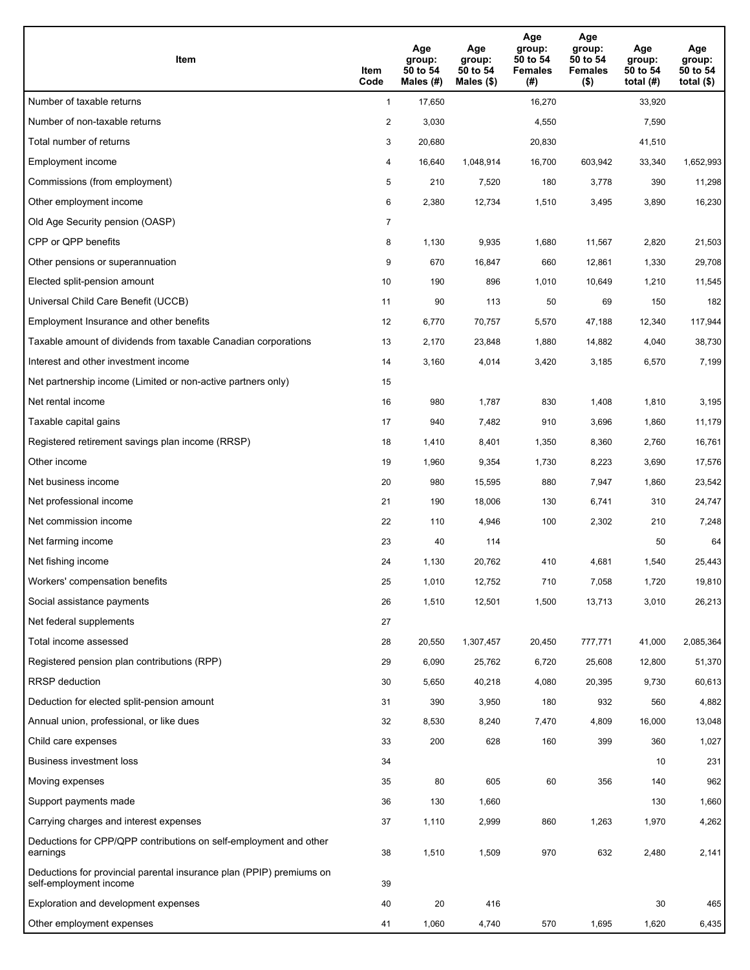| Item                                                                                           | Item<br>Code   | Age<br>group:<br>50 to 54<br>Males (#) | Age<br>group:<br>50 to 54<br>Males $(\$)$ | Age<br>group:<br>50 to 54<br><b>Females</b><br>(#) | Age<br>group:<br>50 to 54<br><b>Females</b><br>$($ \$) | Age<br>group:<br>50 to 54<br>total $(H)$ | Age<br>group:<br>50 to 54<br>total $($ |
|------------------------------------------------------------------------------------------------|----------------|----------------------------------------|-------------------------------------------|----------------------------------------------------|--------------------------------------------------------|------------------------------------------|----------------------------------------|
| Number of taxable returns                                                                      | $\mathbf{1}$   | 17,650                                 |                                           | 16,270                                             |                                                        | 33,920                                   |                                        |
| Number of non-taxable returns                                                                  | $\overline{a}$ | 3,030                                  |                                           | 4,550                                              |                                                        | 7,590                                    |                                        |
| Total number of returns                                                                        | 3              | 20,680                                 |                                           | 20,830                                             |                                                        | 41,510                                   |                                        |
| Employment income                                                                              | 4              | 16.640                                 | 1,048,914                                 | 16,700                                             | 603,942                                                | 33,340                                   | 1,652,993                              |
| Commissions (from employment)                                                                  | 5              | 210                                    | 7,520                                     | 180                                                | 3,778                                                  | 390                                      | 11,298                                 |
| Other employment income                                                                        | 6              | 2,380                                  | 12,734                                    | 1,510                                              | 3,495                                                  | 3,890                                    | 16,230                                 |
| Old Age Security pension (OASP)                                                                | 7              |                                        |                                           |                                                    |                                                        |                                          |                                        |
| CPP or QPP benefits                                                                            | 8              | 1,130                                  | 9,935                                     | 1,680                                              | 11,567                                                 | 2,820                                    | 21,503                                 |
| Other pensions or superannuation                                                               | 9              | 670                                    | 16,847                                    | 660                                                | 12,861                                                 | 1,330                                    | 29,708                                 |
| Elected split-pension amount                                                                   | 10             | 190                                    | 896                                       | 1,010                                              | 10,649                                                 | 1,210                                    | 11,545                                 |
| Universal Child Care Benefit (UCCB)                                                            | 11             | 90                                     | 113                                       | 50                                                 | 69                                                     | 150                                      | 182                                    |
| Employment Insurance and other benefits                                                        | 12             | 6,770                                  | 70,757                                    | 5,570                                              | 47,188                                                 | 12,340                                   | 117,944                                |
| Taxable amount of dividends from taxable Canadian corporations                                 | 13             | 2,170                                  | 23,848                                    | 1,880                                              | 14,882                                                 | 4,040                                    | 38,730                                 |
| Interest and other investment income                                                           | 14             | 3,160                                  | 4,014                                     | 3,420                                              | 3,185                                                  | 6,570                                    | 7,199                                  |
| Net partnership income (Limited or non-active partners only)                                   | 15             |                                        |                                           |                                                    |                                                        |                                          |                                        |
| Net rental income                                                                              | 16             | 980                                    | 1,787                                     | 830                                                | 1,408                                                  | 1,810                                    | 3,195                                  |
| Taxable capital gains                                                                          | 17             | 940                                    | 7,482                                     | 910                                                | 3,696                                                  | 1,860                                    | 11,179                                 |
| Registered retirement savings plan income (RRSP)                                               | 18             | 1,410                                  | 8,401                                     | 1,350                                              | 8,360                                                  | 2,760                                    | 16,761                                 |
| Other income                                                                                   | 19             | 1,960                                  | 9,354                                     | 1,730                                              | 8,223                                                  | 3,690                                    | 17,576                                 |
| Net business income                                                                            | 20             | 980                                    | 15,595                                    | 880                                                | 7,947                                                  | 1,860                                    | 23,542                                 |
| Net professional income                                                                        | 21             | 190                                    | 18,006                                    | 130                                                | 6,741                                                  | 310                                      | 24,747                                 |
| Net commission income                                                                          | 22             | 110                                    | 4,946                                     | 100                                                | 2,302                                                  | 210                                      | 7,248                                  |
| Net farming income                                                                             | 23             | 40                                     | 114                                       |                                                    |                                                        | 50                                       | 64                                     |
| Net fishing income                                                                             | 24             | 1,130                                  | 20,762                                    | 410                                                | 4,681                                                  | 1,540                                    | 25,443                                 |
| Workers' compensation benefits                                                                 | 25             | 1,010                                  | 12,752                                    | 710                                                | 7,058                                                  | 1,720                                    | 19,810                                 |
| Social assistance payments                                                                     | 26             | 1,510                                  | 12,501                                    | 1,500                                              | 13,713                                                 | 3,010                                    | 26,213                                 |
| Net federal supplements                                                                        | 27             |                                        |                                           |                                                    |                                                        |                                          |                                        |
| Total income assessed                                                                          | 28             | 20,550                                 | 1,307,457                                 | 20,450                                             | 777,771                                                | 41,000                                   | 2,085,364                              |
| Registered pension plan contributions (RPP)                                                    | 29             | 6,090                                  | 25,762                                    | 6,720                                              | 25,608                                                 | 12,800                                   | 51,370                                 |
| <b>RRSP</b> deduction                                                                          | 30             | 5,650                                  | 40,218                                    | 4,080                                              | 20,395                                                 | 9,730                                    | 60,613                                 |
| Deduction for elected split-pension amount                                                     | 31             | 390                                    | 3,950                                     | 180                                                | 932                                                    | 560                                      | 4,882                                  |
| Annual union, professional, or like dues                                                       | 32             | 8,530                                  | 8,240                                     | 7,470                                              | 4,809                                                  | 16,000                                   | 13,048                                 |
| Child care expenses                                                                            | 33             | 200                                    | 628                                       | 160                                                | 399                                                    | 360                                      | 1,027                                  |
| Business investment loss                                                                       | 34             |                                        |                                           |                                                    |                                                        | 10                                       | 231                                    |
| Moving expenses                                                                                | 35             | 80                                     | 605                                       | 60                                                 | 356                                                    | 140                                      | 962                                    |
| Support payments made                                                                          | 36             | 130                                    | 1,660                                     |                                                    |                                                        | 130                                      | 1,660                                  |
| Carrying charges and interest expenses                                                         | 37             | 1,110                                  | 2,999                                     | 860                                                | 1,263                                                  | 1,970                                    | 4,262                                  |
| Deductions for CPP/QPP contributions on self-employment and other<br>earnings                  | 38             | 1,510                                  | 1,509                                     | 970                                                | 632                                                    | 2,480                                    | 2,141                                  |
| Deductions for provincial parental insurance plan (PPIP) premiums on<br>self-employment income | 39             |                                        |                                           |                                                    |                                                        |                                          |                                        |
| Exploration and development expenses                                                           | 40             | 20                                     | 416                                       |                                                    |                                                        | 30                                       | 465                                    |
| Other employment expenses                                                                      | 41             | 1,060                                  | 4,740                                     | 570                                                | 1,695                                                  | 1,620                                    | 6,435                                  |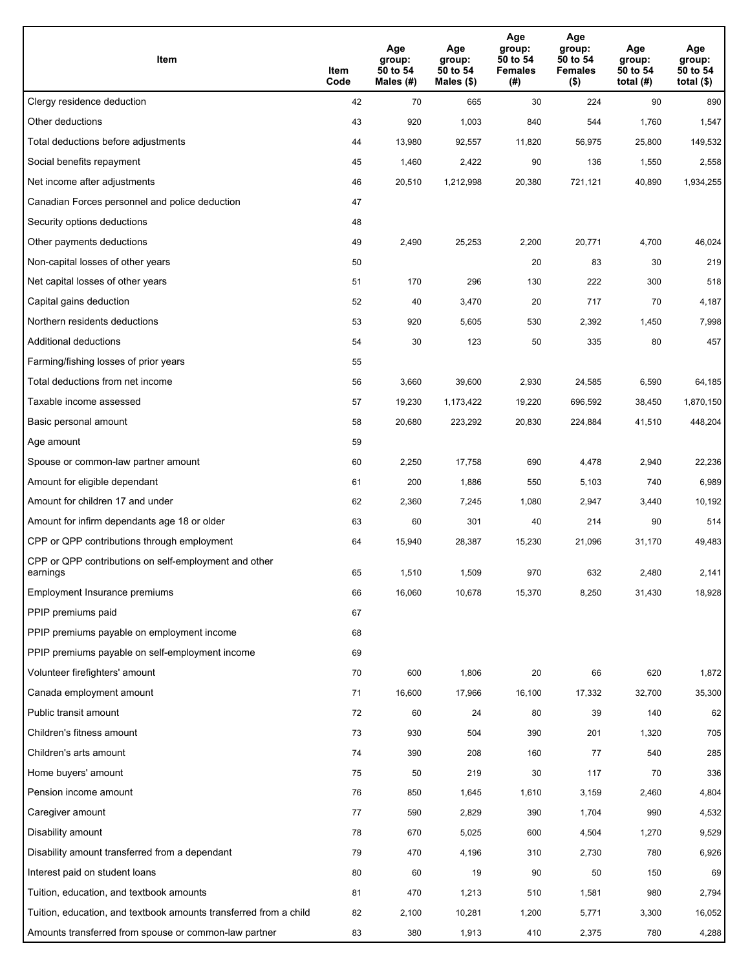| Item                                                              | Item<br>Code | Age<br>group:<br>50 to 54<br>Males (#) | Age<br>group:<br>50 to 54<br>Males (\$) | Age<br>group:<br>50 to 54<br><b>Females</b><br>(# ) | Age<br>group:<br>50 to 54<br><b>Females</b><br>$($ \$) | Age<br>group:<br>50 to 54<br>total $(H)$ | Age<br>group:<br>50 to 54<br>total $($)$ |
|-------------------------------------------------------------------|--------------|----------------------------------------|-----------------------------------------|-----------------------------------------------------|--------------------------------------------------------|------------------------------------------|------------------------------------------|
| Clergy residence deduction                                        | 42           | 70                                     | 665                                     | 30                                                  | 224                                                    | 90                                       | 890                                      |
| Other deductions                                                  | 43           | 920                                    | 1,003                                   | 840                                                 | 544                                                    | 1,760                                    | 1,547                                    |
| Total deductions before adjustments                               | 44           | 13,980                                 | 92,557                                  | 11,820                                              | 56,975                                                 | 25,800                                   | 149,532                                  |
| Social benefits repayment                                         | 45           | 1,460                                  | 2,422                                   | 90                                                  | 136                                                    | 1,550                                    | 2,558                                    |
| Net income after adjustments                                      | 46           | 20,510                                 | 1,212,998                               | 20,380                                              | 721,121                                                | 40,890                                   | 1,934,255                                |
| Canadian Forces personnel and police deduction                    | 47           |                                        |                                         |                                                     |                                                        |                                          |                                          |
| Security options deductions                                       | 48           |                                        |                                         |                                                     |                                                        |                                          |                                          |
| Other payments deductions                                         | 49           | 2,490                                  | 25,253                                  | 2,200                                               | 20,771                                                 | 4,700                                    | 46,024                                   |
| Non-capital losses of other years                                 | 50           |                                        |                                         | 20                                                  | 83                                                     | 30                                       | 219                                      |
| Net capital losses of other years                                 | 51           | 170                                    | 296                                     | 130                                                 | 222                                                    | 300                                      | 518                                      |
| Capital gains deduction                                           | 52           | 40                                     | 3,470                                   | 20                                                  | 717                                                    | 70                                       | 4,187                                    |
| Northern residents deductions                                     | 53           | 920                                    | 5,605                                   | 530                                                 | 2,392                                                  | 1,450                                    | 7,998                                    |
| Additional deductions                                             | 54           | 30                                     | 123                                     | 50                                                  | 335                                                    | 80                                       | 457                                      |
| Farming/fishing losses of prior years                             | 55           |                                        |                                         |                                                     |                                                        |                                          |                                          |
| Total deductions from net income                                  | 56           | 3,660                                  | 39,600                                  | 2,930                                               | 24,585                                                 | 6,590                                    | 64,185                                   |
| Taxable income assessed                                           | 57           | 19,230                                 | 1,173,422                               | 19,220                                              | 696,592                                                | 38,450                                   | 1,870,150                                |
| Basic personal amount                                             | 58           | 20,680                                 | 223,292                                 | 20,830                                              | 224,884                                                | 41,510                                   | 448,204                                  |
| Age amount                                                        | 59           |                                        |                                         |                                                     |                                                        |                                          |                                          |
| Spouse or common-law partner amount                               | 60           | 2,250                                  | 17,758                                  | 690                                                 | 4,478                                                  | 2,940                                    | 22,236                                   |
| Amount for eligible dependant                                     | 61           | 200                                    | 1,886                                   | 550                                                 | 5,103                                                  | 740                                      | 6,989                                    |
| Amount for children 17 and under                                  | 62           | 2,360                                  | 7,245                                   | 1,080                                               | 2,947                                                  | 3,440                                    | 10,192                                   |
| Amount for infirm dependants age 18 or older                      | 63           | 60                                     | 301                                     | 40                                                  | 214                                                    | 90                                       | 514                                      |
| CPP or QPP contributions through employment                       | 64           | 15,940                                 | 28,387                                  | 15,230                                              | 21,096                                                 | 31,170                                   | 49,483                                   |
| CPP or QPP contributions on self-employment and other<br>earnings | 65           | 1,510                                  | 1,509                                   | 970                                                 | 632                                                    | 2,480                                    | 2,141                                    |
| Employment Insurance premiums                                     | 66           | 16,060                                 | 10,678                                  | 15,370                                              | 8,250                                                  | 31,430                                   | 18,928                                   |
| PPIP premiums paid                                                | 67           |                                        |                                         |                                                     |                                                        |                                          |                                          |
| PPIP premiums payable on employment income                        | 68           |                                        |                                         |                                                     |                                                        |                                          |                                          |
| PPIP premiums payable on self-employment income                   | 69           |                                        |                                         |                                                     |                                                        |                                          |                                          |
| Volunteer firefighters' amount                                    | 70           | 600                                    | 1,806                                   | 20                                                  | 66                                                     | 620                                      | 1,872                                    |
| Canada employment amount                                          | 71           | 16,600                                 | 17,966                                  | 16,100                                              | 17,332                                                 | 32,700                                   | 35,300                                   |
| Public transit amount                                             | 72           | 60                                     | 24                                      | 80                                                  | 39                                                     | 140                                      | 62                                       |
| Children's fitness amount                                         | 73           | 930                                    | 504                                     | 390                                                 | 201                                                    | 1,320                                    | 705                                      |
| Children's arts amount                                            | 74           | 390                                    | 208                                     | 160                                                 | 77                                                     | 540                                      | 285                                      |
| Home buyers' amount                                               | 75           | 50                                     | 219                                     | 30                                                  | 117                                                    | 70                                       | 336                                      |
| Pension income amount                                             | 76           | 850                                    | 1,645                                   | 1,610                                               | 3,159                                                  | 2,460                                    | 4,804                                    |
| Caregiver amount                                                  | 77           | 590                                    | 2,829                                   | 390                                                 | 1,704                                                  | 990                                      | 4,532                                    |
| Disability amount                                                 | 78           | 670                                    | 5,025                                   | 600                                                 | 4,504                                                  | 1,270                                    | 9,529                                    |
| Disability amount transferred from a dependant                    | 79           | 470                                    | 4,196                                   | 310                                                 | 2,730                                                  | 780                                      | 6,926                                    |
| Interest paid on student loans                                    | 80           | 60                                     | 19                                      | 90                                                  | 50                                                     | 150                                      | 69                                       |
| Tuition, education, and textbook amounts                          | 81           | 470                                    | 1,213                                   | 510                                                 | 1,581                                                  | 980                                      | 2,794                                    |
| Tuition, education, and textbook amounts transferred from a child | 82           | 2,100                                  | 10,281                                  | 1,200                                               | 5,771                                                  | 3,300                                    | 16,052                                   |
| Amounts transferred from spouse or common-law partner             | 83           | 380                                    | 1,913                                   | 410                                                 | 2,375                                                  | 780                                      | 4,288                                    |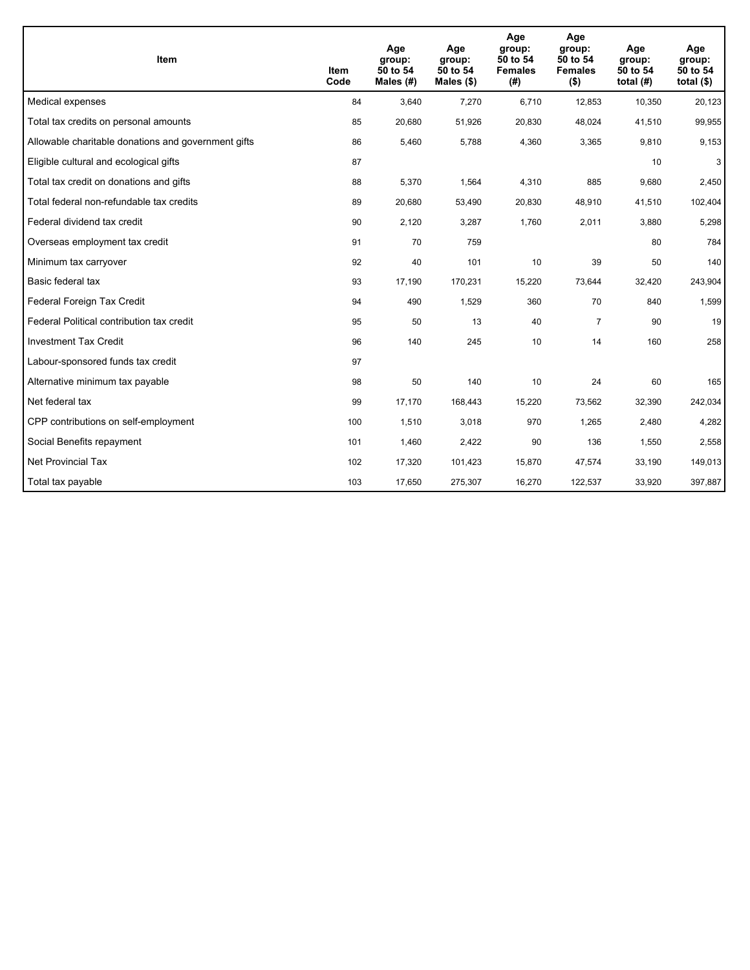| <b>Item</b>                                         | Item<br>Code | Age<br>group:<br>50 to 54<br>Males (#) | Age<br>group:<br>50 to 54<br>Males $(\$)$ | Age<br>group:<br>50 to 54<br><b>Females</b><br>(#) | Age<br>group:<br>50 to 54<br><b>Females</b><br>$($ \$) | Age<br>group:<br>50 to 54<br>total $(H)$ | Age<br>group:<br>50 to 54<br>total $($)$ |
|-----------------------------------------------------|--------------|----------------------------------------|-------------------------------------------|----------------------------------------------------|--------------------------------------------------------|------------------------------------------|------------------------------------------|
| Medical expenses                                    | 84           | 3,640                                  | 7,270                                     | 6,710                                              | 12,853                                                 | 10,350                                   | 20,123                                   |
| Total tax credits on personal amounts               | 85           | 20,680                                 | 51,926                                    | 20,830                                             | 48,024                                                 | 41,510                                   | 99,955                                   |
| Allowable charitable donations and government gifts | 86           | 5,460                                  | 5,788                                     | 4,360                                              | 3,365                                                  | 9,810                                    | 9,153                                    |
| Eligible cultural and ecological gifts              | 87           |                                        |                                           |                                                    |                                                        | 10                                       | 3                                        |
| Total tax credit on donations and gifts             | 88           | 5,370                                  | 1,564                                     | 4,310                                              | 885                                                    | 9,680                                    | 2,450                                    |
| Total federal non-refundable tax credits            | 89           | 20,680                                 | 53,490                                    | 20,830                                             | 48,910                                                 | 41,510                                   | 102,404                                  |
| Federal dividend tax credit                         | 90           | 2,120                                  | 3,287                                     | 1,760                                              | 2,011                                                  | 3,880                                    | 5,298                                    |
| Overseas employment tax credit                      | 91           | 70                                     | 759                                       |                                                    |                                                        | 80                                       | 784                                      |
| Minimum tax carryover                               | 92           | 40                                     | 101                                       | 10                                                 | 39                                                     | 50                                       | 140                                      |
| Basic federal tax                                   | 93           | 17,190                                 | 170,231                                   | 15,220                                             | 73,644                                                 | 32,420                                   | 243,904                                  |
| Federal Foreign Tax Credit                          | 94           | 490                                    | 1,529                                     | 360                                                | 70                                                     | 840                                      | 1,599                                    |
| Federal Political contribution tax credit           | 95           | 50                                     | 13                                        | 40                                                 | $\overline{7}$                                         | 90                                       | 19                                       |
| <b>Investment Tax Credit</b>                        | 96           | 140                                    | 245                                       | 10                                                 | 14                                                     | 160                                      | 258                                      |
| Labour-sponsored funds tax credit                   | 97           |                                        |                                           |                                                    |                                                        |                                          |                                          |
| Alternative minimum tax payable                     | 98           | 50                                     | 140                                       | 10                                                 | 24                                                     | 60                                       | 165                                      |
| Net federal tax                                     | 99           | 17,170                                 | 168,443                                   | 15,220                                             | 73,562                                                 | 32,390                                   | 242,034                                  |
| CPP contributions on self-employment                | 100          | 1,510                                  | 3,018                                     | 970                                                | 1,265                                                  | 2,480                                    | 4,282                                    |
| Social Benefits repayment                           | 101          | 1,460                                  | 2,422                                     | 90                                                 | 136                                                    | 1,550                                    | 2,558                                    |
| <b>Net Provincial Tax</b>                           | 102          | 17,320                                 | 101,423                                   | 15,870                                             | 47,574                                                 | 33,190                                   | 149,013                                  |
| Total tax payable                                   | 103          | 17,650                                 | 275,307                                   | 16,270                                             | 122,537                                                | 33,920                                   | 397,887                                  |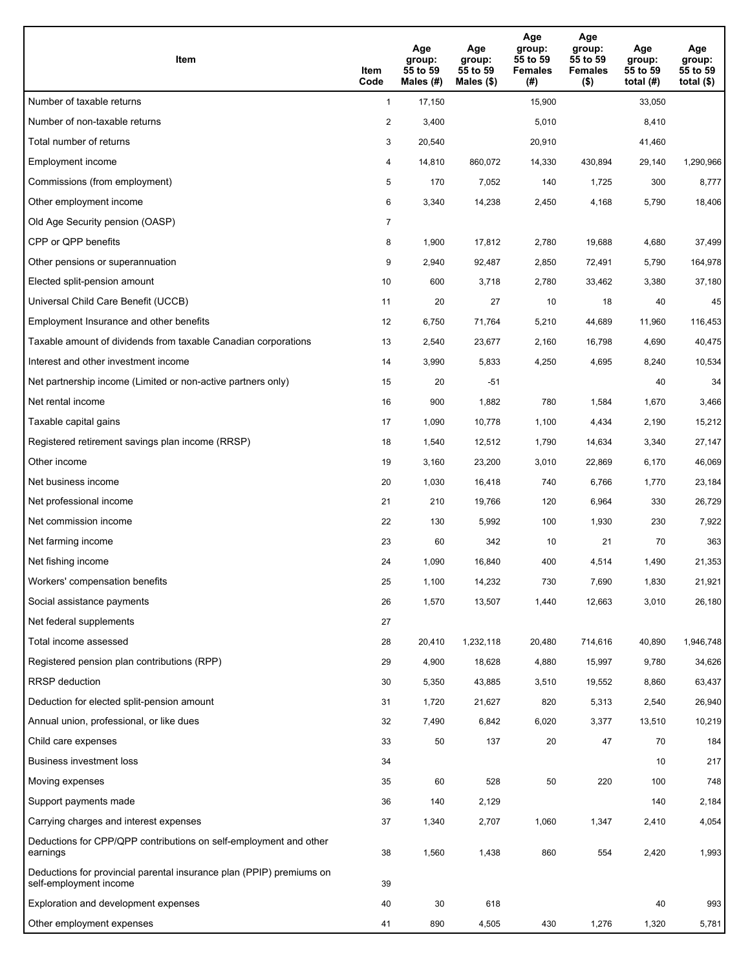| Item                                                                                           | Item<br>Code   | Age<br>group:<br>55 to 59<br>Males (#) | Age<br>group:<br>55 to 59<br>Males $(\$)$ | Age<br>group:<br>55 to 59<br><b>Females</b><br>(#) | Age<br>group:<br>55 to 59<br><b>Females</b><br>$($ \$) | Age<br>group:<br>55 to 59<br>total $(#)$ | Age<br>group:<br>55 to 59<br>total $($ |
|------------------------------------------------------------------------------------------------|----------------|----------------------------------------|-------------------------------------------|----------------------------------------------------|--------------------------------------------------------|------------------------------------------|----------------------------------------|
| Number of taxable returns                                                                      | $\mathbf{1}$   | 17,150                                 |                                           | 15,900                                             |                                                        | 33,050                                   |                                        |
| Number of non-taxable returns                                                                  | $\overline{a}$ | 3,400                                  |                                           | 5,010                                              |                                                        | 8,410                                    |                                        |
| Total number of returns                                                                        | 3              | 20,540                                 |                                           | 20,910                                             |                                                        | 41,460                                   |                                        |
| Employment income                                                                              | 4              | 14,810                                 | 860,072                                   | 14,330                                             | 430,894                                                | 29,140                                   | 1,290,966                              |
| Commissions (from employment)                                                                  | 5              | 170                                    | 7,052                                     | 140                                                | 1,725                                                  | 300                                      | 8,777                                  |
| Other employment income                                                                        | 6              | 3,340                                  | 14,238                                    | 2,450                                              | 4,168                                                  | 5,790                                    | 18,406                                 |
| Old Age Security pension (OASP)                                                                | 7              |                                        |                                           |                                                    |                                                        |                                          |                                        |
| CPP or QPP benefits                                                                            | 8              | 1,900                                  | 17,812                                    | 2,780                                              | 19,688                                                 | 4,680                                    | 37,499                                 |
| Other pensions or superannuation                                                               | 9              | 2,940                                  | 92,487                                    | 2,850                                              | 72,491                                                 | 5,790                                    | 164,978                                |
| Elected split-pension amount                                                                   | 10             | 600                                    | 3,718                                     | 2,780                                              | 33,462                                                 | 3,380                                    | 37,180                                 |
| Universal Child Care Benefit (UCCB)                                                            | 11             | 20                                     | 27                                        | 10                                                 | 18                                                     | 40                                       | 45                                     |
| Employment Insurance and other benefits                                                        | 12             | 6,750                                  | 71,764                                    | 5,210                                              | 44,689                                                 | 11,960                                   | 116,453                                |
| Taxable amount of dividends from taxable Canadian corporations                                 | 13             | 2,540                                  | 23,677                                    | 2,160                                              | 16,798                                                 | 4,690                                    | 40,475                                 |
| Interest and other investment income                                                           | 14             | 3,990                                  | 5,833                                     | 4,250                                              | 4,695                                                  | 8,240                                    | 10,534                                 |
| Net partnership income (Limited or non-active partners only)                                   | 15             | 20                                     | $-51$                                     |                                                    |                                                        | 40                                       | 34                                     |
| Net rental income                                                                              | 16             | 900                                    | 1,882                                     | 780                                                | 1,584                                                  | 1,670                                    | 3,466                                  |
| Taxable capital gains                                                                          | 17             | 1,090                                  | 10,778                                    | 1,100                                              | 4,434                                                  | 2,190                                    | 15,212                                 |
| Registered retirement savings plan income (RRSP)                                               | 18             | 1,540                                  | 12,512                                    | 1,790                                              | 14,634                                                 | 3,340                                    | 27,147                                 |
| Other income                                                                                   | 19             | 3,160                                  | 23,200                                    | 3,010                                              | 22,869                                                 | 6,170                                    | 46,069                                 |
| Net business income                                                                            | 20             | 1,030                                  | 16,418                                    | 740                                                | 6,766                                                  | 1,770                                    | 23,184                                 |
| Net professional income                                                                        | 21             | 210                                    | 19,766                                    | 120                                                | 6,964                                                  | 330                                      | 26,729                                 |
| Net commission income                                                                          | 22             | 130                                    | 5,992                                     | 100                                                | 1,930                                                  | 230                                      | 7,922                                  |
| Net farming income                                                                             | 23             | 60                                     | 342                                       | 10                                                 | 21                                                     | 70                                       | 363                                    |
| Net fishing income                                                                             | 24             | 1,090                                  | 16,840                                    | 400                                                | 4,514                                                  | 1,490                                    | 21,353                                 |
| Workers' compensation benefits                                                                 | 25             | 1,100                                  | 14,232                                    | 730                                                | 7,690                                                  | 1,830                                    | 21,921                                 |
| Social assistance payments                                                                     | 26             | 1,570                                  | 13,507                                    | 1,440                                              | 12,663                                                 | 3,010                                    | 26,180                                 |
| Net federal supplements                                                                        | 27             |                                        |                                           |                                                    |                                                        |                                          |                                        |
| Total income assessed                                                                          | 28             | 20,410                                 | 1,232,118                                 | 20,480                                             | 714,616                                                | 40,890                                   | 1,946,748                              |
| Registered pension plan contributions (RPP)                                                    | 29             | 4,900                                  | 18,628                                    | 4,880                                              | 15,997                                                 | 9,780                                    | 34,626                                 |
| <b>RRSP</b> deduction                                                                          | 30             | 5,350                                  | 43,885                                    | 3,510                                              | 19,552                                                 | 8,860                                    | 63,437                                 |
| Deduction for elected split-pension amount                                                     | 31             | 1,720                                  | 21,627                                    | 820                                                | 5,313                                                  | 2,540                                    | 26,940                                 |
| Annual union, professional, or like dues                                                       | 32             | 7,490                                  | 6,842                                     | 6,020                                              | 3,377                                                  | 13,510                                   | 10,219                                 |
| Child care expenses                                                                            | 33             | 50                                     | 137                                       | 20                                                 | 47                                                     | 70                                       | 184                                    |
| Business investment loss                                                                       | 34             |                                        |                                           |                                                    |                                                        | 10                                       | 217                                    |
| Moving expenses                                                                                | 35             | 60                                     | 528                                       | 50                                                 | 220                                                    | 100                                      | 748                                    |
| Support payments made                                                                          | 36             | 140                                    | 2,129                                     |                                                    |                                                        | 140                                      | 2,184                                  |
| Carrying charges and interest expenses                                                         | 37             | 1,340                                  | 2,707                                     | 1,060                                              | 1,347                                                  | 2,410                                    | 4,054                                  |
| Deductions for CPP/QPP contributions on self-employment and other<br>earnings                  | 38             | 1,560                                  | 1,438                                     | 860                                                | 554                                                    | 2,420                                    | 1,993                                  |
| Deductions for provincial parental insurance plan (PPIP) premiums on<br>self-employment income | 39             |                                        |                                           |                                                    |                                                        |                                          |                                        |
| Exploration and development expenses                                                           | 40             | 30                                     | 618                                       |                                                    |                                                        | 40                                       | 993                                    |
| Other employment expenses                                                                      | 41             | 890                                    | 4,505                                     | 430                                                | 1,276                                                  | 1,320                                    | 5,781                                  |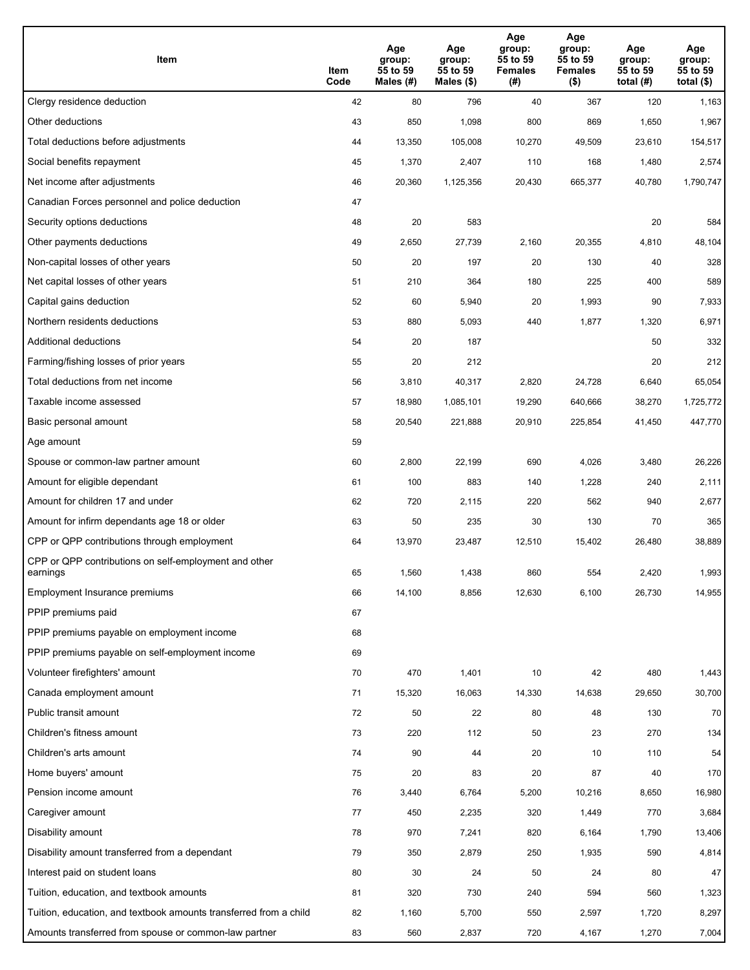| Item                                                              | Item<br>Code | Age<br>group:<br>55 to 59<br>Males (#) | Age<br>group:<br>55 to 59<br>Males (\$) | Age<br>group:<br>55 to 59<br><b>Females</b><br>(#) | Age<br>group:<br>55 to 59<br><b>Females</b><br>$($ \$) | Age<br>group:<br>55 to 59<br>total $(H)$ | Age<br>group:<br>55 to 59<br>total $($)$ |
|-------------------------------------------------------------------|--------------|----------------------------------------|-----------------------------------------|----------------------------------------------------|--------------------------------------------------------|------------------------------------------|------------------------------------------|
| Clergy residence deduction                                        | 42           | 80                                     | 796                                     | 40                                                 | 367                                                    | 120                                      | 1,163                                    |
| Other deductions                                                  | 43           | 850                                    | 1,098                                   | 800                                                | 869                                                    | 1,650                                    | 1,967                                    |
| Total deductions before adjustments                               | 44           | 13,350                                 | 105,008                                 | 10,270                                             | 49,509                                                 | 23,610                                   | 154,517                                  |
| Social benefits repayment                                         | 45           | 1,370                                  | 2,407                                   | 110                                                | 168                                                    | 1,480                                    | 2,574                                    |
| Net income after adjustments                                      | 46           | 20,360                                 | 1,125,356                               | 20,430                                             | 665,377                                                | 40,780                                   | 1,790,747                                |
| Canadian Forces personnel and police deduction                    | 47           |                                        |                                         |                                                    |                                                        |                                          |                                          |
| Security options deductions                                       | 48           | 20                                     | 583                                     |                                                    |                                                        | 20                                       | 584                                      |
| Other payments deductions                                         | 49           | 2,650                                  | 27,739                                  | 2,160                                              | 20,355                                                 | 4,810                                    | 48,104                                   |
| Non-capital losses of other years                                 | 50           | 20                                     | 197                                     | 20                                                 | 130                                                    | 40                                       | 328                                      |
| Net capital losses of other years                                 | 51           | 210                                    | 364                                     | 180                                                | 225                                                    | 400                                      | 589                                      |
| Capital gains deduction                                           | 52           | 60                                     | 5,940                                   | 20                                                 | 1,993                                                  | 90                                       | 7,933                                    |
| Northern residents deductions                                     | 53           | 880                                    | 5,093                                   | 440                                                | 1,877                                                  | 1,320                                    | 6,971                                    |
| Additional deductions                                             | 54           | 20                                     | 187                                     |                                                    |                                                        | 50                                       | 332                                      |
| Farming/fishing losses of prior years                             | 55           | 20                                     | 212                                     |                                                    |                                                        | 20                                       | 212                                      |
| Total deductions from net income                                  | 56           | 3,810                                  | 40,317                                  | 2,820                                              | 24,728                                                 | 6,640                                    | 65,054                                   |
| Taxable income assessed                                           | 57           | 18,980                                 | 1,085,101                               | 19,290                                             | 640,666                                                | 38,270                                   | 1,725,772                                |
| Basic personal amount                                             | 58           | 20,540                                 | 221,888                                 | 20,910                                             | 225,854                                                | 41,450                                   | 447,770                                  |
| Age amount                                                        | 59           |                                        |                                         |                                                    |                                                        |                                          |                                          |
| Spouse or common-law partner amount                               | 60           | 2,800                                  | 22,199                                  | 690                                                | 4,026                                                  | 3,480                                    | 26,226                                   |
| Amount for eligible dependant                                     | 61           | 100                                    | 883                                     | 140                                                | 1,228                                                  | 240                                      | 2,111                                    |
| Amount for children 17 and under                                  | 62           | 720                                    | 2,115                                   | 220                                                | 562                                                    | 940                                      | 2,677                                    |
| Amount for infirm dependants age 18 or older                      | 63           | 50                                     | 235                                     | 30                                                 | 130                                                    | 70                                       | 365                                      |
| CPP or QPP contributions through employment                       | 64           | 13,970                                 | 23,487                                  | 12,510                                             | 15,402                                                 | 26,480                                   | 38,889                                   |
| CPP or QPP contributions on self-employment and other<br>earnings | 65           | 1,560                                  | 1,438                                   | 860                                                | 554                                                    | 2,420                                    | 1,993                                    |
| Employment Insurance premiums                                     | 66           | 14,100                                 | 8,856                                   | 12,630                                             | 6,100                                                  | 26,730                                   | 14,955                                   |
| PPIP premiums paid                                                | 67           |                                        |                                         |                                                    |                                                        |                                          |                                          |
| PPIP premiums payable on employment income                        | 68           |                                        |                                         |                                                    |                                                        |                                          |                                          |
| PPIP premiums payable on self-employment income                   | 69           |                                        |                                         |                                                    |                                                        |                                          |                                          |
| Volunteer firefighters' amount                                    | 70           | 470                                    | 1,401                                   | 10                                                 | 42                                                     | 480                                      | 1,443                                    |
| Canada employment amount                                          | 71           | 15,320                                 | 16,063                                  | 14,330                                             | 14,638                                                 | 29,650                                   | 30,700                                   |
| Public transit amount                                             | 72           | 50                                     | 22                                      | 80                                                 | 48                                                     | 130                                      | 70                                       |
| Children's fitness amount                                         | 73           | 220                                    | 112                                     | 50                                                 | 23                                                     | 270                                      | 134                                      |
| Children's arts amount                                            | 74           | 90                                     | 44                                      | 20                                                 | 10                                                     | 110                                      | 54                                       |
| Home buyers' amount                                               | 75           | 20                                     | 83                                      | 20                                                 | 87                                                     | 40                                       | 170                                      |
| Pension income amount                                             | 76           | 3,440                                  | 6,764                                   | 5,200                                              | 10,216                                                 | 8,650                                    | 16,980                                   |
| Caregiver amount                                                  | 77           | 450                                    | 2,235                                   | 320                                                | 1,449                                                  | 770                                      | 3,684                                    |
| Disability amount                                                 | 78           | 970                                    | 7,241                                   | 820                                                | 6,164                                                  | 1,790                                    | 13,406                                   |
| Disability amount transferred from a dependant                    | 79           | 350                                    | 2,879                                   | 250                                                | 1,935                                                  | 590                                      | 4,814                                    |
| Interest paid on student loans                                    | 80           | 30                                     | 24                                      | 50                                                 | 24                                                     | 80                                       | 47                                       |
| Tuition, education, and textbook amounts                          | 81           | 320                                    | 730                                     | 240                                                | 594                                                    | 560                                      | 1,323                                    |
| Tuition, education, and textbook amounts transferred from a child | 82           | 1,160                                  | 5,700                                   | 550                                                | 2,597                                                  | 1,720                                    | 8,297                                    |
| Amounts transferred from spouse or common-law partner             | 83           | 560                                    | 2,837                                   | 720                                                | 4,167                                                  | 1,270                                    | 7,004                                    |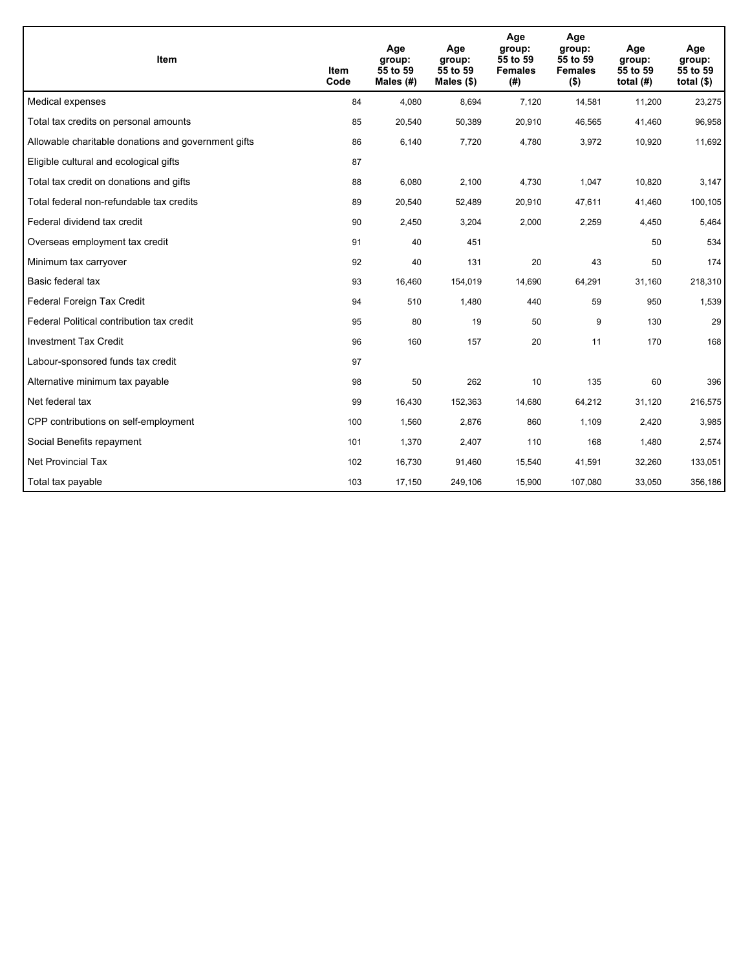| <b>Item</b>                                         | Item<br>Code | Age<br>group:<br>55 to 59<br>Males $(H)$ | Age<br>group:<br>55 to 59<br>Males $(\$)$ | Age<br>group:<br>55 to 59<br><b>Females</b><br>(#) | Age<br>group:<br>55 to 59<br><b>Females</b><br>$($ \$) | Age<br>group:<br>55 to 59<br>total $(H)$ | Age<br>group:<br>55 to 59<br>total $($)$ |
|-----------------------------------------------------|--------------|------------------------------------------|-------------------------------------------|----------------------------------------------------|--------------------------------------------------------|------------------------------------------|------------------------------------------|
| Medical expenses                                    | 84           | 4,080                                    | 8,694                                     | 7,120                                              | 14,581                                                 | 11,200                                   | 23,275                                   |
| Total tax credits on personal amounts               | 85           | 20,540                                   | 50,389                                    | 20,910                                             | 46,565                                                 | 41,460                                   | 96,958                                   |
| Allowable charitable donations and government gifts | 86           | 6,140                                    | 7,720                                     | 4,780                                              | 3,972                                                  | 10,920                                   | 11,692                                   |
| Eligible cultural and ecological gifts              | 87           |                                          |                                           |                                                    |                                                        |                                          |                                          |
| Total tax credit on donations and gifts             | 88           | 6,080                                    | 2,100                                     | 4,730                                              | 1,047                                                  | 10,820                                   | 3,147                                    |
| Total federal non-refundable tax credits            | 89           | 20,540                                   | 52,489                                    | 20,910                                             | 47,611                                                 | 41,460                                   | 100,105                                  |
| Federal dividend tax credit                         | 90           | 2,450                                    | 3,204                                     | 2,000                                              | 2,259                                                  | 4,450                                    | 5,464                                    |
| Overseas employment tax credit                      | 91           | 40                                       | 451                                       |                                                    |                                                        | 50                                       | 534                                      |
| Minimum tax carryover                               | 92           | 40                                       | 131                                       | 20                                                 | 43                                                     | 50                                       | 174                                      |
| Basic federal tax                                   | 93           | 16,460                                   | 154,019                                   | 14.690                                             | 64,291                                                 | 31,160                                   | 218,310                                  |
| Federal Foreign Tax Credit                          | 94           | 510                                      | 1,480                                     | 440                                                | 59                                                     | 950                                      | 1,539                                    |
| Federal Political contribution tax credit           | 95           | 80                                       | 19                                        | 50                                                 | 9                                                      | 130                                      | 29                                       |
| <b>Investment Tax Credit</b>                        | 96           | 160                                      | 157                                       | 20                                                 | 11                                                     | 170                                      | 168                                      |
| Labour-sponsored funds tax credit                   | 97           |                                          |                                           |                                                    |                                                        |                                          |                                          |
| Alternative minimum tax payable                     | 98           | 50                                       | 262                                       | 10                                                 | 135                                                    | 60                                       | 396                                      |
| Net federal tax                                     | 99           | 16,430                                   | 152,363                                   | 14,680                                             | 64,212                                                 | 31,120                                   | 216,575                                  |
| CPP contributions on self-employment                | 100          | 1,560                                    | 2,876                                     | 860                                                | 1,109                                                  | 2,420                                    | 3,985                                    |
| Social Benefits repayment                           | 101          | 1,370                                    | 2,407                                     | 110                                                | 168                                                    | 1,480                                    | 2,574                                    |
| <b>Net Provincial Tax</b>                           | 102          | 16,730                                   | 91,460                                    | 15,540                                             | 41,591                                                 | 32,260                                   | 133,051                                  |
| Total tax payable                                   | 103          | 17,150                                   | 249,106                                   | 15,900                                             | 107,080                                                | 33,050                                   | 356,186                                  |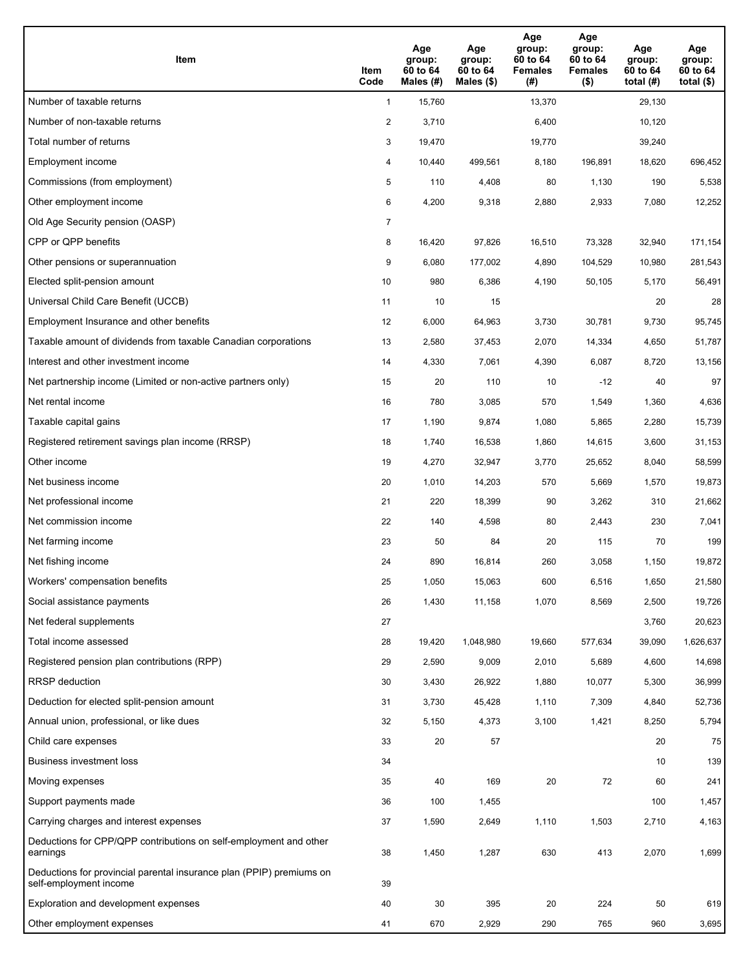| Item                                                                                           | Item<br>Code   | Age<br>group:<br>60 to 64<br>Males (#) | Age<br>group:<br>60 to 64<br>Males $(\$)$ | Age<br>group:<br>60 to 64<br><b>Females</b><br>(#) | Age<br>group:<br>60 to 64<br><b>Females</b><br>$($ \$) | Age<br>group:<br>60 to 64<br>total $(H)$ | Age<br>group:<br>60 to 64<br>total $($ |
|------------------------------------------------------------------------------------------------|----------------|----------------------------------------|-------------------------------------------|----------------------------------------------------|--------------------------------------------------------|------------------------------------------|----------------------------------------|
| Number of taxable returns                                                                      | $\mathbf{1}$   | 15,760                                 |                                           | 13,370                                             |                                                        | 29,130                                   |                                        |
| Number of non-taxable returns                                                                  | $\overline{2}$ | 3,710                                  |                                           | 6,400                                              |                                                        | 10,120                                   |                                        |
| Total number of returns                                                                        | 3              | 19,470                                 |                                           | 19,770                                             |                                                        | 39,240                                   |                                        |
| Employment income                                                                              | 4              | 10,440                                 | 499,561                                   | 8,180                                              | 196,891                                                | 18,620                                   | 696,452                                |
| Commissions (from employment)                                                                  | 5              | 110                                    | 4,408                                     | 80                                                 | 1,130                                                  | 190                                      | 5,538                                  |
| Other employment income                                                                        | 6              | 4,200                                  | 9,318                                     | 2,880                                              | 2,933                                                  | 7,080                                    | 12,252                                 |
| Old Age Security pension (OASP)                                                                | 7              |                                        |                                           |                                                    |                                                        |                                          |                                        |
| CPP or QPP benefits                                                                            | 8              | 16,420                                 | 97,826                                    | 16,510                                             | 73,328                                                 | 32,940                                   | 171,154                                |
| Other pensions or superannuation                                                               | 9              | 6,080                                  | 177,002                                   | 4,890                                              | 104,529                                                | 10,980                                   | 281,543                                |
| Elected split-pension amount                                                                   | 10             | 980                                    | 6,386                                     | 4,190                                              | 50,105                                                 | 5,170                                    | 56,491                                 |
| Universal Child Care Benefit (UCCB)                                                            | 11             | 10                                     | 15                                        |                                                    |                                                        | 20                                       | 28                                     |
| Employment Insurance and other benefits                                                        | 12             | 6,000                                  | 64,963                                    | 3,730                                              | 30,781                                                 | 9,730                                    | 95,745                                 |
| Taxable amount of dividends from taxable Canadian corporations                                 | 13             | 2,580                                  | 37,453                                    | 2,070                                              | 14,334                                                 | 4,650                                    | 51,787                                 |
| Interest and other investment income                                                           | 14             | 4,330                                  | 7,061                                     | 4,390                                              | 6,087                                                  | 8,720                                    | 13,156                                 |
| Net partnership income (Limited or non-active partners only)                                   | 15             | 20                                     | 110                                       | 10                                                 | $-12$                                                  | 40                                       | 97                                     |
| Net rental income                                                                              | 16             | 780                                    | 3,085                                     | 570                                                | 1,549                                                  | 1,360                                    | 4,636                                  |
| Taxable capital gains                                                                          | 17             | 1,190                                  | 9,874                                     | 1,080                                              | 5,865                                                  | 2,280                                    | 15,739                                 |
| Registered retirement savings plan income (RRSP)                                               | 18             | 1,740                                  | 16,538                                    | 1,860                                              | 14,615                                                 | 3,600                                    | 31,153                                 |
| Other income                                                                                   | 19             | 4,270                                  | 32,947                                    | 3,770                                              | 25,652                                                 | 8,040                                    | 58,599                                 |
| Net business income                                                                            | 20             | 1,010                                  | 14,203                                    | 570                                                | 5,669                                                  | 1,570                                    | 19,873                                 |
| Net professional income                                                                        | 21             | 220                                    | 18,399                                    | 90                                                 | 3,262                                                  | 310                                      | 21,662                                 |
| Net commission income                                                                          | 22             | 140                                    | 4,598                                     | 80                                                 | 2,443                                                  | 230                                      | 7,041                                  |
| Net farming income                                                                             | 23             | 50                                     | 84                                        | 20                                                 | 115                                                    | 70                                       | 199                                    |
| Net fishing income                                                                             | 24             | 890                                    | 16,814                                    | 260                                                | 3,058                                                  | 1,150                                    | 19,872                                 |
| Workers' compensation benefits                                                                 | 25             | 1,050                                  | 15,063                                    | 600                                                | 6,516                                                  | 1,650                                    | 21,580                                 |
| Social assistance payments                                                                     | 26             | 1,430                                  | 11,158                                    | 1,070                                              | 8,569                                                  | 2,500                                    | 19,726                                 |
| Net federal supplements                                                                        | 27             |                                        |                                           |                                                    |                                                        | 3,760                                    | 20,623                                 |
| Total income assessed                                                                          | 28             | 19,420                                 | 1,048,980                                 | 19,660                                             | 577,634                                                | 39,090                                   | 1,626,637                              |
| Registered pension plan contributions (RPP)                                                    | 29             | 2,590                                  | 9,009                                     | 2,010                                              | 5,689                                                  | 4,600                                    | 14,698                                 |
| <b>RRSP</b> deduction                                                                          | 30             | 3,430                                  | 26,922                                    | 1,880                                              | 10,077                                                 | 5,300                                    | 36,999                                 |
| Deduction for elected split-pension amount                                                     | 31             | 3,730                                  | 45,428                                    | 1,110                                              | 7,309                                                  | 4,840                                    | 52,736                                 |
| Annual union, professional, or like dues                                                       | 32             | 5,150                                  | 4,373                                     | 3,100                                              | 1,421                                                  | 8,250                                    | 5,794                                  |
| Child care expenses                                                                            | 33             | 20                                     | 57                                        |                                                    |                                                        | 20                                       | 75                                     |
| Business investment loss                                                                       | 34             |                                        |                                           |                                                    |                                                        | 10                                       | 139                                    |
| Moving expenses                                                                                | 35             | 40                                     | 169                                       | 20                                                 | 72                                                     | 60                                       | 241                                    |
| Support payments made                                                                          | 36             | 100                                    | 1,455                                     |                                                    |                                                        | 100                                      | 1,457                                  |
| Carrying charges and interest expenses                                                         | 37             | 1,590                                  | 2,649                                     | 1,110                                              | 1,503                                                  | 2,710                                    | 4,163                                  |
| Deductions for CPP/QPP contributions on self-employment and other<br>earnings                  | 38             | 1,450                                  | 1,287                                     | 630                                                | 413                                                    | 2,070                                    | 1,699                                  |
| Deductions for provincial parental insurance plan (PPIP) premiums on<br>self-employment income | 39             |                                        |                                           |                                                    |                                                        |                                          |                                        |
| Exploration and development expenses                                                           | 40             | 30                                     | 395                                       | 20                                                 | 224                                                    | 50                                       | 619                                    |
| Other employment expenses                                                                      | 41             | 670                                    | 2,929                                     | 290                                                | 765                                                    | 960                                      | 3,695                                  |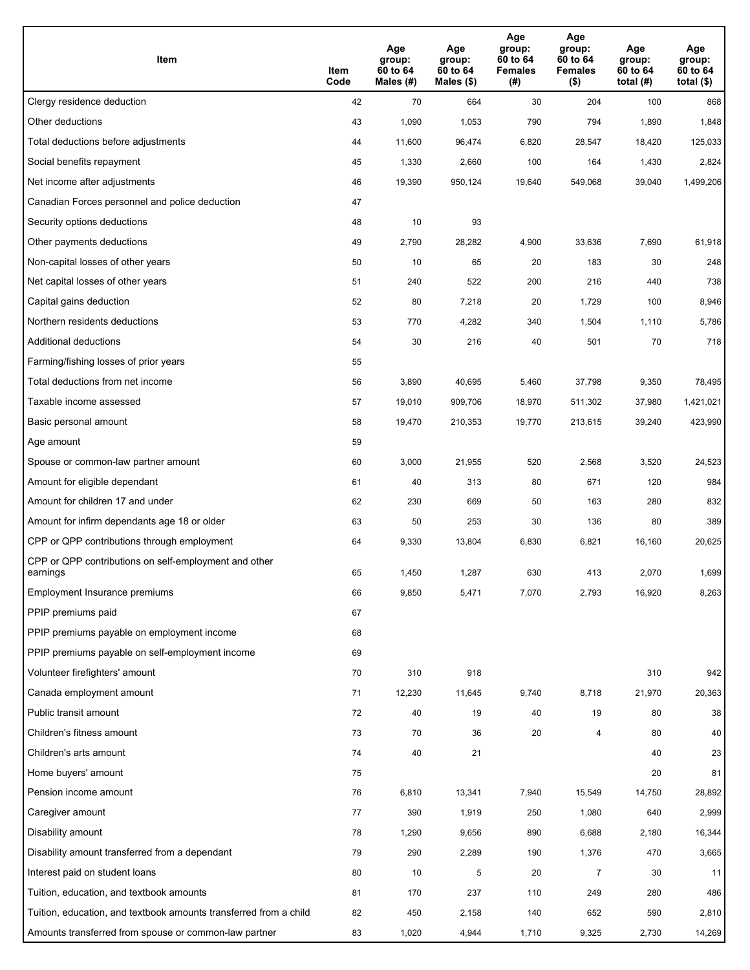| Item                                                              | Item<br>Code | Age<br>group:<br>60 to 64<br>Males (#) | Age<br>group:<br>60 to 64<br>Males (\$) | Age<br>group:<br>60 to 64<br><b>Females</b><br>(#) | Age<br>group:<br>60 to 64<br><b>Females</b><br>$($ \$) | Age<br>group:<br>60 to 64<br>total $(H)$ | Age<br>group:<br>60 to 64<br>total (\$) |
|-------------------------------------------------------------------|--------------|----------------------------------------|-----------------------------------------|----------------------------------------------------|--------------------------------------------------------|------------------------------------------|-----------------------------------------|
| Clergy residence deduction                                        | 42           | 70                                     | 664                                     | 30                                                 | 204                                                    | 100                                      | 868                                     |
| Other deductions                                                  | 43           | 1,090                                  | 1,053                                   | 790                                                | 794                                                    | 1,890                                    | 1,848                                   |
| Total deductions before adjustments                               | 44           | 11,600                                 | 96,474                                  | 6,820                                              | 28,547                                                 | 18,420                                   | 125,033                                 |
| Social benefits repayment                                         | 45           | 1,330                                  | 2,660                                   | 100                                                | 164                                                    | 1,430                                    | 2,824                                   |
| Net income after adjustments                                      | 46           | 19,390                                 | 950,124                                 | 19,640                                             | 549,068                                                | 39,040                                   | 1,499,206                               |
| Canadian Forces personnel and police deduction                    | 47           |                                        |                                         |                                                    |                                                        |                                          |                                         |
| Security options deductions                                       | 48           | 10                                     | 93                                      |                                                    |                                                        |                                          |                                         |
| Other payments deductions                                         | 49           | 2,790                                  | 28,282                                  | 4,900                                              | 33,636                                                 | 7,690                                    | 61,918                                  |
| Non-capital losses of other years                                 | 50           | 10                                     | 65                                      | 20                                                 | 183                                                    | 30                                       | 248                                     |
| Net capital losses of other years                                 | 51           | 240                                    | 522                                     | 200                                                | 216                                                    | 440                                      | 738                                     |
| Capital gains deduction                                           | 52           | 80                                     | 7,218                                   | 20                                                 | 1,729                                                  | 100                                      | 8,946                                   |
| Northern residents deductions                                     | 53           | 770                                    | 4,282                                   | 340                                                | 1,504                                                  | 1,110                                    | 5,786                                   |
| Additional deductions                                             | 54           | 30                                     | 216                                     | 40                                                 | 501                                                    | 70                                       | 718                                     |
| Farming/fishing losses of prior years                             | 55           |                                        |                                         |                                                    |                                                        |                                          |                                         |
| Total deductions from net income                                  | 56           | 3,890                                  | 40,695                                  | 5,460                                              | 37,798                                                 | 9,350                                    | 78,495                                  |
| Taxable income assessed                                           | 57           | 19,010                                 | 909,706                                 | 18,970                                             | 511,302                                                | 37,980                                   | 1,421,021                               |
| Basic personal amount                                             | 58           | 19,470                                 | 210,353                                 | 19,770                                             | 213,615                                                | 39,240                                   | 423,990                                 |
| Age amount                                                        | 59           |                                        |                                         |                                                    |                                                        |                                          |                                         |
| Spouse or common-law partner amount                               | 60           | 3,000                                  | 21,955                                  | 520                                                | 2,568                                                  | 3,520                                    | 24,523                                  |
| Amount for eligible dependant                                     | 61           | 40                                     | 313                                     | 80                                                 | 671                                                    | 120                                      | 984                                     |
| Amount for children 17 and under                                  | 62           | 230                                    | 669                                     | 50                                                 | 163                                                    | 280                                      | 832                                     |
| Amount for infirm dependants age 18 or older                      | 63           | 50                                     | 253                                     | 30                                                 | 136                                                    | 80                                       | 389                                     |
| CPP or QPP contributions through employment                       | 64           | 9,330                                  | 13,804                                  | 6,830                                              | 6,821                                                  | 16,160                                   | 20,625                                  |
| CPP or QPP contributions on self-employment and other<br>earnings | 65           | 1,450                                  | 1,287                                   | 630                                                | 413                                                    | 2,070                                    | 1,699                                   |
| Employment Insurance premiums                                     | 66           | 9,850                                  | 5,471                                   | 7,070                                              | 2,793                                                  | 16,920                                   | 8,263                                   |
| PPIP premiums paid                                                | 67           |                                        |                                         |                                                    |                                                        |                                          |                                         |
| PPIP premiums payable on employment income                        | 68           |                                        |                                         |                                                    |                                                        |                                          |                                         |
| PPIP premiums payable on self-employment income                   | 69           |                                        |                                         |                                                    |                                                        |                                          |                                         |
| Volunteer firefighters' amount                                    | 70           | 310                                    | 918                                     |                                                    |                                                        | 310                                      | 942                                     |
| Canada employment amount                                          | 71           | 12,230                                 | 11,645                                  | 9,740                                              | 8,718                                                  | 21,970                                   | 20,363                                  |
| Public transit amount                                             | 72           | 40                                     | 19                                      | 40                                                 | 19                                                     | 80                                       | 38                                      |
| Children's fitness amount                                         | 73           | 70                                     | 36                                      | 20                                                 | 4                                                      | 80                                       | 40                                      |
| Children's arts amount                                            | 74           | 40                                     | 21                                      |                                                    |                                                        | 40                                       | 23                                      |
| Home buyers' amount                                               | 75           |                                        |                                         |                                                    |                                                        | 20                                       | 81                                      |
| Pension income amount                                             | 76           | 6,810                                  | 13,341                                  | 7,940                                              | 15,549                                                 | 14,750                                   | 28,892                                  |
| Caregiver amount                                                  | 77           | 390                                    | 1,919                                   | 250                                                | 1,080                                                  | 640                                      | 2,999                                   |
| Disability amount                                                 | 78           | 1,290                                  | 9,656                                   | 890                                                | 6,688                                                  | 2,180                                    | 16,344                                  |
| Disability amount transferred from a dependant                    | 79           | 290                                    | 2,289                                   | 190                                                | 1,376                                                  | 470                                      | 3,665                                   |
| Interest paid on student loans                                    | 80           | 10                                     | 5                                       | 20                                                 | $\overline{7}$                                         | 30                                       | 11                                      |
| Tuition, education, and textbook amounts                          | 81           | 170                                    | 237                                     | 110                                                | 249                                                    | 280                                      | 486                                     |
| Tuition, education, and textbook amounts transferred from a child | 82           | 450                                    | 2,158                                   | 140                                                | 652                                                    | 590                                      | 2,810                                   |
| Amounts transferred from spouse or common-law partner             | 83           | 1,020                                  | 4,944                                   | 1,710                                              | 9,325                                                  | 2,730                                    | 14,269                                  |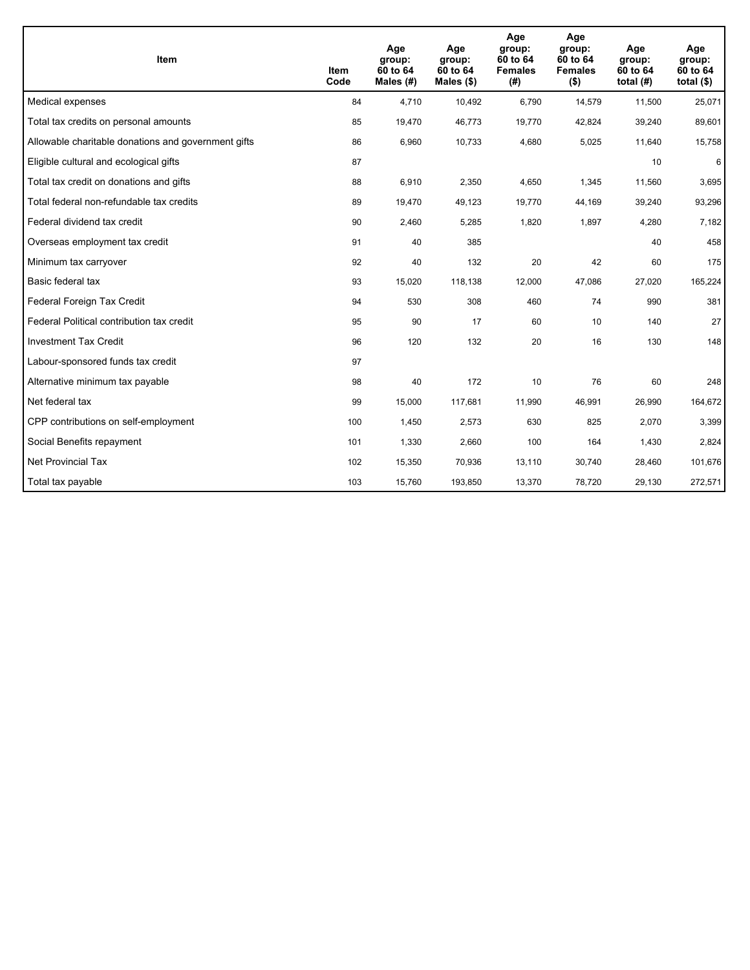| <b>Item</b>                                         | Item<br>Code | Age<br>group:<br>60 to 64<br>Males (#) | Age<br>group:<br>60 to 64<br>Males $(\$)$ | Age<br>group:<br>60 to 64<br><b>Females</b><br>(#) | Age<br>group:<br>60 to 64<br><b>Females</b><br>$($ \$) | Age<br>group:<br>60 to 64<br>total $(H)$ | Age<br>group:<br>60 to 64<br>total $($)$ |
|-----------------------------------------------------|--------------|----------------------------------------|-------------------------------------------|----------------------------------------------------|--------------------------------------------------------|------------------------------------------|------------------------------------------|
| Medical expenses                                    | 84           | 4.710                                  | 10,492                                    | 6,790                                              | 14,579                                                 | 11,500                                   | 25,071                                   |
| Total tax credits on personal amounts               | 85           | 19,470                                 | 46,773                                    | 19,770                                             | 42,824                                                 | 39,240                                   | 89,601                                   |
| Allowable charitable donations and government gifts | 86           | 6,960                                  | 10,733                                    | 4,680                                              | 5,025                                                  | 11,640                                   | 15,758                                   |
| Eligible cultural and ecological gifts              | 87           |                                        |                                           |                                                    |                                                        | 10                                       | 6                                        |
| Total tax credit on donations and gifts             | 88           | 6,910                                  | 2,350                                     | 4,650                                              | 1,345                                                  | 11,560                                   | 3,695                                    |
| Total federal non-refundable tax credits            | 89           | 19,470                                 | 49,123                                    | 19,770                                             | 44,169                                                 | 39,240                                   | 93,296                                   |
| Federal dividend tax credit                         | 90           | 2,460                                  | 5,285                                     | 1,820                                              | 1,897                                                  | 4,280                                    | 7,182                                    |
| Overseas employment tax credit                      | 91           | 40                                     | 385                                       |                                                    |                                                        | 40                                       | 458                                      |
| Minimum tax carryover                               | 92           | 40                                     | 132                                       | 20                                                 | 42                                                     | 60                                       | 175                                      |
| Basic federal tax                                   | 93           | 15,020                                 | 118,138                                   | 12,000                                             | 47,086                                                 | 27,020                                   | 165,224                                  |
| Federal Foreign Tax Credit                          | 94           | 530                                    | 308                                       | 460                                                | 74                                                     | 990                                      | 381                                      |
| Federal Political contribution tax credit           | 95           | 90                                     | 17                                        | 60                                                 | 10                                                     | 140                                      | 27                                       |
| <b>Investment Tax Credit</b>                        | 96           | 120                                    | 132                                       | 20                                                 | 16                                                     | 130                                      | 148                                      |
| Labour-sponsored funds tax credit                   | 97           |                                        |                                           |                                                    |                                                        |                                          |                                          |
| Alternative minimum tax payable                     | 98           | 40                                     | 172                                       | 10                                                 | 76                                                     | 60                                       | 248                                      |
| Net federal tax                                     | 99           | 15,000                                 | 117,681                                   | 11,990                                             | 46,991                                                 | 26,990                                   | 164,672                                  |
| CPP contributions on self-employment                | 100          | 1,450                                  | 2,573                                     | 630                                                | 825                                                    | 2,070                                    | 3,399                                    |
| Social Benefits repayment                           | 101          | 1,330                                  | 2,660                                     | 100                                                | 164                                                    | 1,430                                    | 2,824                                    |
| <b>Net Provincial Tax</b>                           | 102          | 15,350                                 | 70,936                                    | 13,110                                             | 30,740                                                 | 28,460                                   | 101,676                                  |
| Total tax payable                                   | 103          | 15,760                                 | 193,850                                   | 13,370                                             | 78,720                                                 | 29,130                                   | 272,571                                  |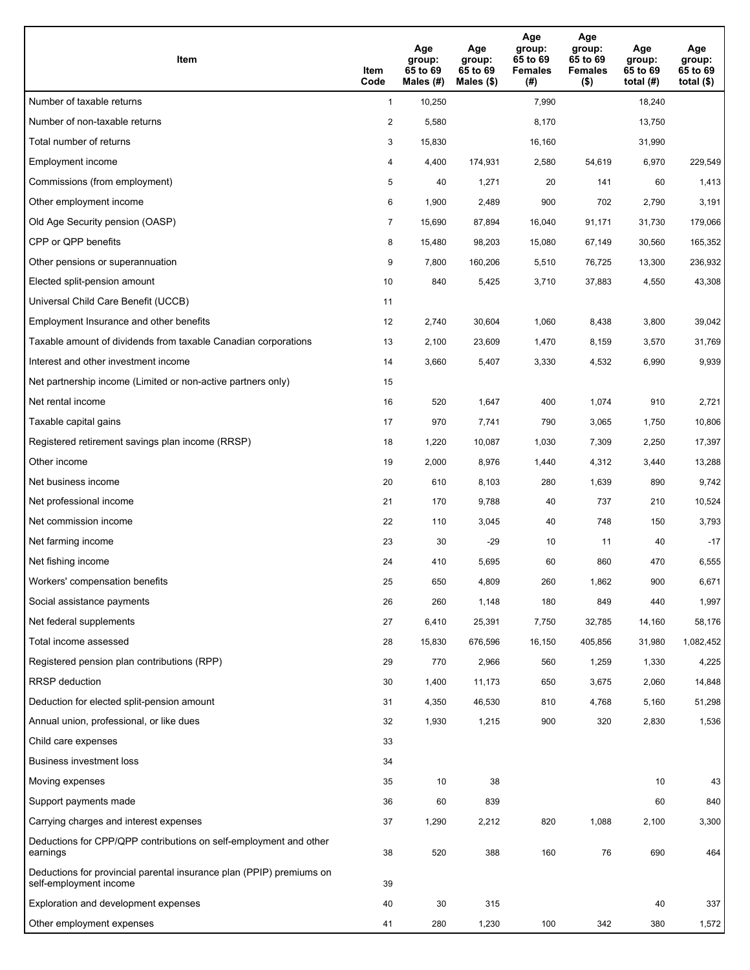| Item                                                                                           | Item<br>Code   | Age<br>group:<br>65 to 69<br>Males $(H)$ | Age<br>group:<br>65 to 69<br>Males (\$) | Age<br>group:<br>65 to 69<br><b>Females</b><br>(# ) | Age<br>group:<br>65 to 69<br><b>Females</b><br>$($ \$) | Age<br>group:<br>65 to 69<br>total $(H)$ | Age<br>group:<br>65 to 69<br>total $($ |
|------------------------------------------------------------------------------------------------|----------------|------------------------------------------|-----------------------------------------|-----------------------------------------------------|--------------------------------------------------------|------------------------------------------|----------------------------------------|
| Number of taxable returns                                                                      | $\mathbf{1}$   | 10,250                                   |                                         | 7,990                                               |                                                        | 18,240                                   |                                        |
| Number of non-taxable returns                                                                  | 2              | 5,580                                    |                                         | 8,170                                               |                                                        | 13,750                                   |                                        |
| Total number of returns                                                                        | 3              | 15,830                                   |                                         | 16,160                                              |                                                        | 31,990                                   |                                        |
| Employment income                                                                              | 4              | 4,400                                    | 174,931                                 | 2,580                                               | 54,619                                                 | 6,970                                    | 229,549                                |
| Commissions (from employment)                                                                  | 5              | 40                                       | 1,271                                   | 20                                                  | 141                                                    | 60                                       | 1,413                                  |
| Other employment income                                                                        | 6              | 1,900                                    | 2,489                                   | 900                                                 | 702                                                    | 2,790                                    | 3,191                                  |
| Old Age Security pension (OASP)                                                                | $\overline{7}$ | 15,690                                   | 87,894                                  | 16,040                                              | 91,171                                                 | 31,730                                   | 179,066                                |
| CPP or QPP benefits                                                                            | 8              | 15,480                                   | 98,203                                  | 15,080                                              | 67,149                                                 | 30,560                                   | 165,352                                |
| Other pensions or superannuation                                                               | 9              | 7,800                                    | 160,206                                 | 5,510                                               | 76,725                                                 | 13,300                                   | 236,932                                |
| Elected split-pension amount                                                                   | 10             | 840                                      | 5,425                                   | 3,710                                               | 37,883                                                 | 4,550                                    | 43,308                                 |
| Universal Child Care Benefit (UCCB)                                                            | 11             |                                          |                                         |                                                     |                                                        |                                          |                                        |
| Employment Insurance and other benefits                                                        | 12             | 2,740                                    | 30,604                                  | 1,060                                               | 8,438                                                  | 3,800                                    | 39,042                                 |
| Taxable amount of dividends from taxable Canadian corporations                                 | 13             | 2,100                                    | 23,609                                  | 1,470                                               | 8,159                                                  | 3,570                                    | 31,769                                 |
| Interest and other investment income                                                           | 14             | 3,660                                    | 5,407                                   | 3,330                                               | 4,532                                                  | 6,990                                    | 9,939                                  |
| Net partnership income (Limited or non-active partners only)                                   | 15             |                                          |                                         |                                                     |                                                        |                                          |                                        |
| Net rental income                                                                              | 16             | 520                                      | 1,647                                   | 400                                                 | 1,074                                                  | 910                                      | 2,721                                  |
| Taxable capital gains                                                                          | 17             | 970                                      | 7,741                                   | 790                                                 | 3,065                                                  | 1,750                                    | 10,806                                 |
| Registered retirement savings plan income (RRSP)                                               | 18             | 1,220                                    | 10,087                                  | 1,030                                               | 7,309                                                  | 2,250                                    | 17,397                                 |
| Other income                                                                                   | 19             | 2,000                                    | 8,976                                   | 1,440                                               | 4,312                                                  | 3,440                                    | 13,288                                 |
| Net business income                                                                            | 20             | 610                                      | 8,103                                   | 280                                                 | 1,639                                                  | 890                                      | 9,742                                  |
| Net professional income                                                                        | 21             | 170                                      | 9,788                                   | 40                                                  | 737                                                    | 210                                      | 10,524                                 |
| Net commission income                                                                          | 22             | 110                                      | 3,045                                   | 40                                                  | 748                                                    | 150                                      | 3,793                                  |
| Net farming income                                                                             | 23             | 30                                       | $-29$                                   | 10                                                  | 11                                                     | 40                                       | $-17$                                  |
| Net fishing income                                                                             | 24             | 410                                      | 5,695                                   | 60                                                  | 860                                                    | 470                                      | 6,555                                  |
| Workers' compensation benefits                                                                 | 25             | 650                                      | 4,809                                   | 260                                                 | 1,862                                                  | 900                                      | 6,671                                  |
| Social assistance payments                                                                     | 26             | 260                                      | 1,148                                   | 180                                                 | 849                                                    | 440                                      | 1,997                                  |
| Net federal supplements                                                                        | 27             | 6,410                                    | 25,391                                  | 7,750                                               | 32,785                                                 | 14,160                                   | 58,176                                 |
| Total income assessed                                                                          | 28             | 15,830                                   | 676,596                                 | 16,150                                              | 405,856                                                | 31,980                                   | 1,082,452                              |
| Registered pension plan contributions (RPP)                                                    | 29             | 770                                      | 2,966                                   | 560                                                 | 1,259                                                  | 1,330                                    | 4,225                                  |
| <b>RRSP</b> deduction                                                                          | 30             | 1,400                                    | 11,173                                  | 650                                                 | 3,675                                                  | 2,060                                    | 14,848                                 |
| Deduction for elected split-pension amount                                                     | 31             | 4,350                                    | 46,530                                  | 810                                                 | 4,768                                                  | 5,160                                    | 51,298                                 |
| Annual union, professional, or like dues                                                       | 32             | 1,930                                    | 1,215                                   | 900                                                 | 320                                                    | 2,830                                    | 1,536                                  |
| Child care expenses                                                                            | 33             |                                          |                                         |                                                     |                                                        |                                          |                                        |
| Business investment loss                                                                       | 34             |                                          |                                         |                                                     |                                                        |                                          |                                        |
| Moving expenses                                                                                | 35             | 10                                       | 38                                      |                                                     |                                                        | 10                                       | 43                                     |
| Support payments made                                                                          | 36             | 60                                       | 839                                     |                                                     |                                                        | 60                                       | 840                                    |
| Carrying charges and interest expenses                                                         | 37             | 1,290                                    | 2,212                                   | 820                                                 | 1,088                                                  | 2,100                                    | 3,300                                  |
| Deductions for CPP/QPP contributions on self-employment and other<br>earnings                  | 38             | 520                                      | 388                                     | 160                                                 | 76                                                     | 690                                      | 464                                    |
| Deductions for provincial parental insurance plan (PPIP) premiums on<br>self-employment income | 39             |                                          |                                         |                                                     |                                                        |                                          |                                        |
| Exploration and development expenses                                                           | 40             | 30                                       | 315                                     |                                                     |                                                        | 40                                       | 337                                    |
| Other employment expenses                                                                      | 41             | 280                                      | 1,230                                   | 100                                                 | 342                                                    | 380                                      | 1,572                                  |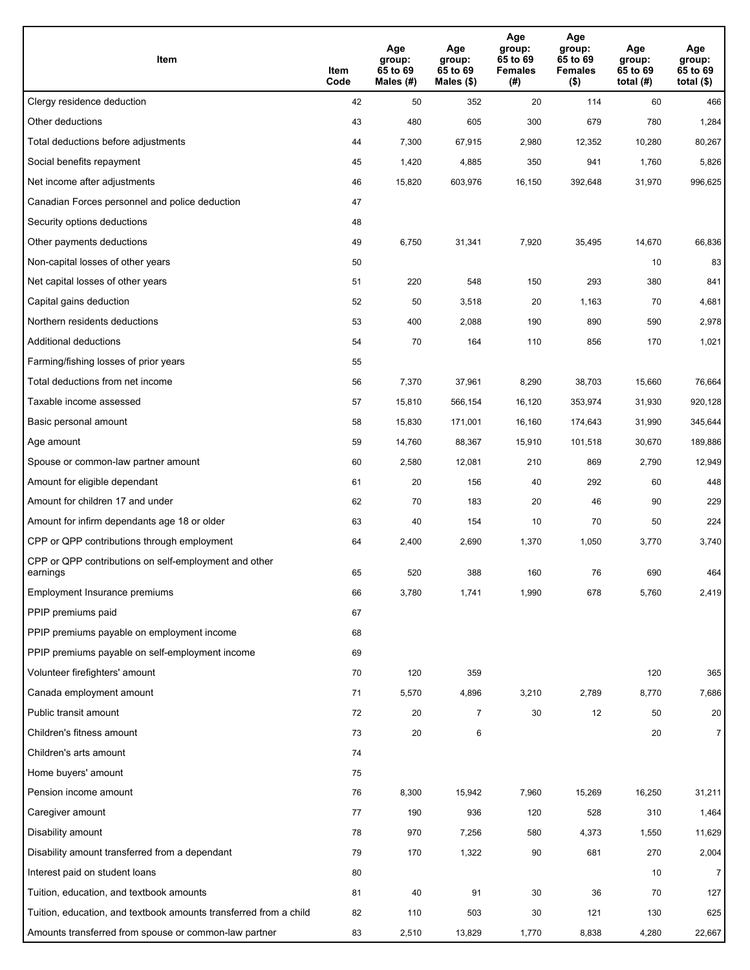| Item                                                              | Item<br>Code | Age<br>group:<br>65 to 69<br>Males (#) | Age<br>group:<br>65 to 69<br>Males (\$) | Age<br>group:<br>65 to 69<br><b>Females</b><br>(# ) | Age<br>group:<br>65 to 69<br>Females<br>$($ \$) | Age<br>group:<br>65 to 69<br>total $(H)$ | Age<br>group:<br>65 to 69<br>total $($)$ |
|-------------------------------------------------------------------|--------------|----------------------------------------|-----------------------------------------|-----------------------------------------------------|-------------------------------------------------|------------------------------------------|------------------------------------------|
| Clergy residence deduction                                        | 42           | 50                                     | 352                                     | 20                                                  | 114                                             | 60                                       | 466                                      |
| Other deductions                                                  | 43           | 480                                    | 605                                     | 300                                                 | 679                                             | 780                                      | 1,284                                    |
| Total deductions before adjustments                               | 44           | 7,300                                  | 67,915                                  | 2,980                                               | 12,352                                          | 10,280                                   | 80,267                                   |
| Social benefits repayment                                         | 45           | 1,420                                  | 4,885                                   | 350                                                 | 941                                             | 1,760                                    | 5,826                                    |
| Net income after adjustments                                      | 46           | 15,820                                 | 603,976                                 | 16,150                                              | 392,648                                         | 31,970                                   | 996,625                                  |
| Canadian Forces personnel and police deduction                    | 47           |                                        |                                         |                                                     |                                                 |                                          |                                          |
| Security options deductions                                       | 48           |                                        |                                         |                                                     |                                                 |                                          |                                          |
| Other payments deductions                                         | 49           | 6,750                                  | 31,341                                  | 7,920                                               | 35,495                                          | 14,670                                   | 66,836                                   |
| Non-capital losses of other years                                 | 50           |                                        |                                         |                                                     |                                                 | 10                                       | 83                                       |
| Net capital losses of other years                                 | 51           | 220                                    | 548                                     | 150                                                 | 293                                             | 380                                      | 841                                      |
| Capital gains deduction                                           | 52           | 50                                     | 3,518                                   | 20                                                  | 1,163                                           | 70                                       | 4,681                                    |
| Northern residents deductions                                     | 53           | 400                                    | 2,088                                   | 190                                                 | 890                                             | 590                                      | 2,978                                    |
| Additional deductions                                             | 54           | 70                                     | 164                                     | 110                                                 | 856                                             | 170                                      | 1,021                                    |
| Farming/fishing losses of prior years                             | 55           |                                        |                                         |                                                     |                                                 |                                          |                                          |
| Total deductions from net income                                  | 56           | 7,370                                  | 37,961                                  | 8,290                                               | 38,703                                          | 15,660                                   | 76,664                                   |
| Taxable income assessed                                           | 57           | 15,810                                 | 566,154                                 | 16,120                                              | 353,974                                         | 31,930                                   | 920,128                                  |
| Basic personal amount                                             | 58           | 15,830                                 | 171,001                                 | 16,160                                              | 174,643                                         | 31,990                                   | 345,644                                  |
| Age amount                                                        | 59           | 14,760                                 | 88,367                                  | 15,910                                              | 101,518                                         | 30,670                                   | 189,886                                  |
| Spouse or common-law partner amount                               | 60           | 2,580                                  | 12,081                                  | 210                                                 | 869                                             | 2,790                                    | 12,949                                   |
| Amount for eligible dependant                                     | 61           | 20                                     | 156                                     | 40                                                  | 292                                             | 60                                       | 448                                      |
| Amount for children 17 and under                                  | 62           | 70                                     | 183                                     | 20                                                  | 46                                              | 90                                       | 229                                      |
| Amount for infirm dependants age 18 or older                      | 63           | 40                                     | 154                                     | 10                                                  | 70                                              | 50                                       | 224                                      |
| CPP or QPP contributions through employment                       | 64           | 2,400                                  | 2,690                                   | 1,370                                               | 1,050                                           | 3,770                                    | 3,740                                    |
| CPP or QPP contributions on self-employment and other<br>earnings | 65           | 520                                    | 388                                     | 160                                                 | 76                                              | 690                                      | 464                                      |
| Employment Insurance premiums                                     | 66           | 3,780                                  | 1,741                                   | 1,990                                               | 678                                             | 5,760                                    | 2,419                                    |
| PPIP premiums paid                                                | 67           |                                        |                                         |                                                     |                                                 |                                          |                                          |
| PPIP premiums payable on employment income                        | 68           |                                        |                                         |                                                     |                                                 |                                          |                                          |
| PPIP premiums payable on self-employment income                   | 69           |                                        |                                         |                                                     |                                                 |                                          |                                          |
| Volunteer firefighters' amount                                    | 70           | 120                                    | 359                                     |                                                     |                                                 | 120                                      | 365                                      |
| Canada employment amount                                          | 71           | 5,570                                  | 4,896                                   | 3,210                                               | 2,789                                           | 8,770                                    | 7,686                                    |
| Public transit amount                                             | 72           | 20                                     | $\overline{7}$                          | 30                                                  | 12                                              | 50                                       | 20                                       |
| Children's fitness amount                                         | 73           | 20                                     | 6                                       |                                                     |                                                 | 20                                       | 7 <sup>1</sup>                           |
| Children's arts amount                                            | 74           |                                        |                                         |                                                     |                                                 |                                          |                                          |
| Home buyers' amount                                               | 75           |                                        |                                         |                                                     |                                                 |                                          |                                          |
| Pension income amount                                             | 76           | 8,300                                  | 15,942                                  | 7,960                                               | 15,269                                          | 16,250                                   | 31,211                                   |
| Caregiver amount                                                  | 77           | 190                                    | 936                                     | 120                                                 | 528                                             | 310                                      | 1,464                                    |
| Disability amount                                                 | 78           | 970                                    | 7,256                                   | 580                                                 | 4,373                                           | 1,550                                    | 11,629                                   |
| Disability amount transferred from a dependant                    | 79           | 170                                    | 1,322                                   | 90                                                  | 681                                             | 270                                      | 2,004                                    |
| Interest paid on student loans                                    | 80           |                                        |                                         |                                                     |                                                 | 10                                       | $\overline{7}$                           |
| Tuition, education, and textbook amounts                          | 81           | 40                                     | 91                                      | 30                                                  | 36                                              | 70                                       | 127                                      |
| Tuition, education, and textbook amounts transferred from a child | 82           | 110                                    | 503                                     | 30                                                  | 121                                             | 130                                      | 625                                      |
| Amounts transferred from spouse or common-law partner             | 83           | 2,510                                  | 13,829                                  | 1,770                                               | 8,838                                           | 4,280                                    | 22,667                                   |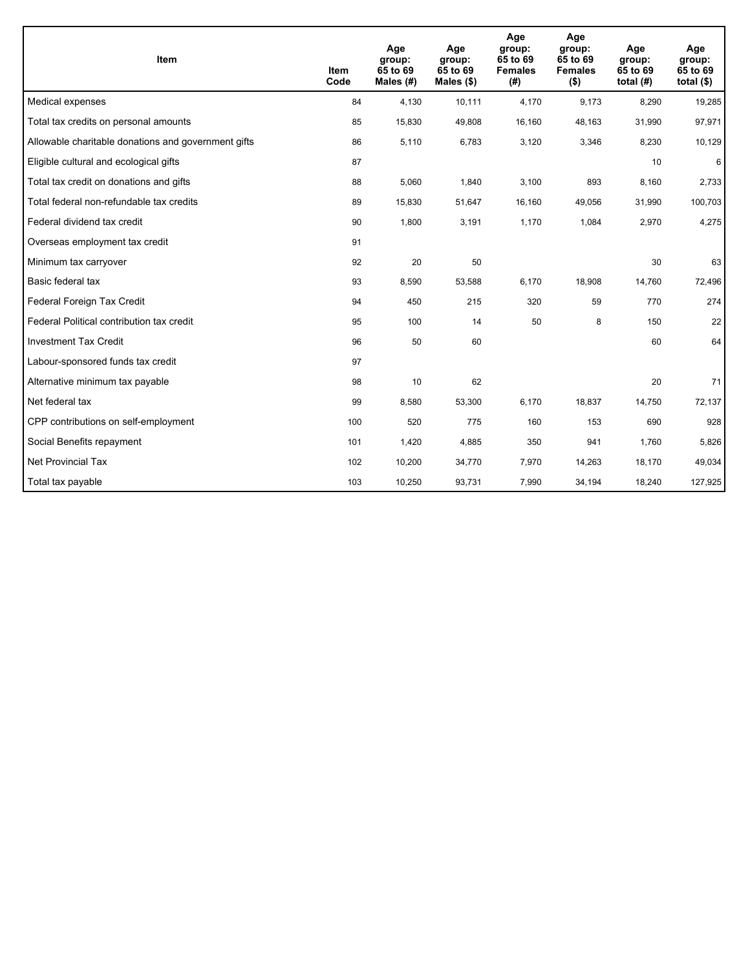| <b>Item</b>                                         | <b>Item</b><br>Code | Age<br>group:<br>65 to 69<br>Males $(H)$ | Age<br>group:<br>65 to 69<br>Males $(\$)$ | Age<br>group:<br>65 to 69<br><b>Females</b><br>(#) | Age<br>group:<br>65 to 69<br><b>Females</b><br>$($ \$) | Age<br>group:<br>65 to 69<br>total $(H)$ | Age<br>group:<br>65 to 69<br>total $($)$ |
|-----------------------------------------------------|---------------------|------------------------------------------|-------------------------------------------|----------------------------------------------------|--------------------------------------------------------|------------------------------------------|------------------------------------------|
| Medical expenses                                    | 84                  | 4.130                                    | 10,111                                    | 4,170                                              | 9,173                                                  | 8,290                                    | 19,285                                   |
| Total tax credits on personal amounts               | 85                  | 15,830                                   | 49,808                                    | 16,160                                             | 48,163                                                 | 31,990                                   | 97,971                                   |
| Allowable charitable donations and government gifts | 86                  | 5,110                                    | 6,783                                     | 3,120                                              | 3,346                                                  | 8,230                                    | 10,129                                   |
| Eligible cultural and ecological gifts              | 87                  |                                          |                                           |                                                    |                                                        | 10                                       | 6                                        |
| Total tax credit on donations and gifts             | 88                  | 5,060                                    | 1,840                                     | 3,100                                              | 893                                                    | 8,160                                    | 2,733                                    |
| Total federal non-refundable tax credits            | 89                  | 15,830                                   | 51,647                                    | 16,160                                             | 49,056                                                 | 31,990                                   | 100,703                                  |
| Federal dividend tax credit                         | 90                  | 1,800                                    | 3,191                                     | 1,170                                              | 1,084                                                  | 2,970                                    | 4,275                                    |
| Overseas employment tax credit                      | 91                  |                                          |                                           |                                                    |                                                        |                                          |                                          |
| Minimum tax carryover                               | 92                  | 20                                       | 50                                        |                                                    |                                                        | 30                                       | 63                                       |
| Basic federal tax                                   | 93                  | 8,590                                    | 53,588                                    | 6,170                                              | 18,908                                                 | 14,760                                   | 72,496                                   |
| Federal Foreign Tax Credit                          | 94                  | 450                                      | 215                                       | 320                                                | 59                                                     | 770                                      | 274                                      |
| Federal Political contribution tax credit           | 95                  | 100                                      | 14                                        | 50                                                 | 8                                                      | 150                                      | 22                                       |
| <b>Investment Tax Credit</b>                        | 96                  | 50                                       | 60                                        |                                                    |                                                        | 60                                       | 64                                       |
| Labour-sponsored funds tax credit                   | 97                  |                                          |                                           |                                                    |                                                        |                                          |                                          |
| Alternative minimum tax payable                     | 98                  | 10                                       | 62                                        |                                                    |                                                        | 20                                       | 71                                       |
| Net federal tax                                     | 99                  | 8,580                                    | 53,300                                    | 6,170                                              | 18,837                                                 | 14,750                                   | 72,137                                   |
| CPP contributions on self-employment                | 100                 | 520                                      | 775                                       | 160                                                | 153                                                    | 690                                      | 928                                      |
| Social Benefits repayment                           | 101                 | 1,420                                    | 4,885                                     | 350                                                | 941                                                    | 1,760                                    | 5,826                                    |
| Net Provincial Tax                                  | 102                 | 10,200                                   | 34,770                                    | 7,970                                              | 14,263                                                 | 18,170                                   | 49,034                                   |
| Total tax payable                                   | 103                 | 10,250                                   | 93,731                                    | 7,990                                              | 34,194                                                 | 18,240                                   | 127,925                                  |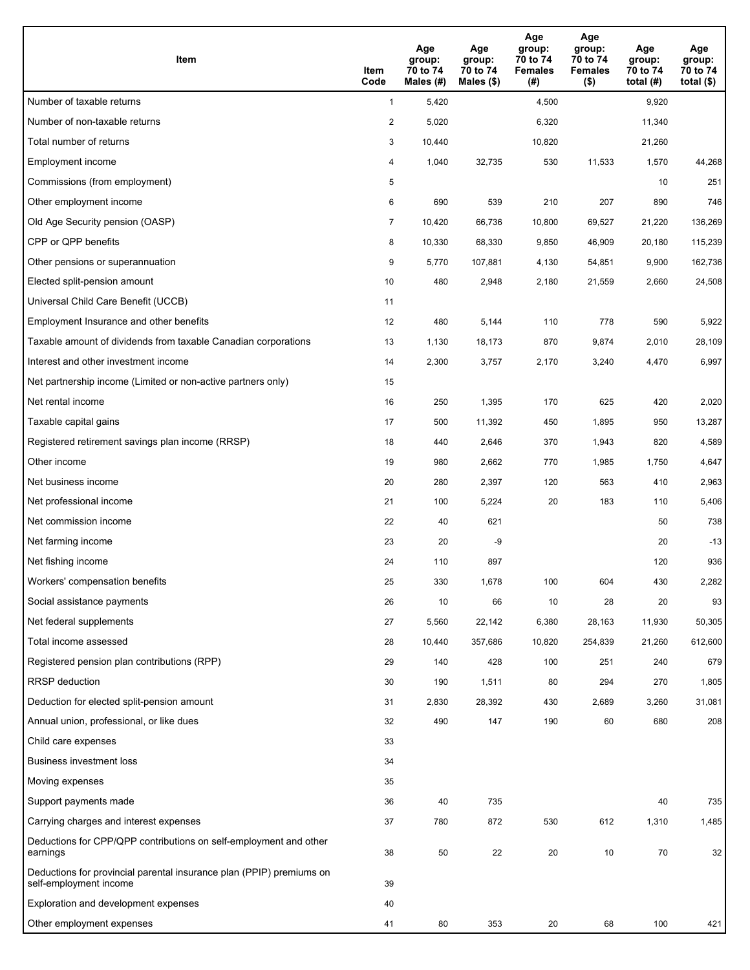| <b>Item</b>                                                                                    | Item<br>Code            | Age<br>group:<br>70 to 74<br>Males (#) | Age<br>group:<br>70 to 74<br>Males (\$) | Age<br>group:<br>70 to 74<br><b>Females</b><br>(#) | Age<br>group:<br>70 to 74<br><b>Females</b><br>$($ \$) | Age<br>group:<br>70 to 74<br>total $(H)$ | Age<br>group:<br>70 to 74<br>total $($)$ |
|------------------------------------------------------------------------------------------------|-------------------------|----------------------------------------|-----------------------------------------|----------------------------------------------------|--------------------------------------------------------|------------------------------------------|------------------------------------------|
| Number of taxable returns                                                                      | $\mathbf{1}$            | 5,420                                  |                                         | 4,500                                              |                                                        | 9,920                                    |                                          |
| Number of non-taxable returns                                                                  | $\overline{\mathbf{c}}$ | 5,020                                  |                                         | 6,320                                              |                                                        | 11,340                                   |                                          |
| Total number of returns                                                                        | 3                       | 10,440                                 |                                         | 10,820                                             |                                                        | 21,260                                   |                                          |
| Employment income                                                                              | 4                       | 1,040                                  | 32,735                                  | 530                                                | 11,533                                                 | 1,570                                    | 44,268                                   |
| Commissions (from employment)                                                                  | 5                       |                                        |                                         |                                                    |                                                        | 10                                       | 251                                      |
| Other employment income                                                                        | 6                       | 690                                    | 539                                     | 210                                                | 207                                                    | 890                                      | 746                                      |
| Old Age Security pension (OASP)                                                                | $\overline{7}$          | 10,420                                 | 66,736                                  | 10,800                                             | 69,527                                                 | 21,220                                   | 136,269                                  |
| CPP or QPP benefits                                                                            | 8                       | 10,330                                 | 68,330                                  | 9,850                                              | 46,909                                                 | 20,180                                   | 115,239                                  |
| Other pensions or superannuation                                                               | 9                       | 5,770                                  | 107,881                                 | 4,130                                              | 54,851                                                 | 9,900                                    | 162,736                                  |
| Elected split-pension amount                                                                   | 10                      | 480                                    | 2,948                                   | 2,180                                              | 21,559                                                 | 2,660                                    | 24,508                                   |
| Universal Child Care Benefit (UCCB)                                                            | 11                      |                                        |                                         |                                                    |                                                        |                                          |                                          |
| Employment Insurance and other benefits                                                        | 12                      | 480                                    | 5,144                                   | 110                                                | 778                                                    | 590                                      | 5,922                                    |
| Taxable amount of dividends from taxable Canadian corporations                                 | 13                      | 1,130                                  | 18,173                                  | 870                                                | 9,874                                                  | 2,010                                    | 28,109                                   |
| Interest and other investment income                                                           | 14                      | 2,300                                  | 3,757                                   | 2,170                                              | 3,240                                                  | 4,470                                    | 6,997                                    |
| Net partnership income (Limited or non-active partners only)                                   | 15                      |                                        |                                         |                                                    |                                                        |                                          |                                          |
| Net rental income                                                                              | 16                      | 250                                    | 1,395                                   | 170                                                | 625                                                    | 420                                      | 2,020                                    |
| Taxable capital gains                                                                          | 17                      | 500                                    | 11,392                                  | 450                                                | 1,895                                                  | 950                                      | 13,287                                   |
| Registered retirement savings plan income (RRSP)                                               | 18                      | 440                                    | 2,646                                   | 370                                                | 1,943                                                  | 820                                      | 4,589                                    |
| Other income                                                                                   | 19                      | 980                                    | 2,662                                   | 770                                                | 1,985                                                  | 1,750                                    | 4,647                                    |
| Net business income                                                                            | 20                      | 280                                    | 2,397                                   | 120                                                | 563                                                    | 410                                      | 2,963                                    |
| Net professional income                                                                        | 21                      | 100                                    | 5,224                                   | 20                                                 | 183                                                    | 110                                      | 5,406                                    |
| Net commission income                                                                          | 22                      | 40                                     | 621                                     |                                                    |                                                        | 50                                       | 738                                      |
| Net farming income                                                                             | 23                      | 20                                     | -9                                      |                                                    |                                                        | 20                                       | $-13$                                    |
| Net fishing income                                                                             | 24                      | 110                                    | 897                                     |                                                    |                                                        | 120                                      | 936                                      |
| Workers' compensation benefits                                                                 | 25                      | 330                                    | 1,678                                   | 100                                                | 604                                                    | 430                                      | 2,282                                    |
| Social assistance payments                                                                     | 26                      | 10                                     | 66                                      | 10                                                 | 28                                                     | 20                                       | 93                                       |
| Net federal supplements                                                                        | 27                      | 5,560                                  | 22,142                                  | 6,380                                              | 28,163                                                 | 11,930                                   | 50,305                                   |
| Total income assessed                                                                          | 28                      | 10,440                                 | 357,686                                 | 10,820                                             | 254,839                                                | 21,260                                   | 612,600                                  |
| Registered pension plan contributions (RPP)                                                    | 29                      | 140                                    | 428                                     | 100                                                | 251                                                    | 240                                      | 679                                      |
| RRSP deduction                                                                                 | 30                      | 190                                    | 1,511                                   | 80                                                 | 294                                                    | 270                                      | 1,805                                    |
| Deduction for elected split-pension amount                                                     | 31                      | 2,830                                  | 28,392                                  | 430                                                | 2,689                                                  | 3,260                                    | 31,081                                   |
| Annual union, professional, or like dues                                                       | 32                      | 490                                    | 147                                     | 190                                                | 60                                                     | 680                                      | 208                                      |
| Child care expenses                                                                            | 33                      |                                        |                                         |                                                    |                                                        |                                          |                                          |
| <b>Business investment loss</b>                                                                | 34                      |                                        |                                         |                                                    |                                                        |                                          |                                          |
| Moving expenses                                                                                | 35                      |                                        |                                         |                                                    |                                                        |                                          |                                          |
| Support payments made                                                                          | 36                      | 40                                     | 735                                     |                                                    |                                                        | 40                                       | 735                                      |
| Carrying charges and interest expenses                                                         | 37                      | 780                                    | 872                                     | 530                                                | 612                                                    | 1,310                                    | 1,485                                    |
| Deductions for CPP/QPP contributions on self-employment and other<br>earnings                  | 38                      | 50                                     | 22                                      | 20                                                 | 10                                                     | 70                                       | 32                                       |
| Deductions for provincial parental insurance plan (PPIP) premiums on<br>self-employment income | 39                      |                                        |                                         |                                                    |                                                        |                                          |                                          |
| Exploration and development expenses                                                           | 40                      |                                        |                                         |                                                    |                                                        |                                          |                                          |
| Other employment expenses                                                                      | 41                      | 80                                     | 353                                     | 20                                                 | 68                                                     | 100                                      | 421                                      |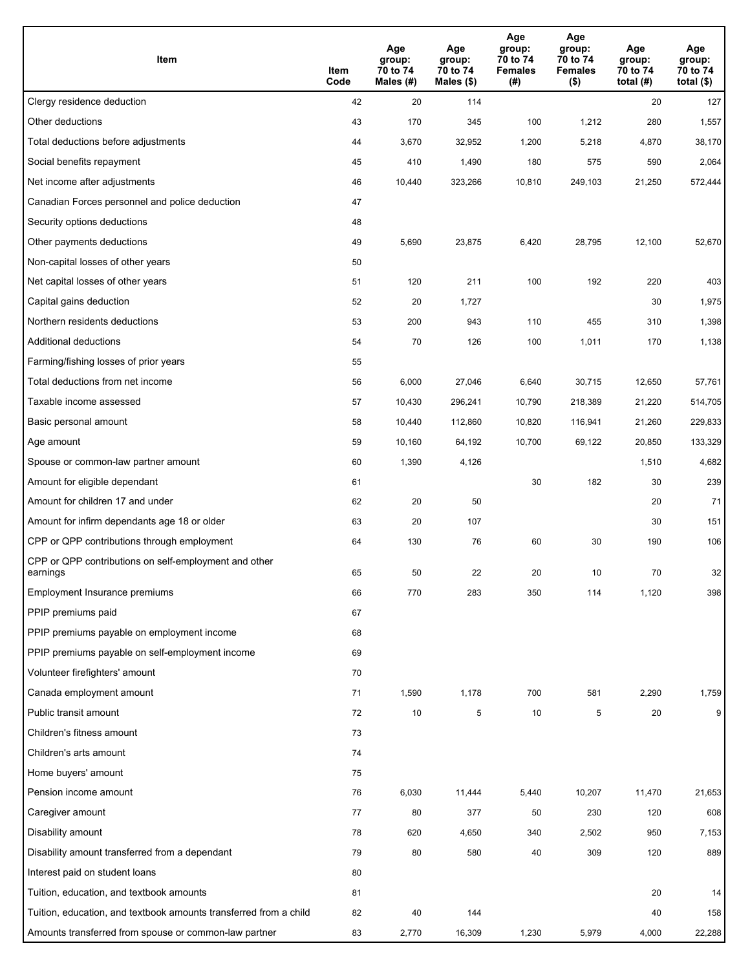| Item                                                              | Item<br>Code | Age<br>group:<br>70 to 74<br>Males (#) | Age<br>group:<br>70 to 74<br>Males (\$) | Age<br>group:<br>70 to 74<br><b>Females</b><br>(#) | Age<br>group:<br>70 to 74<br><b>Females</b><br>$($ \$) | Age<br>group:<br>70 to 74<br>total $(H)$ | Age<br>group:<br>70 to 74<br>total $($)$ |
|-------------------------------------------------------------------|--------------|----------------------------------------|-----------------------------------------|----------------------------------------------------|--------------------------------------------------------|------------------------------------------|------------------------------------------|
| Clergy residence deduction                                        | 42           | 20                                     | 114                                     |                                                    |                                                        | 20                                       | 127                                      |
| Other deductions                                                  | 43           | 170                                    | 345                                     | 100                                                | 1,212                                                  | 280                                      | 1,557                                    |
| Total deductions before adjustments                               | 44           | 3,670                                  | 32,952                                  | 1,200                                              | 5,218                                                  | 4,870                                    | 38,170                                   |
| Social benefits repayment                                         | 45           | 410                                    | 1,490                                   | 180                                                | 575                                                    | 590                                      | 2,064                                    |
| Net income after adjustments                                      | 46           | 10,440                                 | 323,266                                 | 10,810                                             | 249,103                                                | 21,250                                   | 572,444                                  |
| Canadian Forces personnel and police deduction                    | 47           |                                        |                                         |                                                    |                                                        |                                          |                                          |
| Security options deductions                                       | 48           |                                        |                                         |                                                    |                                                        |                                          |                                          |
| Other payments deductions                                         | 49           | 5,690                                  | 23,875                                  | 6,420                                              | 28,795                                                 | 12,100                                   | 52,670                                   |
| Non-capital losses of other years                                 | 50           |                                        |                                         |                                                    |                                                        |                                          |                                          |
| Net capital losses of other years                                 | 51           | 120                                    | 211                                     | 100                                                | 192                                                    | 220                                      | 403                                      |
| Capital gains deduction                                           | 52           | 20                                     | 1,727                                   |                                                    |                                                        | 30                                       | 1,975                                    |
| Northern residents deductions                                     | 53           | 200                                    | 943                                     | 110                                                | 455                                                    | 310                                      | 1,398                                    |
| Additional deductions                                             | 54           | 70                                     | 126                                     | 100                                                | 1,011                                                  | 170                                      | 1,138                                    |
| Farming/fishing losses of prior years                             | 55           |                                        |                                         |                                                    |                                                        |                                          |                                          |
| Total deductions from net income                                  | 56           | 6,000                                  | 27,046                                  | 6,640                                              | 30,715                                                 | 12,650                                   | 57,761                                   |
| Taxable income assessed                                           | 57           | 10,430                                 | 296,241                                 | 10,790                                             | 218,389                                                | 21,220                                   | 514,705                                  |
| Basic personal amount                                             | 58           | 10,440                                 | 112,860                                 | 10,820                                             | 116,941                                                | 21,260                                   | 229,833                                  |
| Age amount                                                        | 59           | 10,160                                 | 64,192                                  | 10,700                                             | 69,122                                                 | 20,850                                   | 133,329                                  |
| Spouse or common-law partner amount                               | 60           | 1,390                                  | 4,126                                   |                                                    |                                                        | 1,510                                    | 4,682                                    |
| Amount for eligible dependant                                     | 61           |                                        |                                         | 30                                                 | 182                                                    | 30                                       | 239                                      |
| Amount for children 17 and under                                  | 62           | 20                                     | 50                                      |                                                    |                                                        | 20                                       | 71                                       |
| Amount for infirm dependants age 18 or older                      | 63           | 20                                     | 107                                     |                                                    |                                                        | 30                                       | 151                                      |
| CPP or QPP contributions through employment                       | 64           | 130                                    | 76                                      | 60                                                 | 30                                                     | 190                                      | 106                                      |
| CPP or QPP contributions on self-employment and other<br>earnings | 65           | 50                                     | 22                                      | 20                                                 | 10                                                     | 70                                       | 32                                       |
| Employment Insurance premiums                                     | 66           | 770                                    | 283                                     | 350                                                | 114                                                    | 1,120                                    | 398                                      |
| PPIP premiums paid                                                | 67           |                                        |                                         |                                                    |                                                        |                                          |                                          |
| PPIP premiums payable on employment income                        | 68           |                                        |                                         |                                                    |                                                        |                                          |                                          |
| PPIP premiums payable on self-employment income                   | 69           |                                        |                                         |                                                    |                                                        |                                          |                                          |
| Volunteer firefighters' amount                                    | 70           |                                        |                                         |                                                    |                                                        |                                          |                                          |
| Canada employment amount                                          | 71           | 1,590                                  | 1,178                                   | 700                                                | 581                                                    | 2,290                                    | 1,759                                    |
| Public transit amount                                             | 72           | 10                                     | 5                                       | 10                                                 | 5                                                      | 20                                       | 9                                        |
| Children's fitness amount                                         | 73           |                                        |                                         |                                                    |                                                        |                                          |                                          |
| Children's arts amount                                            | 74           |                                        |                                         |                                                    |                                                        |                                          |                                          |
| Home buyers' amount                                               | 75           |                                        |                                         |                                                    |                                                        |                                          |                                          |
| Pension income amount                                             | 76           | 6,030                                  | 11,444                                  | 5,440                                              | 10,207                                                 | 11,470                                   | 21,653                                   |
| Caregiver amount                                                  | 77           | 80                                     | 377                                     | 50                                                 | 230                                                    | 120                                      | 608                                      |
| Disability amount                                                 | 78           | 620                                    | 4,650                                   | 340                                                | 2,502                                                  | 950                                      | 7,153                                    |
| Disability amount transferred from a dependant                    | 79           | 80                                     | 580                                     | 40                                                 | 309                                                    | 120                                      | 889                                      |
| Interest paid on student loans                                    | 80           |                                        |                                         |                                                    |                                                        |                                          |                                          |
| Tuition, education, and textbook amounts                          | 81           |                                        |                                         |                                                    |                                                        | 20                                       | 14                                       |
| Tuition, education, and textbook amounts transferred from a child | 82           | 40                                     | 144                                     |                                                    |                                                        | 40                                       | 158                                      |
| Amounts transferred from spouse or common-law partner             | 83           | 2,770                                  | 16,309                                  | 1,230                                              | 5,979                                                  | 4,000                                    | 22,288                                   |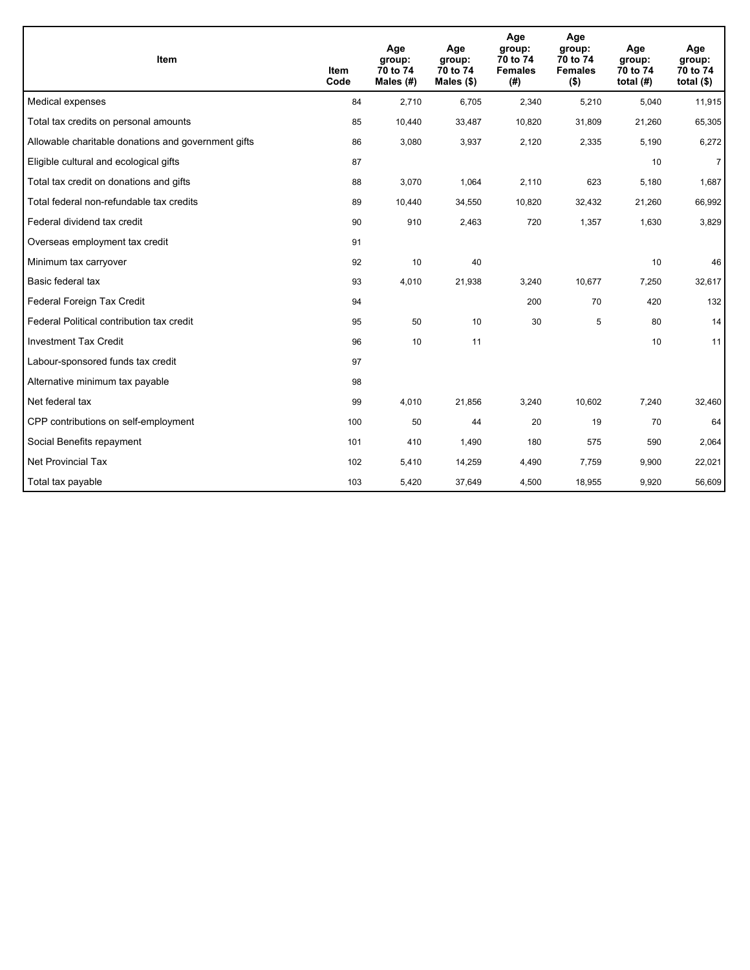| <b>Item</b>                                         | <b>Item</b><br>Code | Age<br>group:<br>70 to 74<br>Males (#) | Age<br>group:<br>70 to 74<br>Males $(\$)$ | Age<br>group:<br>70 to 74<br><b>Females</b><br>(#) | Age<br>group:<br>70 to 74<br><b>Females</b><br>$($ \$) | Age<br>group:<br>70 to 74<br>total $(H)$ | Age<br>group:<br>70 to 74<br>total $($)$ |
|-----------------------------------------------------|---------------------|----------------------------------------|-------------------------------------------|----------------------------------------------------|--------------------------------------------------------|------------------------------------------|------------------------------------------|
| Medical expenses                                    | 84                  | 2,710                                  | 6,705                                     | 2,340                                              | 5,210                                                  | 5,040                                    | 11,915                                   |
| Total tax credits on personal amounts               | 85                  | 10,440                                 | 33,487                                    | 10,820                                             | 31,809                                                 | 21,260                                   | 65,305                                   |
| Allowable charitable donations and government gifts | 86                  | 3,080                                  | 3,937                                     | 2,120                                              | 2,335                                                  | 5,190                                    | 6,272                                    |
| Eligible cultural and ecological gifts              | 87                  |                                        |                                           |                                                    |                                                        | 10                                       | $\overline{7}$                           |
| Total tax credit on donations and gifts             | 88                  | 3,070                                  | 1,064                                     | 2,110                                              | 623                                                    | 5,180                                    | 1,687                                    |
| Total federal non-refundable tax credits            | 89                  | 10,440                                 | 34,550                                    | 10,820                                             | 32,432                                                 | 21,260                                   | 66,992                                   |
| Federal dividend tax credit                         | 90                  | 910                                    | 2,463                                     | 720                                                | 1,357                                                  | 1,630                                    | 3,829                                    |
| Overseas employment tax credit                      | 91                  |                                        |                                           |                                                    |                                                        |                                          |                                          |
| Minimum tax carryover                               | 92                  | 10                                     | 40                                        |                                                    |                                                        | 10                                       | 46                                       |
| Basic federal tax                                   | 93                  | 4,010                                  | 21,938                                    | 3,240                                              | 10,677                                                 | 7,250                                    | 32,617                                   |
| Federal Foreign Tax Credit                          | 94                  |                                        |                                           | 200                                                | 70                                                     | 420                                      | 132                                      |
| Federal Political contribution tax credit           | 95                  | 50                                     | 10                                        | 30                                                 | 5                                                      | 80                                       | 14                                       |
| <b>Investment Tax Credit</b>                        | 96                  | 10                                     | 11                                        |                                                    |                                                        | 10                                       | 11                                       |
| Labour-sponsored funds tax credit                   | 97                  |                                        |                                           |                                                    |                                                        |                                          |                                          |
| Alternative minimum tax payable                     | 98                  |                                        |                                           |                                                    |                                                        |                                          |                                          |
| Net federal tax                                     | 99                  | 4,010                                  | 21,856                                    | 3,240                                              | 10,602                                                 | 7,240                                    | 32,460                                   |
| CPP contributions on self-employment                | 100                 | 50                                     | 44                                        | 20                                                 | 19                                                     | 70                                       | 64                                       |
| Social Benefits repayment                           | 101                 | 410                                    | 1,490                                     | 180                                                | 575                                                    | 590                                      | 2,064                                    |
| Net Provincial Tax                                  | 102                 | 5,410                                  | 14,259                                    | 4,490                                              | 7,759                                                  | 9,900                                    | 22,021                                   |
| Total tax payable                                   | 103                 | 5,420                                  | 37,649                                    | 4,500                                              | 18,955                                                 | 9,920                                    | 56,609                                   |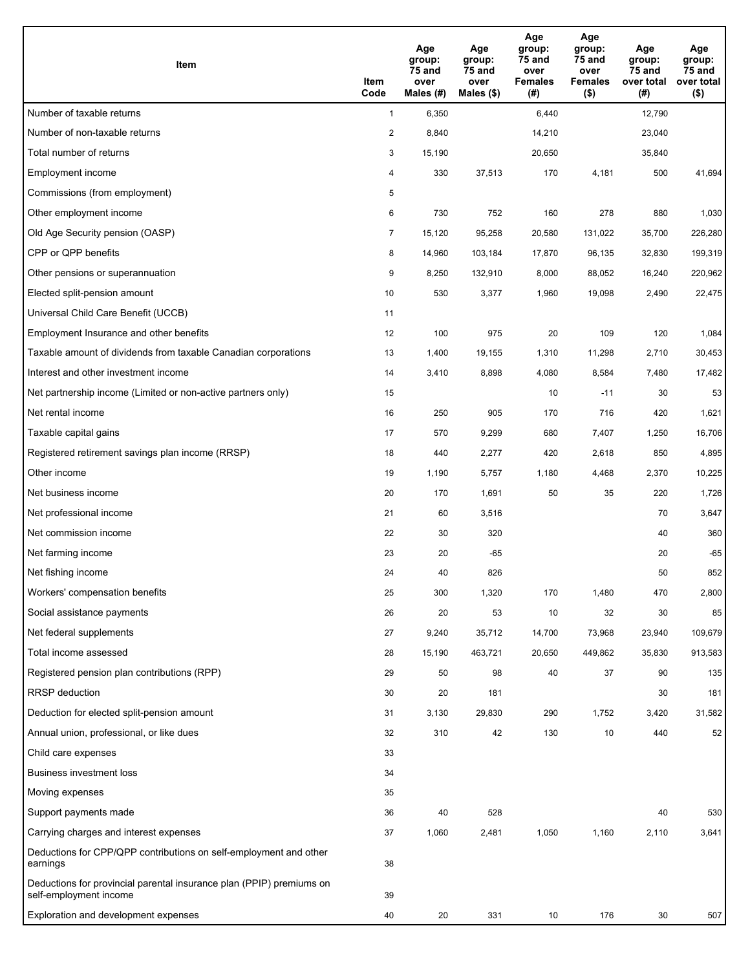| Item                                                                                           | Item<br>Code   | Age<br>group:<br>75 and<br>over<br>Males $(H)$ | Age<br>group:<br>75 and<br>over<br>Males (\$) | Age<br>group:<br>75 and<br>over<br><b>Females</b><br>(#) | Age<br>group:<br>75 and<br>over<br><b>Females</b><br>$($ \$) | Age<br>group:<br>75 and<br>over total<br>(# ) | Age<br>group:<br>75 and<br>over total<br>$($ \$) |
|------------------------------------------------------------------------------------------------|----------------|------------------------------------------------|-----------------------------------------------|----------------------------------------------------------|--------------------------------------------------------------|-----------------------------------------------|--------------------------------------------------|
| Number of taxable returns                                                                      | $\mathbf{1}$   | 6,350                                          |                                               | 6,440                                                    |                                                              | 12,790                                        |                                                  |
| Number of non-taxable returns                                                                  | $\overline{2}$ | 8,840                                          |                                               | 14,210                                                   |                                                              | 23,040                                        |                                                  |
| Total number of returns                                                                        | 3              | 15,190                                         |                                               | 20,650                                                   |                                                              | 35,840                                        |                                                  |
| Employment income                                                                              | 4              | 330                                            | 37,513                                        | 170                                                      | 4,181                                                        | 500                                           | 41,694                                           |
| Commissions (from employment)                                                                  | 5              |                                                |                                               |                                                          |                                                              |                                               |                                                  |
| Other employment income                                                                        | 6              | 730                                            | 752                                           | 160                                                      | 278                                                          | 880                                           | 1,030                                            |
| Old Age Security pension (OASP)                                                                | $\overline{7}$ | 15,120                                         | 95,258                                        | 20,580                                                   | 131,022                                                      | 35,700                                        | 226,280                                          |
| CPP or QPP benefits                                                                            | 8              | 14,960                                         | 103,184                                       | 17,870                                                   | 96,135                                                       | 32,830                                        | 199,319                                          |
| Other pensions or superannuation                                                               | 9              | 8,250                                          | 132,910                                       | 8,000                                                    | 88,052                                                       | 16,240                                        | 220,962                                          |
| Elected split-pension amount                                                                   | 10             | 530                                            | 3,377                                         | 1,960                                                    | 19,098                                                       | 2,490                                         | 22,475                                           |
| Universal Child Care Benefit (UCCB)                                                            | 11             |                                                |                                               |                                                          |                                                              |                                               |                                                  |
| Employment Insurance and other benefits                                                        | 12             | 100                                            | 975                                           | 20                                                       | 109                                                          | 120                                           | 1,084                                            |
| Taxable amount of dividends from taxable Canadian corporations                                 | 13             | 1,400                                          | 19,155                                        | 1,310                                                    | 11,298                                                       | 2,710                                         | 30,453                                           |
| Interest and other investment income                                                           | 14             | 3,410                                          | 8,898                                         | 4,080                                                    | 8,584                                                        | 7,480                                         | 17,482                                           |
| Net partnership income (Limited or non-active partners only)                                   | 15             |                                                |                                               | 10                                                       | $-11$                                                        | 30                                            | 53                                               |
| Net rental income                                                                              | 16             | 250                                            | 905                                           | 170                                                      | 716                                                          | 420                                           | 1,621                                            |
| Taxable capital gains                                                                          | 17             | 570                                            | 9,299                                         | 680                                                      | 7,407                                                        | 1,250                                         | 16,706                                           |
| Registered retirement savings plan income (RRSP)                                               | 18             | 440                                            | 2,277                                         | 420                                                      | 2,618                                                        | 850                                           | 4,895                                            |
| Other income                                                                                   | 19             | 1,190                                          | 5,757                                         | 1,180                                                    | 4,468                                                        | 2,370                                         | 10,225                                           |
| Net business income                                                                            | 20             | 170                                            | 1,691                                         | 50                                                       | 35                                                           | 220                                           | 1,726                                            |
| Net professional income                                                                        | 21             | 60                                             | 3,516                                         |                                                          |                                                              | 70                                            | 3,647                                            |
| Net commission income                                                                          | 22             | 30                                             | 320                                           |                                                          |                                                              | 40                                            | 360                                              |
| Net farming income                                                                             | 23             | 20                                             | -65                                           |                                                          |                                                              | 20                                            | $-65$                                            |
| Net fishing income                                                                             | 24             | 40                                             | 826                                           |                                                          |                                                              | 50                                            | 852                                              |
| Workers' compensation benefits                                                                 | 25             | 300                                            | 1,320                                         | 170                                                      | 1,480                                                        | 470                                           | 2,800                                            |
| Social assistance payments                                                                     | 26             | 20                                             | 53                                            | 10                                                       | 32                                                           | 30                                            | 85                                               |
| Net federal supplements                                                                        | 27             | 9,240                                          | 35,712                                        | 14,700                                                   | 73,968                                                       | 23,940                                        | 109,679                                          |
| Total income assessed                                                                          | 28             | 15,190                                         | 463,721                                       | 20,650                                                   | 449,862                                                      | 35,830                                        | 913,583                                          |
| Registered pension plan contributions (RPP)                                                    | 29             | 50                                             | 98                                            | 40                                                       | 37                                                           | 90                                            | 135                                              |
| <b>RRSP</b> deduction                                                                          | 30             | 20                                             | 181                                           |                                                          |                                                              | 30                                            | 181                                              |
| Deduction for elected split-pension amount                                                     | 31             | 3,130                                          | 29,830                                        | 290                                                      | 1,752                                                        | 3,420                                         | 31,582                                           |
| Annual union, professional, or like dues                                                       | 32             | 310                                            | 42                                            | 130                                                      | 10                                                           | 440                                           | 52                                               |
| Child care expenses                                                                            | 33             |                                                |                                               |                                                          |                                                              |                                               |                                                  |
| <b>Business investment loss</b>                                                                | 34             |                                                |                                               |                                                          |                                                              |                                               |                                                  |
| Moving expenses                                                                                | 35             |                                                |                                               |                                                          |                                                              |                                               |                                                  |
| Support payments made                                                                          | 36             | 40                                             | 528                                           |                                                          |                                                              | 40                                            | 530                                              |
| Carrying charges and interest expenses                                                         | 37             | 1,060                                          | 2,481                                         | 1,050                                                    | 1,160                                                        | 2,110                                         | 3,641                                            |
| Deductions for CPP/QPP contributions on self-employment and other<br>earnings                  | 38             |                                                |                                               |                                                          |                                                              |                                               |                                                  |
| Deductions for provincial parental insurance plan (PPIP) premiums on<br>self-employment income | 39             |                                                |                                               |                                                          |                                                              |                                               |                                                  |
| Exploration and development expenses                                                           | 40             | 20                                             | 331                                           | 10                                                       | 176                                                          | 30                                            | 507                                              |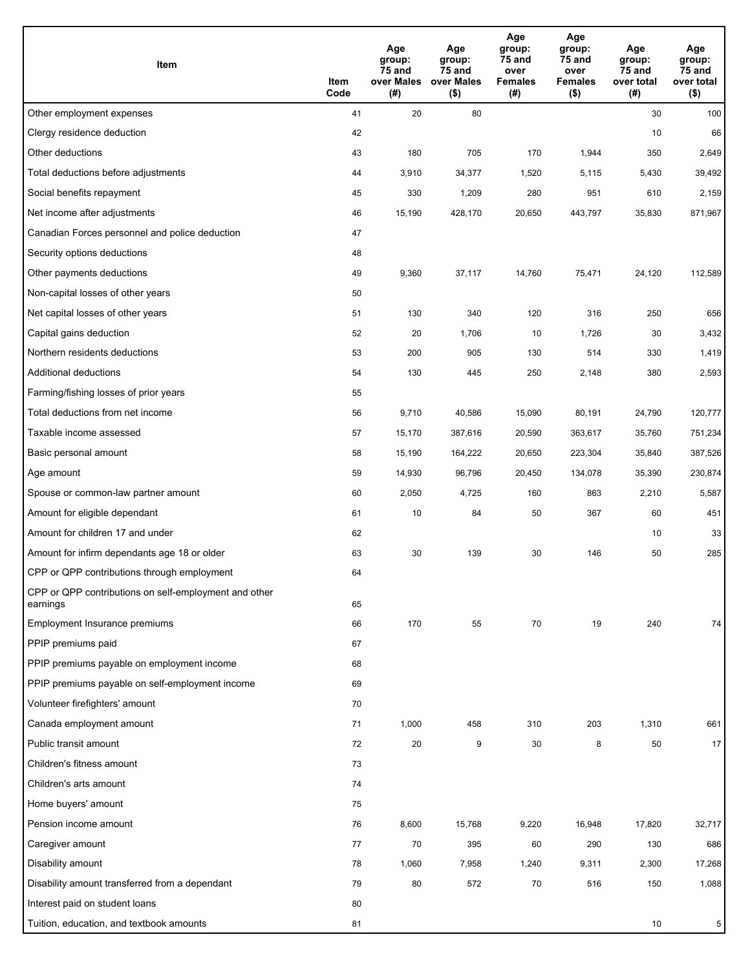| Item                                                              | Item<br>Code | Age<br>group:<br>75 and<br>over Males<br>(#) | Age<br>group:<br>75 and<br>over Males<br>$($ \$) | Age<br>group:<br>75 and<br>over<br><b>Females</b><br>(#) | Age<br>group:<br>75 and<br>over<br><b>Females</b><br>$($ \$) | Age<br>group:<br>$75$ and<br>over total<br>(#) | Age<br>group:<br>75 and<br>over total<br>$($ \$) |
|-------------------------------------------------------------------|--------------|----------------------------------------------|--------------------------------------------------|----------------------------------------------------------|--------------------------------------------------------------|------------------------------------------------|--------------------------------------------------|
| Other employment expenses                                         | 41           | 20                                           | 80                                               |                                                          |                                                              | 30                                             | 100                                              |
| Clergy residence deduction                                        | 42           |                                              |                                                  |                                                          |                                                              | 10                                             | 66                                               |
| Other deductions                                                  | 43           | 180                                          | 705                                              | 170                                                      | 1,944                                                        | 350                                            | 2,649                                            |
| Total deductions before adjustments                               | 44           | 3,910                                        | 34,377                                           | 1,520                                                    | 5,115                                                        | 5,430                                          | 39,492                                           |
| Social benefits repayment                                         | 45           | 330                                          | 1,209                                            | 280                                                      | 951                                                          | 610                                            | 2,159                                            |
| Net income after adjustments                                      | 46           | 15,190                                       | 428,170                                          | 20,650                                                   | 443,797                                                      | 35,830                                         | 871,967                                          |
| Canadian Forces personnel and police deduction                    | 47           |                                              |                                                  |                                                          |                                                              |                                                |                                                  |
| Security options deductions                                       | 48           |                                              |                                                  |                                                          |                                                              |                                                |                                                  |
| Other payments deductions                                         | 49           | 9,360                                        | 37,117                                           | 14,760                                                   | 75,471                                                       | 24,120                                         | 112,589                                          |
| Non-capital losses of other years                                 | 50           |                                              |                                                  |                                                          |                                                              |                                                |                                                  |
| Net capital losses of other years                                 | 51           | 130                                          | 340                                              | 120                                                      | 316                                                          | 250                                            | 656                                              |
| Capital gains deduction                                           | 52           | 20                                           | 1,706                                            | 10                                                       | 1,726                                                        | 30                                             | 3,432                                            |
| Northern residents deductions                                     | 53           | 200                                          | 905                                              | 130                                                      | 514                                                          | 330                                            | 1,419                                            |
| Additional deductions                                             | 54           | 130                                          | 445                                              | 250                                                      | 2,148                                                        | 380                                            | 2,593                                            |
| Farming/fishing losses of prior years                             | 55           |                                              |                                                  |                                                          |                                                              |                                                |                                                  |
| Total deductions from net income                                  | 56           | 9,710                                        | 40,586                                           | 15,090                                                   | 80,191                                                       | 24,790                                         | 120,777                                          |
| Taxable income assessed                                           | 57           | 15,170                                       | 387,616                                          | 20,590                                                   | 363,617                                                      | 35,760                                         | 751,234                                          |
| Basic personal amount                                             | 58           | 15,190                                       | 164,222                                          | 20,650                                                   | 223,304                                                      | 35,840                                         | 387,526                                          |
| Age amount                                                        | 59           | 14,930                                       | 96,796                                           | 20,450                                                   | 134,078                                                      | 35,390                                         | 230,874                                          |
| Spouse or common-law partner amount                               | 60           | 2,050                                        | 4,725                                            | 160                                                      | 863                                                          | 2,210                                          | 5,587                                            |
| Amount for eligible dependant                                     | 61           | 10                                           | 84                                               | 50                                                       | 367                                                          | 60                                             | 451                                              |
| Amount for children 17 and under                                  | 62           |                                              |                                                  |                                                          |                                                              | 10                                             | 33                                               |
| Amount for infirm dependants age 18 or older                      | 63           | 30                                           | 139                                              | 30                                                       | 146                                                          | 50                                             | 285                                              |
| CPP or QPP contributions through employment                       | 64           |                                              |                                                  |                                                          |                                                              |                                                |                                                  |
| CPP or QPP contributions on self-employment and other<br>earnings | 65           |                                              |                                                  |                                                          |                                                              |                                                |                                                  |
| Employment Insurance premiums                                     | 66           | 170                                          | 55                                               | 70                                                       | 19                                                           | 240                                            | 74                                               |
| PPIP premiums paid                                                | 67           |                                              |                                                  |                                                          |                                                              |                                                |                                                  |
| PPIP premiums payable on employment income                        | 68           |                                              |                                                  |                                                          |                                                              |                                                |                                                  |
| PPIP premiums payable on self-employment income                   | 69           |                                              |                                                  |                                                          |                                                              |                                                |                                                  |
| Volunteer firefighters' amount                                    | 70           |                                              |                                                  |                                                          |                                                              |                                                |                                                  |
| Canada employment amount                                          | 71           | 1,000                                        | 458                                              | 310                                                      | 203                                                          | 1,310                                          | 661                                              |
| Public transit amount                                             | 72           | $20\,$                                       | 9                                                | 30                                                       | 8                                                            | 50                                             | 17                                               |
| Children's fitness amount                                         | 73           |                                              |                                                  |                                                          |                                                              |                                                |                                                  |
| Children's arts amount                                            | 74           |                                              |                                                  |                                                          |                                                              |                                                |                                                  |
| Home buyers' amount                                               | 75           |                                              |                                                  |                                                          |                                                              |                                                |                                                  |
| Pension income amount                                             | 76           | 8,600                                        | 15,768                                           | 9,220                                                    | 16,948                                                       | 17,820                                         | 32,717                                           |
| Caregiver amount                                                  | 77           | 70                                           | 395                                              | 60                                                       | 290                                                          | 130                                            | 686                                              |
| Disability amount                                                 | 78           | 1,060                                        | 7,958                                            | 1,240                                                    | 9,311                                                        | 2,300                                          | 17,268                                           |
| Disability amount transferred from a dependant                    | 79           | 80                                           | 572                                              | 70                                                       | 516                                                          | 150                                            | 1,088                                            |
| Interest paid on student loans                                    | 80           |                                              |                                                  |                                                          |                                                              |                                                |                                                  |
| Tuition, education, and textbook amounts                          | 81           |                                              |                                                  |                                                          |                                                              | 10                                             | 5                                                |